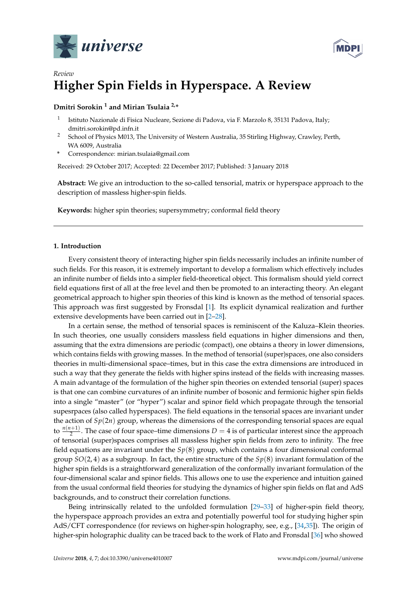



# *Review* **Higher Spin Fields in Hyperspace. A Review**

# **Dmitri Sorokin <sup>1</sup> and Mirian Tsulaia 2,\***

- 1 Istituto Nazionale di Fisica Nucleare, Sezione di Padova, via F. Marzolo 8, 35131 Padova, Italy; dmitri.sorokin@pd.infn.it
- <sup>2</sup> School of Physics M013, The University of Western Australia, 35 Stirling Highway, Crawley, Perth, WA 6009, Australia
- **\*** Correspondence: mirian.tsulaia@gmail.com

Received: 29 October 2017; Accepted: 22 December 2017; Published: 3 January 2018

**Abstract:** We give an introduction to the so-called tensorial, matrix or hyperspace approach to the description of massless higher-spin fields.

**Keywords:** higher spin theories; supersymmetry; conformal field theory

# **1. Introduction**

Every consistent theory of interacting higher spin fields necessarily includes an infinite number of such fields. For this reason, it is extremely important to develop a formalism which effectively includes an infinite number of fields into a simpler field-theoretical object. This formalism should yield correct field equations first of all at the free level and then be promoted to an interacting theory. An elegant geometrical approach to higher spin theories of this kind is known as the method of tensorial spaces. This approach was first suggested by Fronsdal [\[1\]](#page-40-0). Its explicit dynamical realization and further extensive developments have been carried out in [\[2](#page-40-1)[–28\]](#page-41-0).

In a certain sense, the method of tensorial spaces is reminiscent of the Kaluza–Klein theories. In such theories, one usually considers massless field equations in higher dimensions and then, assuming that the extra dimensions are periodic (compact), one obtains a theory in lower dimensions, which contains fields with growing masses. In the method of tensorial (super)spaces, one also considers theories in multi-dimensional space–times, but in this case the extra dimensions are introduced in such a way that they generate the fields with higher spins instead of the fields with increasing masses. A main advantage of the formulation of the higher spin theories on extended tensorial (super) spaces is that one can combine curvatures of an infinite number of bosonic and fermionic higher spin fields into a single "master" (or "hyper") scalar and spinor field which propagate through the tensorial supesrpaces (also called hyperspaces). The field equations in the tensorial spaces are invariant under the action of *Sp*(2*n*) group, whereas the dimensions of the corresponding tensorial spaces are equal to  $\frac{n(n+1)}{2}$ . The case of four space–time dimensions  $D = 4$  is of particular interest since the approach of tensorial (super)spaces comprises all massless higher spin fields from zero to infinity. The free field equations are invariant under the *Sp*(8) group, which contains a four dimensional conformal group *SO*(2, 4) as a subgroup. In fact, the entire structure of the *Sp*(8) invariant formulation of the higher spin fields is a straightforward generalization of the conformally invariant formulation of the four-dimensional scalar and spinor fields. This allows one to use the experience and intuition gained from the usual conformal field theories for studying the dynamics of higher spin fields on flat and AdS backgrounds, and to construct their correlation functions.

Being intrinsically related to the unfolded formulation [\[29–](#page-41-1)[33\]](#page-41-2) of higher-spin field theory, the hyperspace approach provides an extra and potentially powerful tool for studying higher spin AdS/CFT correspondence (for reviews on higher-spin holography, see, e.g., [\[34,](#page-41-3)[35\]](#page-41-4)). The origin of higher-spin holographic duality can be traced back to the work of Flato and Fronsdal [\[36\]](#page-41-5) who showed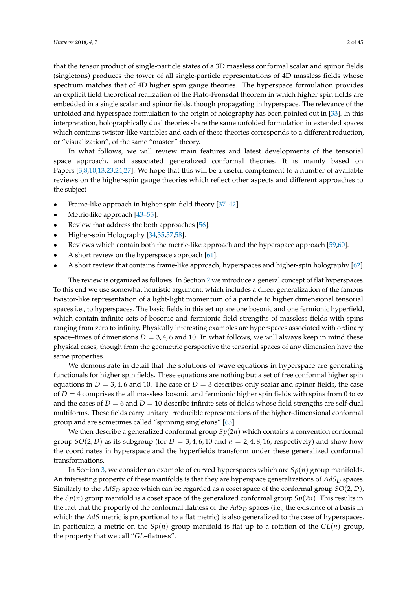that the tensor product of single-particle states of a 3D massless conformal scalar and spinor fields (singletons) produces the tower of all single-particle representations of 4D massless fields whose spectrum matches that of 4D higher spin gauge theories. The hyperspace formulation provides an explicit field theoretical realization of the Flato-Fronsdal theorem in which higher spin fields are embedded in a single scalar and spinor fields, though propagating in hyperspace. The relevance of the unfolded and hyperspace formulation to the origin of holography has been pointed out in [\[33\]](#page-41-2). In this interpretation, holographically dual theories share the same unfolded formulation in extended spaces which contains twistor-like variables and each of these theories corresponds to a different reduction, or "visualization", of the same "master" theory.

In what follows, we will review main features and latest developments of the tensorial space approach, and associated generalized conformal theories. It is mainly based on Papers [\[3,](#page-40-2)[8,](#page-40-3)[10,](#page-40-4)[13,](#page-41-6)[23,](#page-41-7)[24,](#page-41-8)[27\]](#page-41-9). We hope that this will be a useful complement to a number of available reviews on the higher-spin gauge theories which reflect other aspects and different approaches to the subject

- Frame-like approach in higher-spin field theory [\[37](#page-41-10)[–42\]](#page-41-11).
- Metric-like approach [\[43–](#page-41-12)[55\]](#page-42-0).
- Review that address the both approaches [\[56\]](#page-42-1).
- Higher-spin Holography [\[34](#page-41-3)[,35](#page-41-4)[,57](#page-42-2)[,58\]](#page-42-3).
- Reviews which contain both the metric-like approach and the hyperspace approach [\[59](#page-42-4)[,60\]](#page-42-5).
- A short review on the hyperspace approach [\[61\]](#page-42-6).
- A short review that contains frame-like approach, hyperspaces and higher-spin holography [\[62\]](#page-42-7).

The review is organized as follows. In Section [2](#page-2-0) we introduce a general concept of flat hyperspaces. To this end we use somewhat heuristic argument, which includes a direct generalization of the famous twistor-like representation of a light-light momentum of a particle to higher dimensional tensorial spaces i.e., to hyperspaces. The basic fields in this set up are one bosonic and one fermionic hyperfield, which contain infinite sets of bosonic and fermionic field strengths of massless fields with spins ranging from zero to infinity. Physically interesting examples are hyperspaces associated with ordinary space–times of dimensions  $D = 3, 4, 6$  and 10. In what follows, we will always keep in mind these physical cases, though from the geometric perspective the tensorial spaces of any dimension have the same properties.

We demonstrate in detail that the solutions of wave equations in hyperspace are generating functionals for higher spin fields. These equations are nothing but a set of free conformal higher spin equations in  $D = 3, 4, 6$  and 10. The case of  $D = 3$  describes only scalar and spinor fields, the case of *D* = 4 comprises the all massless bosonic and fermionic higher spin fields with spins from 0 to  $\infty$ and the cases of  $D = 6$  and  $D = 10$  describe infinite sets of fields whose field strengths are self-dual multiforms. These fields carry unitary irreducible representations of the higher-dimensional conformal group and are sometimes called "spinning singletons" [\[63\]](#page-42-8).

We then describe a generalized conformal group  $Sp(2n)$  which contains a convention conformal group  $SO(2, D)$  as its subgroup (for  $D = 3, 4, 6, 10$  and  $n = 2, 4, 8, 16$ , respectively) and show how the coordinates in hyperspace and the hyperfields transform under these generalized conformal transformations.

In Section [3,](#page-9-0) we consider an example of curved hyperspaces which are *Sp*(*n*) group manifolds. An interesting property of these manifolds is that they are hyperspace generalizations of  $AdS_D$  spaces. Similarly to the *AdS<sup>D</sup>* space which can be regarded as a coset space of the conformal group *SO*(2, *D*), the  $Sp(n)$  group manifold is a coset space of the generalized conformal group  $Sp(2n)$ . This results in the fact that the property of the conformal flatness of the *AdS<sup>D</sup>* spaces (i.e., the existence of a basis in which the *AdS* metric is proportional to a flat metric) is also generalized to the case of hyperspaces. In particular, a metric on the  $Sp(n)$  group manifold is flat up to a rotation of the  $GL(n)$  group, the property that we call "*GL*–flatness".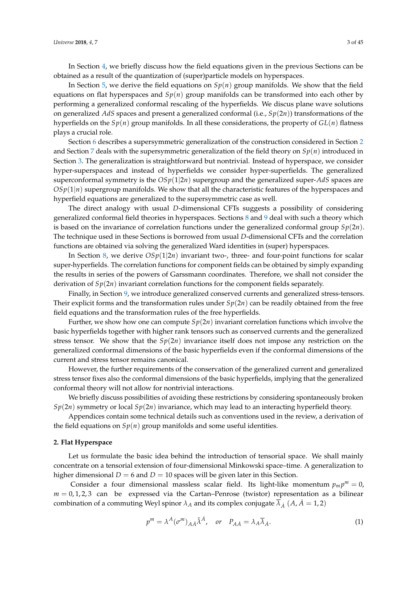In Section [4,](#page-11-0) we briefly discuss how the field equations given in the previous Sections can be obtained as a result of the quantization of (super)particle models on hyperspaces.

In Section [5,](#page-14-0) we derive the field equations on *Sp*(*n*) group manifolds. We show that the field equations on flat hyperspaces and  $Sp(n)$  group manifolds can be transformed into each other by performing a generalized conformal rescaling of the hyperfields. We discus plane wave solutions on generalized *AdS* spaces and present a generalized conformal (i.e., *Sp*(2*n*)) transformations of the hyperfields on the *Sp*(*n*) group manifolds. In all these considerations, the property of *GL*(*n*) flatness plays a crucial role.

Section [6](#page-18-0) describes a supersymmetric generalization of the construction considered in Section [2](#page-2-0) and Section [7](#page-22-0) deals with the supersymmetric generalization of the field theory on *Sp*(*n*) introduced in Section [3.](#page-9-0) The generalization is straightforward but nontrivial. Instead of hyperspace, we consider hyper-superspaces and instead of hyperfields we consider hyper-superfields. The generalized superconformal symmetry is the *OSp*(1|2*n*) supergroup and the generalized super-*AdS* spaces are  $OSp(1|n)$  supergroup manifolds. We show that all the characteristic features of the hyperspaces and hyperfield equations are generalized to the supersymmetric case as well.

The direct analogy with usual *D*-dimensional CFTs suggests a possibility of considering generalized conformal field theories in hyperspaces. Sections [8](#page-24-0) and [9](#page-30-0) deal with such a theory which is based on the invariance of correlation functions under the generalized conformal group  $Sp(2n)$ . The technique used in these Sections is borrowed from usual *D*-dimensional CFTs and the correlation functions are obtained via solving the generalized Ward identities in (super) hyperspaces.

In Section [8,](#page-24-0) we derive  $OSp(1|2n)$  invariant two-, three- and four-point functions for scalar super-hyperfields. The correlation functions for component fields can be obtained by simply expanding the results in series of the powers of Garssmann coordinates. Therefore, we shall not consider the derivation of *Sp*(2*n*) invariant correlation functions for the component fields separately.

Finally, in Section [9,](#page-30-0) we introduce generalized conserved currents and generalized stress-tensors. Their explicit forms and the transformation rules under  $Sp(2n)$  can be readily obtained from the free field equations and the transformation rules of the free hyperfields.

Further, we show how one can compute  $Sp(2n)$  invariant correlation functions which involve the basic hyperfields together with higher rank tensors such as conserved currents and the generalized stress tensor. We show that the  $Sp(2n)$  invariance itself does not impose any restriction on the generalized conformal dimensions of the basic hyperfields even if the conformal dimensions of the current and stress tensor remains canonical.

However, the further requirements of the conservation of the generalized current and generalized stress tensor fixes also the conformal dimensions of the basic hyperfields, implying that the generalized conformal theory will not allow for nontrivial interactions.

We briefly discuss possibilities of avoiding these restrictions by considering spontaneously broken *Sp*(2*n*) symmetry or local *Sp*(2*n*) invariance, which may lead to an interacting hyperfield theory.

Appendices contain some technical details such as conventions used in the review, a derivation of the field equations on  $Sp(n)$  group manifolds and some useful identities.

#### <span id="page-2-0"></span>**2. Flat Hyperspace**

Let us formulate the basic idea behind the introduction of tensorial space. We shall mainly concentrate on a tensorial extension of four-dimensional Minkowski space–time. A generalization to higher dimensional  $D = 6$  and  $D = 10$  spaces will be given later in this Section.

Consider a four dimensional massless scalar field. Its light-like momentum  $p_m p^m = 0$ ,  $m = 0, 1, 2, 3$  can be expressed via the Cartan–Penrose (twistor) representation as a bilinear combination of a commuting Weyl spinor  $\lambda_A$  and its complex conjugate  $\overline{\lambda}_A$  (A,  $\overline{A} = 1, 2$ )

<span id="page-2-1"></span>
$$
p^{m} = \lambda^{A} (\sigma^{m})_{A\dot{A}} \tilde{\lambda}^{\dot{A}}, \quad \text{or} \quad P_{A\dot{A}} = \lambda_{A} \overline{\lambda}_{\dot{A}}.
$$
 (1)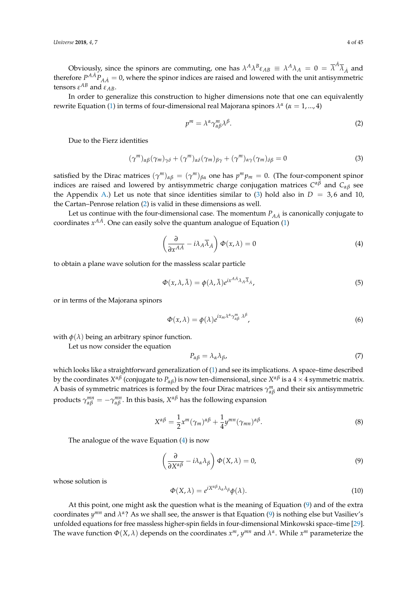Obviously, since the spinors are commuting, one has  $\lambda^A \lambda^B \epsilon_{AB} \equiv \lambda^A \lambda_A = 0 = \overline{\lambda}^{\dot{A}} \overline{\lambda}_{\dot{A}}$  and therefore  $P^{AA}P_{AA} = 0$ , where the spinor indices are raised and lowered with the unit antisymmetric tensors  $ε^{AB}$  and  $ε_{AB}$ .

In order to generalize this construction to higher dimensions note that one can equivalently rewrite Equation [\(1\)](#page-2-1) in terms of four-dimensional real Majorana spinors *λ α* (*α* = 1, ..., 4)

<span id="page-3-1"></span>
$$
p^m = \lambda^{\alpha} \gamma_{\alpha\beta}^m \lambda^{\beta}.
$$
 (2)

Due to the Fierz identities

<span id="page-3-0"></span>
$$
(\gamma^{m})_{\alpha\beta}(\gamma_{m})_{\gamma\delta} + (\gamma^{m})_{\alpha\delta}(\gamma_{m})_{\beta\gamma} + (\gamma^{m})_{\alpha\gamma}(\gamma_{m})_{\delta\beta} = 0
$$
\n(3)

satisfied by the Dirac matrices  $(\gamma^m)_{\alpha\beta} = (\gamma^m)_{\beta\alpha}$  one has  $p^m p_m = 0$ . (The four-component spinor indices are raised and lowered by antisymmetric charge conjugation matrices *C αβ* and *Cαβ* see the Appendix [A.](#page-38-0)) Let us note that since identities similar to [\(3\)](#page-3-0) hold also in  $D = 3, 6$  and 10, the Cartan–Penrose relation [\(2\)](#page-3-1) is valid in these dimensions as well.

Let us continue with the four-dimensional case. The momentum  $P_{A\dot{A}}$  is canonically conjugate to coordinates  $x^{AA}$ . One can easily solve the quantum analogue of Equation [\(1\)](#page-2-1)

<span id="page-3-2"></span>
$$
\left(\frac{\partial}{\partial x^{A\dot{A}}} - i\lambda_A \overline{\lambda}_A\right) \Phi(x,\lambda) = 0
$$
\n(4)

to obtain a plane wave solution for the massless scalar particle

$$
\Phi(x,\lambda,\bar{\lambda}) = \phi(\lambda,\bar{\lambda})e^{ix^{A\bar{A}}\lambda_A\bar{\lambda}_A},\tag{5}
$$

or in terms of the Majorana spinors

$$
\Phi(x,\lambda) = \phi(\lambda)e^{ix_m\lambda^{\alpha}\gamma_{\alpha\beta}^m \lambda^{\beta}},
$$
\n(6)

with  $\phi(\lambda)$  being an arbitrary spinor function.

Let us now consider the equation

<span id="page-3-6"></span>
$$
P_{\alpha\beta} = \lambda_{\alpha}\lambda_{\beta},\tag{7}
$$

which looks like a straightforward generalization of [\(1\)](#page-2-1) and see its implications. A space–time described by the coordinates  $X^{\alpha\beta}$  (conjugate to  $P_{\alpha\beta}$ ) is now ten-dimensional, since  $X^{\alpha\beta}$  is a  $4\times 4$  symmetric matrix. A basis of symmetric matrices is formed by the four Dirac matrices  $\gamma_{\alpha\beta}^m$  and their six antisymmetric products  $γ_{\alpha\beta}^{mn} = -γ_{\alpha\beta}^{mn}$ . In this basis,  $X^{\alpha\beta}$  has the following expansion

<span id="page-3-5"></span>
$$
X^{\alpha\beta} = \frac{1}{2}x^m(\gamma_m)^{\alpha\beta} + \frac{1}{4}y^{mn}(\gamma_{mn})^{\alpha\beta}.
$$
\n(8)

The analogue of the wave Equation [\(4\)](#page-3-2) is now

<span id="page-3-3"></span>
$$
\left(\frac{\partial}{\partial X^{\alpha\beta}} - i\lambda_{\alpha}\lambda_{\beta}\right)\Phi(X,\lambda) = 0, \tag{9}
$$

whose solution is

<span id="page-3-4"></span>
$$
\Phi(X,\lambda) = e^{iX^{\alpha\beta}\lambda_{\alpha}\lambda_{\beta}}\phi(\lambda).
$$
\n(10)

At this point, one might ask the question what is the meaning of Equation [\(9\)](#page-3-3) and of the extra coordinates *y mn* and *λ α* ? As we shall see, the answer is that Equation [\(9\)](#page-3-3) is nothing else but Vasiliev's unfolded equations for free massless higher-spin fields in four-dimensional Minkowski space–time [\[29\]](#page-41-1). The wave function  $\Phi(X, \lambda)$  depends on the coordinates  $x^m$ ,  $y^{mn}$  and  $\lambda^{\alpha}$ . While  $x^m$  parameterize the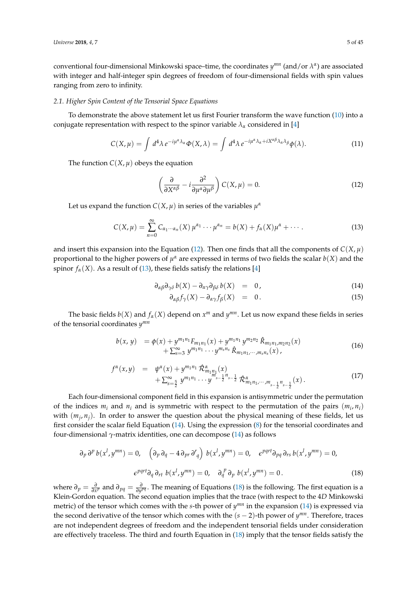conventional four-dimensional Minkowski space–time, the coordinates  $y^{mn}$  (and/or  $\lambda^{\alpha}$ ) are associated with integer and half-integer spin degrees of freedom of four-dimensional fields with spin values ranging from zero to infinity.

#### <span id="page-4-6"></span>*2.1. Higher Spin Content of the Tensorial Space Equations*

To demonstrate the above statement let us first Fourier transform the wave function [\(10\)](#page-3-4) into a conjugate representation with respect to the spinor variable  $\lambda_{\alpha}$  considered in [\[4\]](#page-40-5)

$$
C(X,\mu) = \int d^4\lambda \, e^{-i\mu^{\alpha}\lambda_{\alpha}} \Phi(X,\lambda) = \int d^4\lambda \, e^{-i\mu^{\alpha}\lambda_{\alpha} + iX^{\alpha\beta}\lambda_{\alpha}\lambda_{\beta}} \phi(\lambda). \tag{11}
$$

The function  $C(X, \mu)$  obeys the equation

<span id="page-4-0"></span>
$$
\left(\frac{\partial}{\partial X^{\alpha\beta}} - i \frac{\partial^2}{\partial \mu^{\alpha} \partial \mu^{\beta}}\right) C(X, \mu) = 0.
$$
 (12)

Let us expand the function  $C(X, \mu)$  in series of the variables  $\mu^{\alpha}$ 

<span id="page-4-1"></span>
$$
C(X,\mu) = \sum_{n=0}^{\infty} C_{\alpha_1 \cdots \alpha_n}(X) \mu^{\alpha_1} \cdots \mu^{\alpha_n} = b(X) + f_{\alpha}(X)\mu^{\alpha} + \cdots
$$
 (13)

and insert this expansion into the Equation [\(12\)](#page-4-0). Then one finds that all the components of  $C(X, \mu)$ proportional to the higher powers of  $\mu^{\alpha}$  are expressed in terms of two fields the scalar  $b(X)$  and the spinor  $f_\alpha(X)$ . As a result of [\(13\)](#page-4-1), these fields satisfy the relations [\[4\]](#page-40-5)

<span id="page-4-2"></span>
$$
\partial_{\alpha\beta}\partial_{\gamma\delta}b(X) - \partial_{\alpha\gamma}\partial_{\beta\delta}b(X) = 0, \qquad (14)
$$

$$
\partial_{\alpha\beta} f_{\gamma}(X) - \partial_{\alpha\gamma} f_{\beta}(X) = 0. \qquad (15)
$$

The basic fields  $b(X)$  and  $f_{\alpha}(X)$  depend on  $x^m$  and  $y^{mn}$ . Let us now expand these fields in series of the tensorial coordinates *y mn*

<span id="page-4-4"></span>
$$
b(x, y) = \phi(x) + y^{m_1 n_1} F_{m_1 n_1}(x) + y^{m_1 n_1} y^{m_2 n_2} \hat{R}_{m_1 n_1, m_2 n_2}(x) + \sum_{s=3}^{\infty} y^{m_1 n_1} \cdots y^{m_s n_s} \hat{R}_{m_1 n_1, \cdots, m_s n_s}(x),
$$
\n(16)

<span id="page-4-5"></span>
$$
f^{\alpha}(x,y) = \psi^{\alpha}(x) + y^{m_1 n_1} \hat{\mathcal{R}}^{\alpha}_{m_1 n_1}(x) + \sum_{s=\frac{5}{2}}^{\infty} y^{m_1 n_1} \cdots y^{m_{s-\frac{1}{2}} n_{s-\frac{1}{2}}} \hat{\mathcal{R}}^{\alpha}_{m_1 n_1, \cdots, m_{s-\frac{1}{2}} n_{s-\frac{1}{2}}}(x).
$$
\n(17)

Each four-dimensional component field in this expansion is antisymmetric under the permutation of the indices  $m_i$  and  $n_i$  and is symmetric with respect to the permutation of the pairs  $(m_i, n_i)$ with  $(m_i, n_j)$ . In order to answer the question about the physical meaning of these fields, let us first consider the scalar field Equation [\(14\)](#page-4-2). Using the expression [\(8\)](#page-3-5) for the tensorial coordinates and four-dimensional *γ*-matrix identities, one can decompose [\(14\)](#page-4-2) as follows

<span id="page-4-3"></span>
$$
\partial_p \partial^p b(x^l, y^{mn}) = 0, \quad \left(\partial_p \partial_q - 4 \partial_{pr} \partial_q^r\right) b(x^l, y^{mn}) = 0, \quad \epsilon^{pqrt} \partial_{pq} \partial_{rs} b(x^l, y^{mn}) = 0,
$$
\n
$$
\epsilon^{pqrt} \partial_q \partial_{rt} b(x^l, y^{mn}) = 0, \quad \partial_q^p \partial_p b(x^l, y^{mn}) = 0.
$$
\n(18)

where  $\partial_p = \frac{\partial}{\partial x^p}$  and  $\partial_{pq} = \frac{\partial}{\partial y^{pq}}$ . The meaning of Equations [\(18\)](#page-4-3) is the following. The first equation is a Klein-Gordon equation. The second equation implies that the trace (with respect to the 4*D* Minkowski metric) of the tensor which comes with the *s*-th power of  $y^{mn}$  in the expansion [\(14\)](#page-4-2) is expressed via the second derivative of the tensor which comes with the  $(s - 2)$ -th power of  $y^{mn}$ . Therefore, traces are not independent degrees of freedom and the independent tensorial fields under consideration are effectively traceless. The third and fourth Equation in [\(18\)](#page-4-3) imply that the tensor fields satisfy the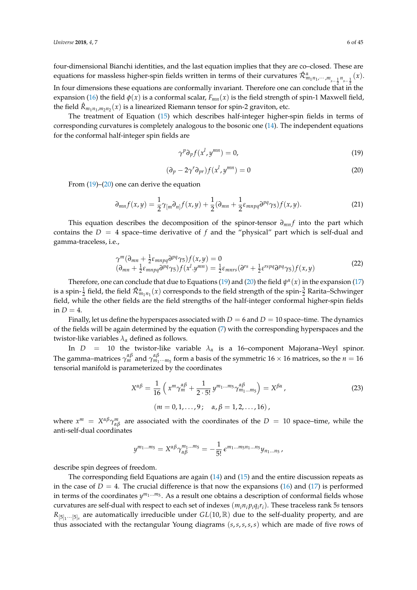four-dimensional Bianchi identities, and the last equation implies that they are co–closed. These are equations for massless higher-spin fields written in terms of their curvatures  $\hat{\cal R}^{\alpha}_{m_1n_1,\cdots,m_{s-\frac{1}{2}}n_{s-\frac{1}{2}}}(x)$ . In four dimensions these equations are conformally invariant. Therefore one can conclude that in the expansion [\(16\)](#page-4-4) the field  $\phi(x)$  is a conformal scalar,  $F_{mn}(x)$  is the field strength of spin-1 Maxwell field, the field  $\hat{R}_{m_1n_1,m_2n_2}(x)$  is a linearized Riemann tensor for spin-2 graviton, etc.

The treatment of Equation [\(15\)](#page-4-2) which describes half-integer higher-spin fields in terms of corresponding curvatures is completely analogous to the bosonic one [\(14\)](#page-4-2). The independent equations for the conformal half-integer spin fields are

<span id="page-5-0"></span>
$$
\gamma^p \partial_p f(x^l, y^{mn}) = 0,\tag{19}
$$

<span id="page-5-1"></span>
$$
(\partial_p - 2\gamma^r \partial_{pr}) f(x^l, y^{mn}) = 0
$$
\n(20)

From [\(19\)](#page-5-0)–[\(20\)](#page-5-1) one can derive the equation

$$
\partial_{mn}f(x,y) = \frac{1}{2}\gamma_{[m}\partial_{n]}f(x,y) + \frac{1}{2}(\partial_{mn} + \frac{1}{2}\varepsilon_{mnpq}\partial^{pq}\gamma_{5})f(x,y).
$$
 (21)

This equation describes the decomposition of the spinor-tensor  $∂<sub>mn</sub> f$  into the part which contains the  $D = 4$  space–time derivative of f and the "physical" part which is self-dual and gamma-traceless, i.e.,

$$
\gamma^{m}(\partial_{mn} + \frac{1}{2}\varepsilon_{mnpq}\partial^{pq}\gamma_{5})f(x,y) = 0
$$
  
\n
$$
(\partial_{mn} + \frac{1}{2}\varepsilon_{mnpq}\partial^{pq}\gamma_{5})f(x^{l}.y^{mn}) = \frac{1}{2}\varepsilon_{mnrs}(\partial^{rs} + \frac{1}{2}\varepsilon^{rspq}\partial^{pq}\gamma_{5})f(x,y)
$$
\n(22)

Therefore, one can conclude that due to Equations [\(19\)](#page-5-0) and [\(20\)](#page-5-1) the field  $\psi^{\alpha}(x)$  in the expansion [\(17\)](#page-4-5) is a spin- $\frac12$  field, the field  $\hat{\cal R}^{\alpha}_{m_1n_1}(x)$  corresponds to the field strength of the spin- $\frac32$  Rarita–Schwinger field, while the other fields are the field strengths of the half-integer conformal higher-spin fields in  $D = 4$ .

Finally, let us define the hyperspaces associated with  $D = 6$  and  $D = 10$  space–time. The dynamics of the fields will be again determined by the equation [\(7\)](#page-3-6) with the corresponding hyperspaces and the twistor-like variables  $\lambda_{\alpha}$  defined as follows.

In  $D = 10$  the twistor-like variable  $\lambda_{\alpha}$  is a 16-component Majorana–Weyl spinor. The gamma–matrices  $\gamma_m^{\alpha\beta}$  and  $\gamma_{m_1\cdots m_5}^{\alpha\beta}$  form a basis of the symmetric 16  $\times$  16 matrices, so the  $n=16$ tensorial manifold is parameterized by the coordinates

$$
X^{\alpha\beta} = \frac{1}{16} \left( x^m \gamma_m^{\alpha\beta} + \frac{1}{2 \cdot 5!} y^{m_1 \dots m_5} \gamma_{m_1 \dots m_5}^{\alpha\beta} \right) = X^{\beta\alpha},
$$
  
\n(*m* = 0, 1, ..., 9;  $\alpha, \beta = 1, 2, ..., 16$ ), (23)

where  $x^m = X^{\alpha\beta}\gamma^m_{\alpha\beta}$  are associated with the coordinates of the  $D = 10$  space–time, while the anti-self-dual coordinates

$$
y^{m_1...m_5} = X^{\alpha\beta} \gamma_{\alpha\beta}^{m_1...m_5} = -\frac{1}{5!} \epsilon^{m_1...m_5n_1...n_5} y_{n_1...n_5},
$$

describe spin degrees of freedom.

The corresponding field Equations are again [\(14\)](#page-4-2) and [\(15\)](#page-4-2) and the entire discussion repeats as in the case of  $D = 4$ . The crucial difference is that now the expansions [\(16\)](#page-4-4) and [\(17\)](#page-4-5) is performed in terms of the coordinates  $y^{m_1...m_5}$ . As a result one obtains a description of conformal fields whose curvatures are self-dual with respect to each set of indexes (*min<sup>i</sup> piq<sup>i</sup> ri*). These traceless rank 5*s* tensors  $R_{[5]_1\cdots[5]_s}$  are automatically irreducible under  $GL(10,\mathbb{R})$  due to the self-duality property, and are thus associated with the rectangular Young diagrams (*s*,*s*,*s*,*s*,*s*) which are made of five rows of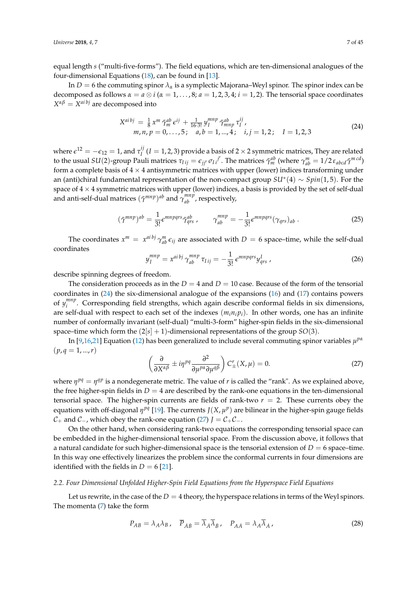equal length *s* ("multi-five-forms"). The field equations, which are ten-dimensional analogues of the four-dimensional Equations [\(18\)](#page-4-3), can be found in [\[13\]](#page-41-6).

In *D* = 6 the commuting spinor *λ<sup>α</sup>* is a symplectic Majorana–Weyl spinor. The spinor index can be decomposed as follows  $\alpha = a \otimes i$  ( $\alpha = 1, ..., 8; a = 1, 2, 3, 4; i = 1, 2$ ). The tensorial space coordinates  $X^{\alpha\beta} = X^{a i b j}$  are decomposed into

<span id="page-6-0"></span>
$$
X^{aibj} = \frac{1}{8} x^m \tilde{\gamma}_m^{ab} \epsilon^{ij} + \frac{1}{16 \cdot 3!} y_I^{mnp} \tilde{\gamma}_{mnp}^{ab} \tau_I^{ij},
$$
  
\n
$$
m, n, p = 0, ..., 5; \quad a, b = 1, ..., 4; \quad i, j = 1, 2; \quad I = 1, 2, 3
$$
\n(24)

where  $\epsilon^{12} = -\epsilon_{12} = 1$ , and  $\tau_I^{ij}$  $I_I^{I}$  (*I* = 1, 2, 3) provide a basis of 2  $\times$  2 symmetric matrices, They are related to the usual  $SU(2)$ -group Pauli matrices  $\tau_{Iij} = \epsilon_{jj'} \sigma_{Ii}^{j'}$ . The matrices  $\tilde{\gamma}_m^{ab}$  (where  $\gamma_{ab}^m = 1/2 \epsilon_{abcd} \tilde{\gamma}^{mcd}$ ) form a complete basis of  $4 \times 4$  antisymmetric matrices with upper (lower) indices transforming under an (anti)chiral fundamental representation of the non-compact group *SU*<sup>∗</sup> (4) ∼ *Spin*(1, 5). For the space of  $4 \times 4$  symmetric matrices with upper (lower) indices, a basis is provided by the set of self-dual and anti-self-dual matrices  $(\tilde{\gamma}^{mnp})^{ab}$  and  $\tilde{\gamma}_{ab}^{mnp}$ , respectively,

$$
(\tilde{\gamma}^{mnp})^{ab} = \frac{1}{3!} \epsilon^{mnpqrs} \tilde{\gamma}^{ab}_{qrs} , \qquad \gamma^{mnp}_{ab} = -\frac{1}{3!} \epsilon^{mnpqrs} (\gamma_{qrs})_{ab} . \tag{25}
$$

The coordinates  $x^m = x^{a^{i}b^{j}} \gamma_{ab}^m \epsilon_{ij}$  are associated with  $D = 6$  space–time, while the self-dual coordinates

$$
y_I^{mnp} = x^{aibj} \gamma_{ab}^{mnp} \tau_{Iij} = -\frac{1}{3!} \epsilon^{mnpqrs} y_{qrs}^I \tag{26}
$$

describe spinning degrees of freedom.

The consideration proceeds as in the  $D = 4$  and  $D = 10$  case. Because of the form of the tensorial coordinates in [\(24\)](#page-6-0) the six-dimensional analogue of the expansions [\(16\)](#page-4-4) and [\(17\)](#page-4-5) contains powers of  $y_i^{mnp}$ <sup>*imp*</sup>. Corresponding field strengths, which again describe conformal fields in six dimensions, are self-dual with respect to each set of the indexes  $(m_i n_i p_i)$ . In other words, one has an infinite number of conformally invariant (self-dual) "multi-3-form" higher-spin fields in the six-dimensional space–time which form the  $(2[s] + 1)$ -dimensional representations of the group *SO*(3).

In [\[9](#page-40-6)[,16](#page-41-13)[,21\]](#page-41-14) Equation [\(12\)](#page-4-0) has been generalized to include several commuting spinor variables *µ pα*  $(p, q = 1, ..., r)$ 

<span id="page-6-1"></span>
$$
\left(\frac{\partial}{\partial X^{\alpha\beta}} \pm i\eta^{pq} \frac{\partial^2}{\partial \mu^{p\alpha} \partial \mu^{q\beta}}\right) C'_{\pm}(X,\mu) = 0.
$$
 (27)

where  $\eta^{pq} = \eta^{qp}$  is a nondegenerate metric. The value of *r* is called the "rank". As we explained above, the free higher-spin fields in  $D = 4$  are described by the rank-one equations in the ten-dimensional tensorial space. The higher-spin currents are fields of rank-two  $r = 2$ . These currents obey the equations with off-diagonal  $\eta^{pq}$  [\[19\]](#page-41-15). The currents  $J(X, \mu^p)$  are bilinear in the higher-spin gauge fields  $C_+$  and  $C_-$ , which obey the rank-one equation [\(27\)](#page-6-1) *J* =  $C_+C_-$ .

On the other hand, when considering rank-two equations the corresponding tensorial space can be embedded in the higher-dimensional tensorial space. From the discussion above, it follows that a natural candidate for such higher-dimensional space is the tensorial extension of  $D = 6$  space–time. In this way one effectively linearizes the problem since the conformal currents in four dimensions are identified with the fields in  $D = 6$  [\[21\]](#page-41-14).

#### *2.2. Four Dimensional Unfolded Higher-Spin Field Equations from the Hyperspace Field Equations*

Let us rewrite, in the case of the  $D = 4$  theory, the hyperspace relations in terms of the Weyl spinors. The momenta [\(7\)](#page-3-6) take the form

$$
P_{AB} = \lambda_A \lambda_B, \quad \overline{P}_{\dot{A}\dot{B}} = \overline{\lambda}_{\dot{A}} \overline{\lambda}_{\dot{B}}, \quad P_{A\dot{A}} = \lambda_A \overline{\lambda}_{\dot{A}} \tag{28}
$$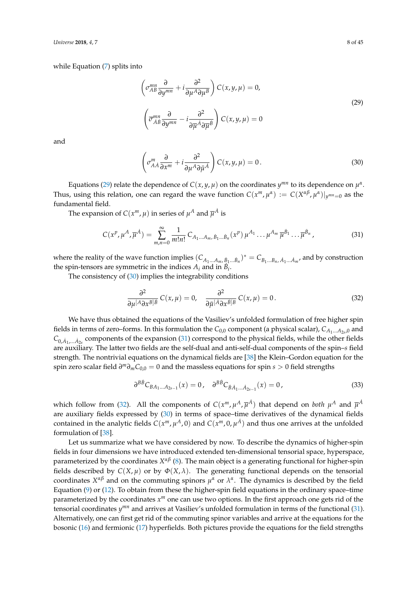while Equation [\(7\)](#page-3-6) splits into

<span id="page-7-0"></span>
$$
\left(\sigma_{AB}^{mn}\frac{\partial}{\partial y^{mn}} + i\frac{\partial^2}{\partial \mu^A \partial \mu^B}\right) C(x, y, \mu) = 0,
$$
\n
$$
\left(\overline{\sigma}_{\dot{A}\dot{B}}^{mn}\frac{\partial}{\partial y^{mn}} - i\frac{\partial^2}{\partial \overline{\mu}^A \partial \overline{\mu}^B}\right) C(x, y, \mu) = 0
$$
\n(29)

and

<span id="page-7-1"></span>
$$
\left(\sigma_{A\dot{A}}^{m}\frac{\partial}{\partial x^{m}} + i\frac{\partial^{2}}{\partial \mu^{A}\partial \bar{\mu}^{\dot{A}}}\right)C(x,y,\mu) = 0.
$$
\n(30)

Equations [\(29\)](#page-7-0) relate the dependence of  $C(x, y, \mu)$  on the coordinates  $y^{mn}$  to its dependence on  $\mu^{\alpha}$ . Thus, using this relation, one can regard the wave function  $C(x^m,\mu^\alpha):=C(X^{\alpha\beta},\mu^\alpha)|_{y^{mn}=0}$  as the fundamental field.

The expansion of  $C(x^m, \mu)$  in series of  $\mu^A$  and  $\overline{\mu}^{\dot{A}}$  is

<span id="page-7-2"></span>
$$
C(x^p, \mu^A, \overline{\mu}^{\dot{A}}) = \sum_{m,n=0}^{\infty} \frac{1}{m!n!} C_{A_1...A_m, \dot{B}_1... \dot{B}_n}(x^p) \mu^{A_1} ... \mu^{A_m} \overline{\mu}^{\dot{B}_1} ... \overline{\mu}^{\dot{B}_n},
$$
(31)

where the reality of the wave function implies  $(C_{A_1...A_m,\dot{B}_1...\dot{B}_n})^* = C_{B_1...B_n,\dot{A}_1...\dot{A}_m}$ , and by construction the spin-tensors are symmetric in the indices  $A_i$  and in  $\hat{B_i}$ .

The consistency of [\(30\)](#page-7-1) implies the integrability conditions

<span id="page-7-3"></span>
$$
\frac{\partial^2}{\partial \mu^{[A}\partial x^{B]\dot{B}}}C(x,\mu)=0, \quad \frac{\partial^2}{\partial \bar{\mu}^{[A}\partial x^{\dot{B}]B}}C(x,\mu)=0.
$$
 (32)

We have thus obtained the equations of the Vasiliev's unfolded formulation of free higher spin fields in terms of zero–forms. In this formulation the  $C_{0,0}$  component (a physical scalar),  $C_{A_1...A_{2s},0}$  and  $C_{0,\dot{A}_1,...\dot{A}_{2s}}$  components of the expansion [\(31\)](#page-7-2) correspond to the physical fields, while the other fields are auxiliary. The latter two fields are the self-dual and anti-self-dual components of the spin–*s* field strength. The nontrivial equations on the dynamical fields are [\[38\]](#page-41-16) the Klein–Gordon equation for the spin zero scalar field *∂ <sup>m</sup>∂mC*0,0 = 0 and the massless equations for spin *s* > 0 field strengths

<span id="page-7-4"></span>
$$
\partial^{B\dot{B}} C_{BA_1...A_{2s-1}}(x) = 0, \quad \partial^{B\dot{B}} C_{\dot{B}\dot{A}_1...A_{2s-1}}(x) = 0, \tag{33}
$$

which follow from [\(32\)](#page-7-3). All the components of  $C(x^m, \mu^A, \overline{\mu}^{\dot{A}})$  that depend on *both*  $\mu^A$  and  $\overline{\mu}^{\dot{A}}$ are auxiliary fields expressed by [\(30\)](#page-7-1) in terms of space–time derivatives of the dynamical fields contained in the analytic fields  $C(x^m, \mu^A, 0)$  and  $C(x^m, 0, \mu^{\dot{A}})$  and thus one arrives at the unfolded formulation of [\[38\]](#page-41-16).

Let us summarize what we have considered by now. To describe the dynamics of higher-spin fields in four dimensions we have introduced extended ten-dimensional tensorial space, hyperspace, parameterized by the coordinates *X<sup>αβ</sup>* [\(8\)](#page-3-5). The main object is a generating functional for higher-spin fields described by  $C(X, \mu)$  or by  $\Phi(X, \lambda)$ . The generating functional depends on the tensorial coordinates  $X^{\alpha\beta}$  and on the commuting spinors  $\mu^{\alpha}$  or  $\lambda^{\alpha}$ . The dynamics is described by the field Equation  $(9)$  or  $(12)$ . To obtain from these the higher-spin field equations in the ordinary space–time parameterized by the coordinates  $x^m$  one can use two options. In the first approach one gets rid of the tensorial coordinates  $y^{mn}$  and arrives at Vasiliev's unfolded formulation in terms of the functional [\(31\)](#page-7-2). Alternatively, one can first get rid of the commuting spinor variables and arrive at the equations for the bosonic [\(16\)](#page-4-4) and fermionic [\(17\)](#page-4-5) hyperfields. Both pictures provide the equations for the field strengths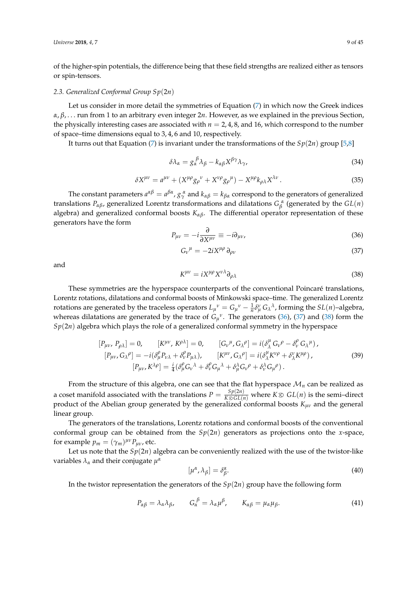of the higher-spin potentials, the difference being that these field strengths are realized either as tensors or spin-tensors.

#### <span id="page-8-5"></span>*2.3. Generalized Conformal Group Sp*(2*n*)

Let us consider in more detail the symmetries of Equation [\(7\)](#page-3-6) in which now the Greek indices *α*, *β*, . . . run from 1 to an arbitrary even integer 2*n*. However, as we explained in the previous Section, the physically interesting cases are associated with *n* = 2, 4, 8, and 16, which correspond to the number of space–time dimensions equal to 3, 4, 6 and 10, respectively.

It turns out that Equation [\(7\)](#page-3-6) is invariant under the transformations of the  $Sp(2n)$  group [\[5,](#page-40-7)[8\]](#page-40-3)

$$
\delta \lambda_{\alpha} = g_{\alpha}^{\ \beta} \lambda_{\beta} - k_{\alpha\beta} X^{\beta\gamma} \lambda_{\gamma},\tag{34}
$$

<span id="page-8-3"></span>
$$
\delta X^{\mu\nu} = a^{\mu\nu} + (X^{\mu\rho} g_{\rho}{}^{\nu} + X^{\nu\rho} g_{\rho}{}^{\mu}) - X^{\mu\rho} k_{\rho\lambda} X^{\lambda\nu} \,. \tag{35}
$$

The constant parameters  $a^{\alpha\beta} = a^{\beta\alpha}$ ,  $g^{\;\alpha}_{\gamma}$  and  $k_{\alpha\beta} = k_{\beta\alpha}$  correspond to the generators of generalized translations  $P_{\alpha\beta}$ , generalized Lorentz transformations and dilatations  $G_{\beta}^{\ \alpha}$  (generated by the  $GL(n)$ algebra) and generalized conformal boosts *Kαβ*. The differential operator representation of these generators have the form

<span id="page-8-0"></span>
$$
P_{\mu\nu} = -i \frac{\partial}{\partial X^{\mu\nu}} \equiv -i \partial_{\mu\nu}, \tag{36}
$$

<span id="page-8-1"></span>
$$
G_{\nu}{}^{\mu} = -2iX^{\mu\rho}\,\partial_{\rho\nu} \tag{37}
$$

and

<span id="page-8-2"></span>
$$
K^{\mu\nu} = iX^{\mu\rho}X^{\nu\lambda}\partial_{\rho\lambda} \tag{38}
$$

These symmetries are the hyperspace counterparts of the conventional Poincaré translations, Lorentz rotations, dilatations and conformal boosts of Minkowski space–time. The generalized Lorentz rotations are generated by the traceless operators  $L_\mu{}^\nu = G_\mu{}^\nu - \frac{1}{n} \delta^\nu_\mu G_\lambda{}^\lambda$ , forming the  $SL(n)$ –algebra, whereas dilatations are generated by the trace of  $G_{\mu}^{\nu}$ . The generators [\(36\)](#page-8-0), [\(37\)](#page-8-1) and [\(38\)](#page-8-2) form the  $Sp(2n)$  algebra which plays the role of a generalized conformal symmetry in the hyperspace

<span id="page-8-4"></span>
$$
[P_{\mu\nu}, P_{\rho\lambda}] = 0, \qquad [K^{\mu\nu}, K^{\rho\lambda}] = 0, \qquad [G_{\nu}{}^{\mu}, G_{\lambda}{}^{\rho}] = i(\delta^{\mu}_{\lambda} G_{\nu}{}^{\rho} - \delta^{\rho}_{\nu} G_{\lambda}{}^{\mu}), [P_{\mu\nu}, G_{\lambda}{}^{\rho}] = -i(\delta^{\rho}_{\mu} P_{\nu\lambda} + \delta^{\rho}_{\nu} P_{\mu\lambda}), \qquad [K^{\mu\nu}, G_{\lambda}{}^{\rho}] = i(\delta^{\mu}_{\lambda} K^{\nu\rho} + \delta^{\nu}_{\lambda} K^{\mu\rho}), [P_{\mu\nu}, K^{\lambda\rho}] = \frac{i}{4}(\delta^{\rho}_{\mu} G_{\nu}{}^{\lambda} + \delta^{\rho}_{\nu} G_{\mu}{}^{\lambda} + \delta^{\lambda}_{\mu} G_{\nu}{}^{\rho} + \delta^{\lambda}_{\nu} G_{\mu}{}^{\rho}).
$$
\n(39)

From the structure of this algebra, one can see that the flat hyperspace  $\mathcal{M}_n$  can be realized as a coset manifold associated with the translations  $P = \frac{Sp(2n)}{K \otimes GL(n)}$  where  $K \otimes GL(n)$  is the semi–direct product of the Abelian group generated by the generalized conformal boosts *Kµν* and the general linear group.

The generators of the translations, Lorentz rotations and conformal boosts of the conventional conformal group can be obtained from the  $Sp(2n)$  generators as projections onto the *x*-space, for example  $p_m = (\gamma_m)^{\mu\nu} P_{\mu\nu}$ , etc.

Let us note that the  $Sp(2n)$  algebra can be conveniently realized with the use of the twistor-like variables *λ<sup>α</sup>* and their conjugate *µ α*

<span id="page-8-6"></span>
$$
[\mu^{\alpha}, \lambda_{\beta}] = \delta^{\alpha}_{\beta}.
$$
 (40)

In the twistor representation the generators of the  $Sp(2n)$  group have the following form

$$
P_{\alpha\beta} = \lambda_{\alpha}\lambda_{\beta}, \qquad G_{\alpha}^{\beta} = \lambda_{\alpha}\mu^{\beta}, \qquad K_{\alpha\beta} = \mu_{\alpha}\mu_{\beta}.
$$
 (41)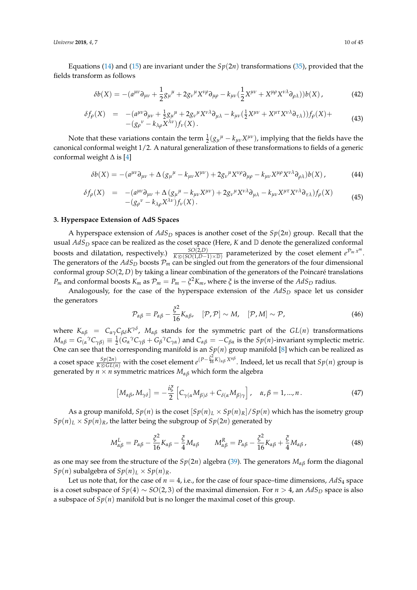*Universe* **2018**, *4*, 7 10 of 45

Equations [\(14\)](#page-4-2) and [\(15\)](#page-4-2) are invariant under the  $Sp(2n)$  transformations [\(35\)](#page-8-3), provided that the fields transform as follows

<span id="page-9-1"></span>
$$
\delta b(X) = -(a^{\mu\nu}\partial_{\mu\nu} + \frac{1}{2}g_{\mu}{}^{\mu} + 2g_{\nu}{}^{\mu}X^{\nu\rho}\partial_{\mu\rho} - k_{\mu\nu}(\frac{1}{2}X^{\mu\nu} + X^{\mu\rho}X^{\nu\lambda}\partial_{\rho\lambda}))b(X) , \qquad (42)
$$

<span id="page-9-2"></span>
$$
\delta f_{\rho}(X) = -(a^{\mu\nu}\partial_{\mu\nu} + \frac{1}{2}g_{\mu}{}^{\mu} + 2g_{\nu}{}^{\mu}X^{\nu\lambda}\partial_{\mu\lambda} - k_{\mu\nu}(\frac{1}{2}X^{\mu\nu} + X^{\mu\tau}X^{\nu\lambda}\partial_{\tau\lambda}))f_{\rho}(X) +
$$
\n
$$
-(g_{\rho}{}^{\nu} - k_{\lambda\rho}X^{\lambda\nu})f_{\nu}(X). \tag{43}
$$

Note that these variations contain the term  $\frac{1}{2}(g_{\mu}{}^{\mu} - k_{\mu\nu}X^{\mu\nu})$ , implying that the fields have the canonical conformal weight 1/2. A natural generalization of these transformations to fields of a generic conformal weight  $\Delta$  is [\[4\]](#page-40-5)

$$
\delta b(X) = -(a^{\mu\nu}\partial_{\mu\nu} + \Delta \left(g_{\mu}{}^{\mu} - k_{\mu\nu}X^{\mu\nu}\right) + 2g_{\nu}{}^{\mu}X^{\nu\rho}\partial_{\mu\rho} - k_{\mu\nu}X^{\mu\rho}X^{\nu\lambda}\partial_{\rho\lambda}\right)b(X),\tag{44}
$$

$$
\delta f_{\rho}(X) = -(a^{\mu\nu}\partial_{\mu\nu} + \Delta (g_{\mu}{}^{\mu} - k_{\mu\nu}X^{\mu\nu}) + 2g_{\nu}{}^{\mu}X^{\nu\lambda}\partial_{\mu\lambda} - k_{\mu\nu}X^{\mu\tau}X^{\nu\lambda}\partial_{\tau\lambda})f_{\rho}(X) -(g_{\rho}{}^{\nu} - k_{\lambda\rho}X^{\lambda\nu})f_{\nu}(X).
$$
\n(45)

## <span id="page-9-0"></span>**3. Hyperspace Extension of AdS Spaces**

A hyperspace extension of *AdS<sup>D</sup>* spaces is another coset of the *Sp*(2*n*) group. Recall that the usual  $AdS<sub>D</sub>$  space can be realized as the coset space (Here, *K* and  $D$  denote the generalized conformal boosts and dilatation, respectively.)  $\frac{SO(2,D)}{K\otimes (SO(1,D-1)\times\mathbb{D})}$  parameterized by the coset element  $e^{\mathcal{P}_m x^m}$ . The generators of the  $AdS_D$  boosts  $\mathcal{P}_m$  can be singled out from the generators of the four dimensional conformal group *SO*(2, *D*) by taking a linear combination of the generators of the Poincaré translations *P<sub>m</sub>* and conformal boosts  $K_m$  as  $P_m = P_m - \xi^2 K_m$ , where  $\xi$  is the inverse of the  $AdS_D$  radius.

Analogously, for the case of the hyperspace extension of the  $AdS<sub>D</sub>$  space let us consider the generators

$$
\mathcal{P}_{\alpha\beta} = P_{\alpha\beta} - \frac{\xi^2}{16} K_{\alpha\beta}, \quad [\mathcal{P}, \mathcal{P}] \sim M, \quad [\mathcal{P}, M] \sim \mathcal{P}, \tag{46}
$$

where  $K_{\alpha\beta}$  =  $C_{\alpha\gamma}C_{\beta\delta}K^{\gamma\delta}$ ,  $M_{\alpha\beta}$  stands for the symmetric part of the  $GL(n)$  transformations  $M_{\alpha\beta}=G_{(\alpha}^{\;\;\gamma}C_{\gamma\beta)}\equiv\frac{1}{2}(G_{\alpha}^{\;\;\gamma}C_{\gamma\beta}+G_{\beta}^{\;\;\gamma}C_{\gamma\alpha})$  and  $C_{\alpha\beta}=-C_{\beta\alpha}$  is the  $Sp(n)$ -invariant symplectic metric. One can see that the corresponding manifold is an  $Sp(n)$  group manifold [\[8\]](#page-40-3) which can be realized as *a* coset space  $\frac{Sp(2n)}{K\otimes GL(n)}$  with the coset element  $e^{(P-\frac{\xi^2}{16}K)_{\alpha\beta}X^{\alpha\beta}}$ . Indeed, let us recall that *Sp*(*n*) group is generated by  $n \times n$  symmetric matrices  $M_{\alpha\beta}$  which form the algebra

$$
[M_{\alpha\beta}, M_{\gamma\delta}] = -\frac{i\xi}{2} \left[ C_{\gamma(\alpha} M_{\beta)\delta} + C_{\delta(\alpha} M_{\beta)\gamma} \right], \quad \alpha, \beta = 1, ..., n. \tag{47}
$$

As a group manifold,  $Sp(n)$  is the coset  $[Sp(n)_L \times Sp(n)_R]/Sp(n)$  which has the isometry group  $Sp(n)_L \times Sp(n)_R$ , the latter being the subgroup of  $Sp(2n)$  generated by

$$
M_{\alpha\beta}^L = P_{\alpha\beta} - \frac{\xi^2}{16} K_{\alpha\beta} - \frac{\xi}{4} M_{\alpha\beta} \qquad M_{\alpha\beta}^R = P_{\alpha\beta} - \frac{\xi^2}{16} K_{\alpha\beta} + \frac{\xi}{4} M_{\alpha\beta} \,, \tag{48}
$$

as one may see from the structure of the *Sp*(2*n*) algebra [\(39\)](#page-8-4). The generators *Mαβ* form the diagonal *Sp*(*n*) subalgebra of  $Sp(n)_L \times Sp(n)_R$ .

Let us note that, for the case of  $n = 4$ , i.e., for the case of four space–time dimensions,  $AdS_4$  space is a coset subspace of  $Sp(4) \sim SO(2,3)$  of the maximal dimension. For *n* > 4, an  $AdS_D$  space is also a subspace of  $Sp(n)$  manifold but is no longer the maximal coset of this group.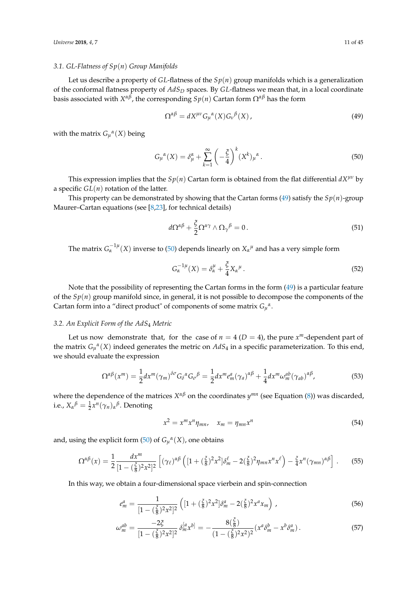#### *3.1. GL-Flatness of Sp*(*n*) *Group Manifolds*

Let us describe a property of *GL*-flatness of the *Sp*(*n*) group manifolds which is a generalization of the conformal flatness property of *AdS<sup>D</sup>* spaces. By *GL*-flatness we mean that, in a local coordinate basis associated with *X αβ*, the corresponding *Sp*(*n*) Cartan form Ω*αβ* has the form

<span id="page-10-0"></span>
$$
\Omega^{\alpha\beta} = dX^{\mu\nu} G_{\mu}{}^{\alpha}(X) G_{\nu}{}^{\beta}(X) , \qquad (49)
$$

with the matrix  $G_{\mu}^{\alpha}(X)$  being

<span id="page-10-1"></span>
$$
G_{\mu}^{\alpha}(X) = \delta_{\mu}^{\alpha} + \sum_{k=1}^{\infty} \left( -\frac{\xi}{4} \right)^k (X^k)_{\mu}^{\alpha}.
$$
 (50)

This expression implies that the  $Sp(n)$  Cartan form is obtained from the flat differential  $dX^{\mu\nu}$  by a specific  $GL(n)$  rotation of the latter.

This property can be demonstrated by showing that the Cartan forms [\(49\)](#page-10-0) satisfy the  $Sp(n)$ -group Maurer–Cartan equations (see [\[8,](#page-40-3)[23\]](#page-41-7), for technical details)

$$
d\Omega^{\alpha\beta} + \frac{\xi}{2} \Omega^{\alpha\gamma} \wedge \Omega_{\gamma}{}^{\beta} = 0. \qquad (51)
$$

The matrix  $G_\alpha^{-1\mu}(X)$  inverse to [\(50\)](#page-10-1) depends linearly on  $X_\alpha{}^\mu$  and has a very simple form

<span id="page-10-2"></span>
$$
G_{\alpha}^{-1\mu}(X) = \delta_{\alpha}^{\mu} + \frac{\xi}{4} X_{\alpha}^{\mu}.
$$
\n
$$
(52)
$$

Note that the possibility of representing the Cartan forms in the form [\(49\)](#page-10-0) is a particular feature of the *Sp*(*n*) group manifold since, in general, it is not possible to decompose the components of the Cartan form into a "direct product" of components of some matrix  $G_{\mu}^{\alpha}$ .

## *3.2. An Explicit Form of the AdS*<sup>4</sup> *Metric*

Let us now demonstrate that, for the case of  $n = 4$  ( $D = 4$ ), the pure  $x^m$ -dependent part of the matrix  $G_{\mu}^{\alpha}(X)$  indeed generates the metric on  $AdS_4$  in a specific parameterization. To this end, we should evaluate the expression

$$
\Omega^{\alpha\beta}(x^m) = \frac{1}{2} dx^m (\gamma_m)^{\delta\sigma} G_{\delta}{}^{\alpha} G_{\sigma}{}^{\beta} = \frac{1}{2} dx^m e_m^a (\gamma_a)^{\alpha\beta} + \frac{1}{4} dx^m \omega_m^{ab} (\gamma_{ab})^{\alpha\beta}, \tag{53}
$$

where the dependence of the matrices *X αβ* on the coordinates *y mn* (see Equation [\(8\)](#page-3-5)) was discarded, i.e.,  $X_{\alpha}{}^{\beta} = \frac{1}{2}x^{n}(\gamma_{n})_{\alpha}{}^{\beta}$ . Denoting

$$
x^2 = x^m x^n \eta_{mn}, \quad x_m = \eta_{mn} x^n \tag{54}
$$

and, using the explicit form [\(50\)](#page-10-1) of  $G_\mu^{\alpha}(X)$ , one obtains

$$
\Omega^{\alpha\beta}(x) = \frac{1}{2} \frac{dx^m}{[1 - (\frac{\xi}{8})^2 x^2]^2} \left[ (\gamma_\ell)^{\alpha\beta} \left( [1 + (\frac{\xi}{8})^2 x^2] \delta_m^\ell - 2(\frac{\xi}{8})^2 \eta_{mn} x^n x^\ell \right) - \frac{\xi}{4} x^n (\gamma_{mn})^{\alpha\beta} \right]. \tag{55}
$$

In this way, we obtain a four-dimensional space vierbein and spin-connection

$$
e_m^a = \frac{1}{[1 - (\frac{\xi}{8})^2 x^2]^2} \left( [1 + (\frac{\xi}{8})^2 x^2] \delta_m^a - 2(\frac{\xi}{8})^2 x^a x_m \right) ,
$$
 (56)

$$
\omega_m^{ab} = \frac{-2\xi}{[1 - (\frac{\xi}{8})^2 x^2]^2} \delta_m^{[a} x^{b]} = -\frac{8(\frac{\xi}{8})}{(1 - (\frac{\xi}{8})^2 x^2)^2} (x^a \delta_m^b - x^b \delta_m^a).
$$
 (57)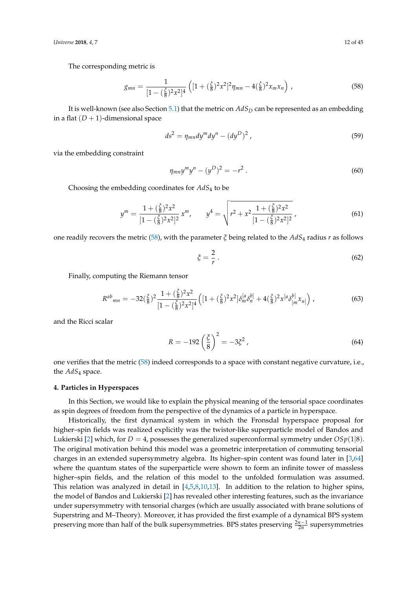*Universe* **2018**, *4*, 7 12 of 45

The corresponding metric is

<span id="page-11-1"></span>
$$
g_{mn} = \frac{1}{[1 - (\frac{\xi}{8})^2 x^2]^4} \left( [1 + (\frac{\xi}{8})^2 x^2]^2 \eta_{mn} - 4(\frac{\xi}{8})^2 x_m x_n \right) , \qquad (58)
$$

It is well-known (see also Section [5.1\)](#page-14-1) that the metric on *AdS<sup>D</sup>* can be represented as an embedding in a flat  $(D + 1)$ -dimensional space

$$
ds^2 = \eta_{mn} dy^m dy^n - (dy^D)^2 \tag{59}
$$

via the embedding constraint

$$
\eta_{mn} y^m y^n - (y^D)^2 = -r^2 \,. \tag{60}
$$

Choosing the embedding coordinates for *AdS*<sup>4</sup> to be

$$
y^{m} = \frac{1 + (\frac{\xi}{8})^{2} x^{2}}{[1 - (\frac{\xi}{8})^{2} x^{2}]^{2}} x^{m}, \qquad y^{4} = \sqrt{r^{2} + x^{2} \frac{1 + (\frac{\xi}{8})^{2} x^{2}}{[1 - (\frac{\xi}{8})^{2} x^{2}]^{2}}},
$$
(61)

one readily recovers the metric [\(58\)](#page-11-1), with the parameter *ξ* being related to the *AdS*<sup>4</sup> radius *r* as follows

$$
\xi = \frac{2}{r} \,. \tag{62}
$$

Finally, computing the Riemann tensor

$$
R^{ab}{}_{mn} = -32(\frac{\xi}{8})^2 \frac{1+(\frac{\xi}{8})^2 x^2}{[1-(\frac{\xi}{8})^2 x^2]^4} \Big( [1+(\frac{\xi}{8})^2 x^2] \delta_m^{[a} \delta_n^{b]} + 4(\frac{\xi}{8})^2 x^{[a} \delta_{[m}^{b]} x_{n]} \Big), \tag{63}
$$

and the Ricci scalar

$$
R = -192 \left(\frac{\xi}{8}\right)^2 = -3\xi^2 \,,\tag{64}
$$

one verifies that the metric [\(58\)](#page-11-1) indeed corresponds to a space with constant negative curvature, i.e., the *AdS*<sup>4</sup> space.

## <span id="page-11-0"></span>**4. Particles in Hyperspaces**

In this Section, we would like to explain the physical meaning of the tensorial space coordinates as spin degrees of freedom from the perspective of the dynamics of a particle in hyperspace.

Historically, the first dynamical system in which the Fronsdal hyperspace proposal for higher–spin fields was realized explicitly was the twistor-like superparticle model of Bandos and Lukierski [\[2\]](#page-40-1) which, for  $D = 4$ , possesses the generalized superconformal symmetry under  $OSp(1|8)$ . The original motivation behind this model was a geometric interpretation of commuting tensorial charges in an extended supersymmetry algebra. Its higher–spin content was found later in [\[3](#page-40-2)[,64\]](#page-42-9) where the quantum states of the superparticle were shown to form an infinite tower of massless higher–spin fields, and the relation of this model to the unfolded formulation was assumed. This relation was analyzed in detail in [\[4,](#page-40-5)[5,](#page-40-7)[8,](#page-40-3)[10,](#page-40-4)[13\]](#page-41-6). In addition to the relation to higher spins, the model of Bandos and Lukierski [\[2\]](#page-40-1) has revealed other interesting features, such as the invariance under supersymmetry with tensorial charges (which are usually associated with brane solutions of Superstring and M–Theory). Moreover, it has provided the first example of a dynamical BPS system preserving more than half of the bulk supersymmetries. BPS states preserving  $\frac{2n-1}{2n}$  supersymmetries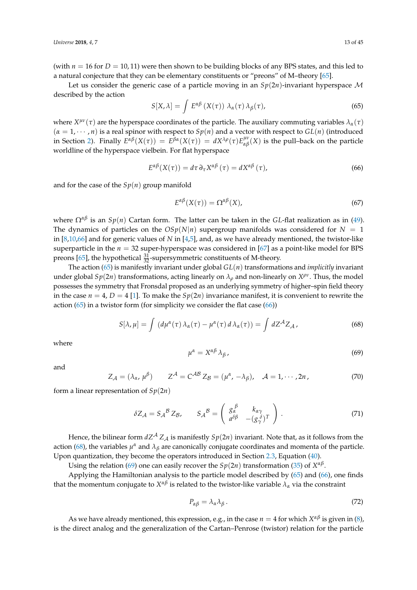(with  $n = 16$  for  $D = 10, 11$ ) were then shown to be building blocks of any BPS states, and this led to a natural conjecture that they can be elementary constituents or "preons" of M–theory [\[65\]](#page-42-10).

Let us consider the generic case of a particle moving in an *Sp*(2*n*)-invariant hyperspace M described by the action

<span id="page-12-0"></span>
$$
S[X,\lambda] = \int E^{\alpha\beta} (X(\tau)) \lambda_{\alpha}(\tau) \lambda_{\beta}(\tau), \qquad (65)
$$

where  $X^{\mu\nu}(\tau)$  are the hyperspace coordinates of the particle. The auxiliary commuting variables  $\lambda_\alpha(\tau)$  $(\alpha = 1, \dots, n)$  is a real spinor with respect to  $Sp(n)$  and a vector with respect to  $GL(n)$  (introduced in Section [2\)](#page-2-0). Finally  $E^{\alpha\beta}(X(\tau)) = E^{\beta\alpha}(X(\tau)) = dX^{\lambda\rho}(\tau)E^{\mu\nu}_{\alpha\beta}(X)$  is the pull–back on the particle worldline of the hyperspace vielbein. For flat hyperspace

<span id="page-12-1"></span>
$$
E^{\alpha\beta}(X(\tau)) = d\tau \,\partial_{\tau} X^{\alpha\beta}(\tau) = dX^{\alpha\beta}(\tau),\tag{66}
$$

and for the case of the  $Sp(n)$  group manifold

<span id="page-12-5"></span>
$$
E^{\alpha\beta}(X(\tau)) = \Omega^{\alpha\beta}(X),\tag{67}
$$

where  $\Omega^{\alpha\beta}$  is an  $Sp(n)$  Cartan form. The latter can be taken in the *GL*-flat realization as in [\(49\)](#page-10-0). The dynamics of particles on the  $OSp(N|n)$  supergroup manifolds was considered for  $N = 1$ in [\[8,](#page-40-3)[10](#page-40-4)[,66\]](#page-42-11) and for generic values of *N* in [\[4](#page-40-5)[,5\]](#page-40-7), and, as we have already mentioned, the twistor-like superparticle in the *n* = 32 super-hyperspace was considered in [\[67\]](#page-42-12) as a point-like model for BPS preons [\[65\]](#page-42-10), the hypothetical  $\frac{31}{32}$ -supersymmetric constituents of M-theory.

The action [\(65\)](#page-12-0) is manifestly invariant under global *GL*(*n*) transformations and *implicitly* invariant under global  $Sp(2n)$  transformations, acting linearly on  $\lambda_\rho$  and non-linearly on  $X^{\rho\nu}$ . Thus, the model possesses the symmetry that Fronsdal proposed as an underlying symmetry of higher–spin field theory in the case  $n = 4$ ,  $D = 4$  [\[1\]](#page-40-0). To make the  $Sp(2n)$  invariance manifest, it is convenient to rewrite the action  $(65)$  in a twistor form (for simplicity we consider the flat case  $(66)$ )

<span id="page-12-2"></span>
$$
S[\lambda, \mu] = \int (d\mu^{\alpha}(\tau) \lambda_{\alpha}(\tau) - \mu^{\alpha}(\tau) d\lambda_{\alpha}(\tau)) = \int dZ^{A} Z_{A}, \qquad (68)
$$

where

<span id="page-12-3"></span>
$$
\mu^{\alpha} = X^{\alpha\beta} \lambda_{\beta}, \tag{69}
$$

and

$$
Z_{\mathcal{A}} = (\lambda_{\alpha}, \mu^{\beta}) \qquad Z^{\mathcal{A}} = C^{\mathcal{A}\mathcal{B}} Z_{\mathcal{B}} = (\mu^{\alpha}, -\lambda_{\beta}), \quad \mathcal{A} = 1, \cdots, 2n, \tag{70}
$$

form a linear representation of *Sp*(2*n*)

$$
\delta Z_{\mathcal{A}} = S_{\mathcal{A}}{}^{\mathcal{B}} Z_{\mathcal{B}}, \qquad S_{\mathcal{A}}{}^{\mathcal{B}} = \left( \begin{array}{cc} g_{\alpha}^{\beta} & k_{\alpha \gamma} \\ a^{\delta \beta} & -(g_{\gamma}^{\delta})^T \end{array} \right). \tag{71}
$$

Hence, the bilinear form  $dZ^A Z_A$  is manifestly  $Sp(2n)$  invariant. Note that, as it follows from the action [\(68\)](#page-12-2), the variables  $\mu^{\alpha}$  and  $\lambda_{\beta}$  are canonically conjugate coordinates and momenta of the particle. Upon quantization, they become the operators introduced in Section [2.3,](#page-8-5) Equation [\(40\)](#page-8-6).

Using the relation [\(69\)](#page-12-3) one can easily recover the  $Sp(2n)$  transformation [\(35\)](#page-8-3) of  $X^{\alpha\beta}$ .

Applying the Hamiltonian analysis to the particle model described by [\(65\)](#page-12-0) and [\(66\)](#page-12-1), one finds that the momentum conjugate to  $X^{\alpha\beta}$  is related to the twistor-like variable  $\lambda_\alpha$  via the constraint

<span id="page-12-4"></span>
$$
P_{\alpha\beta} = \lambda_{\alpha}\lambda_{\beta} \,. \tag{72}
$$

As we have already mentioned, this expression, e.g., in the case  $n = 4$  for which  $X^{\alpha\beta}$  is given in [\(8\)](#page-3-5), is the direct analog and the generalization of the Cartan–Penrose (twistor) relation for the particle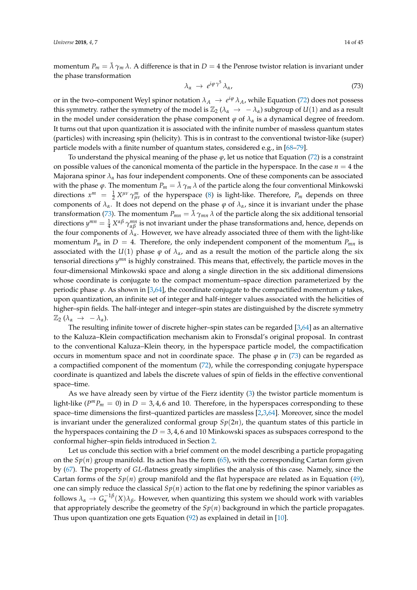momentum  $P_m = \bar{\lambda} \gamma_m \lambda$ . A difference is that in  $D = 4$  the Penrose twistor relation is invariant under the phase transformation

<span id="page-13-0"></span>
$$
\lambda_{\alpha} \rightarrow e^{i\varphi \gamma^5} \lambda_{\alpha}, \tag{73}
$$

or in the two–component Weyl spinor notation  $\lambda_A \to e^{i\varphi} \lambda_A$ , while Equation [\(72\)](#page-12-4) does not possess this symmetry. rather the symmetry of the model is  $\mathbb{Z}_2$  ( $\lambda_\alpha \to -\lambda_\alpha$ ) subgroup of  $U(1)$  and as a result in the model under consideration the phase component  $\varphi$  of  $\lambda_{\alpha}$  is a dynamical degree of freedom. It turns out that upon quantization it is associated with the infinite number of massless quantum states (particles) with increasing spin (helicity). This is in contrast to the conventional twistor-like (super) particle models with a finite number of quantum states, considered e.g., in [\[68–](#page-42-13)[79\]](#page-43-0).

To understand the physical meaning of the phase *ϕ*, let us notice that Equation [\(72\)](#page-12-4) is a constraint on possible values of the canonical momenta of the particle in the hyperspace. In the case  $n = 4$  the Majorana spinor  $\lambda_{\alpha}$  has four independent components. One of these components can be associated with the phase  $\varphi$ . The momentum  $P_m = \bar{\lambda} \gamma_m \lambda$  of the particle along the four conventional Minkowski directions  $x^m = \frac{1}{2} X^{\mu\nu} \gamma^m_{\mu\nu}$  of the hyperspace [\(8\)](#page-3-5) is light-like. Therefore,  $P_m$  depends on three components of  $\lambda_{\alpha}$ . It does not depend on the phase  $\varphi$  of  $\lambda_{\alpha}$ , since it is invariant under the phase transformation [\(73\)](#page-13-0). The momentum  $P_{mn} = \bar{\lambda} \gamma_{mn} \lambda$  of the particle along the six additional tensorial directions  $y^{mn} = \frac{1}{4} X^{\alpha\beta} \gamma^{mn}_{\alpha\beta}$  is not invariant under the phase transformations and, hence, depends on the four components of  $\lambda_{\alpha}$ . However, we have already associated three of them with the light-like momentum  $P_m$  in  $D = 4$ . Therefore, the only independent component of the momentum  $P_{mn}$  is associated with the  $U(1)$  phase  $\varphi$  of  $\lambda_{\alpha}$ , and as a result the motion of the particle along the six tensorial directions  $y^{mn}$  is highly constrained. This means that, effectively, the particle moves in the four-dimensional Minkowski space and along a single direction in the six additional dimensions whose coordinate is conjugate to the compact momentum–space direction parameterized by the periodic phase  $\varphi$ . As shown in [\[3](#page-40-2)[,64\]](#page-42-9), the coordinate conjugate to the compactified momentum  $\varphi$  takes, upon quantization, an infinite set of integer and half-integer values associated with the helicities of higher–spin fields. The half-integer and integer–spin states are distinguished by the discrete symmetry  $\mathbb{Z}_2$  ( $\lambda_\alpha \rightarrow -\lambda_\alpha$ ).

The resulting infinite tower of discrete higher–spin states can be regarded [\[3](#page-40-2)[,64\]](#page-42-9) as an alternative to the Kaluza–Klein compactification mechanism akin to Fronsdal's original proposal. In contrast to the conventional Kaluza–Klein theory, in the hyperspace particle model, the compactification occurs in momentum space and not in coordinate space. The phase  $\varphi$  in [\(73\)](#page-13-0) can be regarded as a compactified component of the momentum [\(72\)](#page-12-4), while the corresponding conjugate hyperspace coordinate is quantized and labels the discrete values of spin of fields in the effective conventional space–time.

As we have already seen by virtue of the Fierz identity [\(3\)](#page-3-0) the twistor particle momentum is light-like ( $P^m P_m = 0$ ) in  $D = 3, 4, 6$  and 10. Therefore, in the hyperspaces corresponding to these space–time dimensions the first–quantized particles are massless [\[2,](#page-40-1)[3,](#page-40-2)[64\]](#page-42-9). Moreover, since the model is invariant under the generalized conformal group  $Sp(2n)$ , the quantum states of this particle in the hyperspaces containing the  $D = 3, 4, 6$  and 10 Minkowski spaces as subspaces correspond to the conformal higher–spin fields introduced in Section [2.](#page-2-0)

Let us conclude this section with a brief comment on the model describing a particle propagating on the  $Sp(n)$  group manifold. Its action has the form  $(65)$ , with the corresponding Cartan form given by [\(67\)](#page-12-5). The property of *GL*-flatness greatly simplifies the analysis of this case. Namely, since the Cartan forms of the  $Sp(n)$  group manifold and the flat hyperspace are related as in Equation [\(49\)](#page-10-0), one can simply reduce the classical  $Sp(n)$  action to the flat one by redefining the spinor variables as follows  $\lambda_{\alpha} \to G_{\alpha}^{-1\beta}(X)\lambda_{\beta}$ . However, when quantizing this system we should work with variables that appropriately describe the geometry of the *Sp*(*n*) background in which the particle propagates. Thus upon quantization one gets Equation [\(92\)](#page-16-0) as explained in detail in [\[10\]](#page-40-4).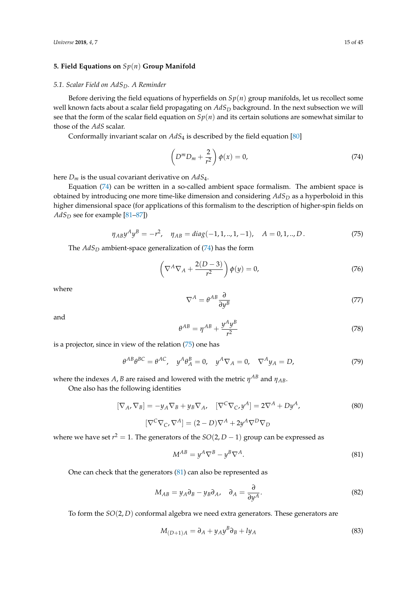# <span id="page-14-0"></span>**5. Field Equations on** *Sp*(*n*) **Group Manifold**

## <span id="page-14-1"></span>*5.1. Scalar Field on AdSD. A Reminder*

Before deriving the field equations of hyperfields on  $Sp(n)$  group manifolds, let us recollect some well known facts about a scalar field propagating on *AdS<sup>D</sup>* background. In the next subsection we will see that the form of the scalar field equation on  $Sp(n)$  and its certain solutions are somewhat similar to those of the *AdS* scalar.

Conformally invariant scalar on *AdS*<sup>4</sup> is described by the field equation [\[80\]](#page-43-1)

<span id="page-14-2"></span>
$$
\left(D^m D_m + \frac{2}{r^2}\right)\phi(x) = 0,\tag{74}
$$

here *D<sup>m</sup>* is the usual covariant derivative on *AdS*4.

Equation [\(74\)](#page-14-2) can be written in a so-called ambient space formalism. The ambient space is obtained by introducing one more time-like dimension and considering *AdS<sup>D</sup>* as a hyperboloid in this higher dimensional space (for applications of this formalism to the description of higher-spin fields on *AdS<sup>D</sup>* see for example [\[81](#page-43-2)[–87\]](#page-43-3))

<span id="page-14-3"></span>
$$
\eta_{AB} y^A y^B = -r^2, \quad \eta_{AB} = diag(-1, 1, ..., 1, -1), \quad A = 0, 1, ..., D. \tag{75}
$$

The *AdS<sup>D</sup>* ambient-space generalization of [\(74\)](#page-14-2) has the form

<span id="page-14-7"></span>
$$
\left(\nabla^A \nabla_A + \frac{2(D-3)}{r^2}\right) \phi(y) = 0, \tag{76}
$$

where

$$
\nabla^A = \theta^{AB} \frac{\partial}{\partial y^B} \tag{77}
$$

and

$$
\theta^{AB} = \eta^{AB} + \frac{y^A y^B}{r^2} \tag{78}
$$

is a projector, since in view of the relation [\(75\)](#page-14-3) one has

$$
\theta^{AB}\theta^{BC} = \theta^{AC}, \quad y^A\theta^B_A = 0, \quad y^A \nabla_A = 0, \quad \nabla^A y_A = D,\tag{79}
$$

where the indexes  $A$ ,  $B$  are raised and lowered with the metric  $\eta^{AB}$  and  $\eta_{AB}$ .

One also has the following identities

<span id="page-14-6"></span>
$$
[\nabla_A, \nabla_B] = -y_A \nabla_B + y_B \nabla_A, \quad [\nabla^C \nabla_C, y^A] = 2\nabla^A + Dy^A,
$$
\n
$$
[\nabla^C \nabla_C, \nabla^A] = (2 - D)\nabla^A + 2y^A \nabla^D \nabla_D
$$
\n(80)

where we have set  $r^2 = 1$ . The generators of the  $SO(2, D - 1)$  group can be expressed as

<span id="page-14-4"></span>
$$
M^{AB} = y^A \nabla^B - y^B \nabla^A. \tag{81}
$$

One can check that the generators [\(81\)](#page-14-4) can also be represented as

$$
M_{AB} = y_A \partial_B - y_B \partial_A, \quad \partial_A = \frac{\partial}{\partial y^A}.
$$
 (82)

To form the *SO*(2, *D*) conformal algebra we need extra generators. These generators are

<span id="page-14-5"></span>
$$
M_{(D+1)A} = \partial_A + y_A y^B \partial_B + l y_A \tag{83}
$$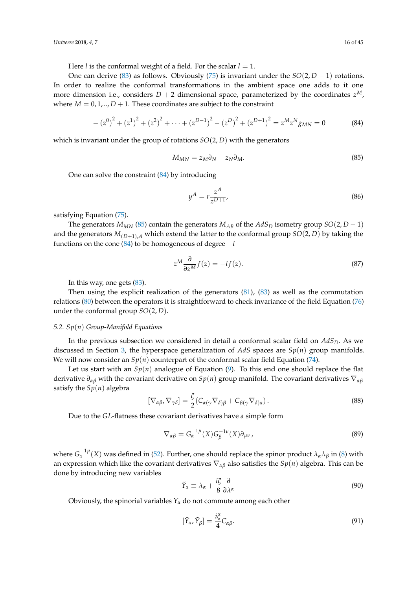Here *l* is the conformal weight of a field. For the scalar  $l = 1$ .

One can derive [\(83\)](#page-14-5) as follows. Obviously [\(75\)](#page-14-3) is invariant under the  $SO(2, D - 1)$  rotations. In order to realize the conformal transformations in the ambient space one adds to it one more dimension i.e., considers  $D + 2$  dimensional space, parameterized by the coordinates  $z^M$ , where  $M = 0, 1, \ldots, D + 1$ . These coordinates are subject to the constraint

<span id="page-15-0"></span>
$$
-(z^{0})^{2} + (z^{1})^{2} + (z^{2})^{2} + \dots + (z^{D-1})^{2} - (z^{D})^{2} + (z^{D+1})^{2} = z^{M}z^{N}g_{MN} = 0
$$
 (84)

which is invariant under the group of rotations *SO*(2, *D*) with the generators

<span id="page-15-1"></span>
$$
M_{MN} = z_M \partial_N - z_N \partial_M. \tag{85}
$$

One can solve the constraint [\(84\)](#page-15-0) by introducing

$$
y^A = r \frac{z^A}{z^{D+1}},
$$
\n(86)

satisfying Equation [\(75\)](#page-14-3).

The generators  $M_{MN}$  [\(85\)](#page-15-1) contain the generators  $M_{AB}$  of the  $AdS_D$  isometry group  $SO(2, D - 1)$ and the generators  $M_{(D+1),A}$  which extend the latter to the conformal group  $SO(2, D)$  by taking the functions on the cone [\(84\)](#page-15-0) to be homogeneous of degree −*l*

$$
z^M \frac{\partial}{\partial z^M} f(z) = -lf(z). \tag{87}
$$

In this way, one gets [\(83\)](#page-14-5).

Then using the explicit realization of the generators [\(81\)](#page-14-4), [\(83\)](#page-14-5) as well as the commutation relations [\(80\)](#page-14-6) between the operators it is straightforward to check invariance of the field Equation [\(76\)](#page-14-7) under the conformal group *SO*(2, *D*).

## *5.2. Sp*(*n*) *Group-Manifold Equations*

In the previous subsection we considered in detail a conformal scalar field on *AdSD*. As we discussed in Section [3,](#page-9-0) the hyperspace generalization of *AdS* spaces are *Sp*(*n*) group manifolds. We will now consider an  $Sp(n)$  counterpart of the conformal scalar field Equation [\(74\)](#page-14-2).

Let us start with an  $Sp(n)$  analogue of Equation  $(9)$ . To this end one should replace the flat derivative *∂αβ* with the covariant derivative on *Sp*(*n*) group manifold. The covariant derivatives ∇*αβ* satisfy the  $Sp(n)$  algebra

$$
[\nabla_{\alpha\beta}, \nabla_{\gamma\delta}] = \frac{\xi}{2} (C_{\alpha(\gamma} \nabla_{\delta)\beta} + C_{\beta(\gamma} \nabla_{\delta)\alpha}).
$$
\n(88)

Due to the *GL*-flatness these covariant derivatives have a simple form

$$
\nabla_{\alpha\beta} = G_{\alpha}^{-1\mu}(X)G_{\beta}^{-1\nu}(X)\partial_{\mu\nu},\tag{89}
$$

where  $G_{\alpha}^{-1\mu}(X)$  was defined in [\(52\)](#page-10-2). Further, one should replace the spinor product  $\lambda_{\alpha}\lambda_{\beta}$  in [\(8\)](#page-3-5) with an expression which like the covariant derivatives ∇*αβ* also satisfies the *Sp*(*n*) algebra. This can be done by introducing new variables

$$
\tilde{Y}_{\alpha} \equiv \lambda_{\alpha} + \frac{i\xi}{8} \frac{\partial}{\partial \lambda^{\alpha}}
$$
\n(90)

Obviously, the spinorial variables  $Y_\alpha$  do not commute among each other

$$
[\tilde{Y}_{\alpha}, \tilde{Y}_{\beta}] = \frac{i\xi}{4} C_{\alpha\beta}.
$$
\n(91)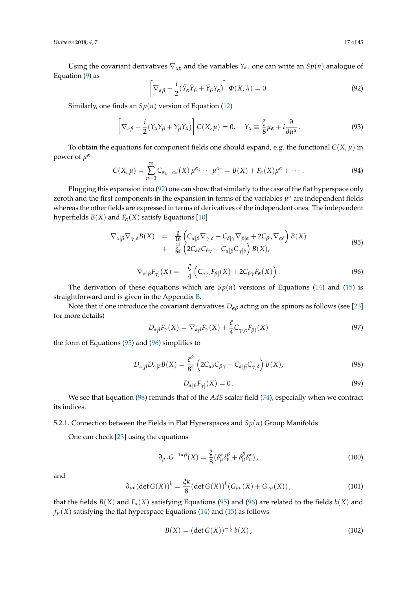*Universe* **2018**, *4*, 7 17 of 45

Using the covariant derivatives  $\nabla_{\alpha\beta}$  and the variables  $Y_\alpha$  one can write an  $Sp(n)$  analogue of Equation [\(9\)](#page-3-3) as

<span id="page-16-0"></span>
$$
\left[\nabla_{\alpha\beta} - \frac{i}{2}(\tilde{Y}_{\alpha}\tilde{Y}_{\beta} + \tilde{Y}_{\beta}Y_{\alpha})\right]\Phi(X,\lambda) = 0.
$$
\n(92)

Similarly, one finds an *Sp*(*n*) version of Equation [\(12\)](#page-4-0)

<span id="page-16-4"></span>
$$
\left[\nabla_{\alpha\beta} - \frac{i}{2}(Y_{\alpha}Y_{\beta} + Y_{\beta}Y_{\alpha})\right]C(X,\mu) = 0, \quad Y_{\alpha} \equiv \frac{\xi}{8}\mu_{\alpha} + i\frac{\partial}{\partial\mu^{\alpha}}.
$$
\n(93)

To obtain the equations for component fields one should expand, e.g. the functional  $C(X, \mu)$  in power of *µ α*

<span id="page-16-6"></span>
$$
C(X,\mu) = \sum_{n=0}^{\infty} C_{\alpha_1 \cdots \alpha_n}(X) \mu^{\alpha_1} \cdots \mu^{\alpha_n} = B(X) + F_{\alpha}(X) \mu^{\alpha} + \cdots
$$
 (94)

Plugging this expansion into [\(92\)](#page-16-0) one can show that similarly to the case of the flat hyperspace only zeroth and the first components in the expansion in terms of the variables  $\mu^{\alpha}$  are independent fields whereas the other fields are expressed in terms of derivatives of the independent ones. The independent hyperfields  $B(X)$  and  $F_{\alpha}(X)$  satisfy Equations [\[10\]](#page-40-4)

<span id="page-16-1"></span>
$$
\nabla_{\alpha[\beta} \nabla_{\gamma]\delta} B(X) = \frac{\xi}{16} \left( C_{\alpha[\beta} \nabla_{\gamma]\delta} - C_{\delta[\gamma} \nabla_{\beta]\alpha} + 2C_{\beta\gamma} \nabla_{\alpha\delta} \right) B(X) \n+ \frac{\xi^2}{64} \left( 2C_{\alpha\delta} C_{\beta\gamma} - C_{\alpha[\beta} C_{\gamma]\delta} \right) B(X),
$$
\n(95)

<span id="page-16-2"></span>
$$
\nabla_{\alpha[\beta} F_{\gamma]}(X) = -\frac{\xi}{4} \left( C_{\alpha[\gamma} F_{\beta]}(X) + 2C_{\beta\gamma} F_{\alpha}(X) \right). \tag{96}
$$

The derivation of these equations which are  $Sp(n)$  versions of Equations [\(14\)](#page-4-2) and [\(15\)](#page-4-2) is straightforward and is given in the Appendix [B.](#page-39-0)

Note that if one introduce the covariant derivatives  $D_{\alpha\beta}$  acting on the spinors as follows (see [\[23\]](#page-41-7) for more details)

$$
D_{\alpha\beta}F_{\gamma}(X) = \nabla_{\alpha\beta}F_{\gamma}(X) + \frac{\xi}{4}C_{\gamma(\alpha}F_{\beta)}(X)
$$
\n(97)

the form of Equations [\(95\)](#page-16-1) and [\(96\)](#page-16-2) simplifies to

<span id="page-16-3"></span>
$$
D_{\alpha[\beta}D_{\gamma]\delta}B(X) = \frac{\xi^2}{8^2} \left(2C_{\alpha\delta}C_{\beta\gamma} - C_{\alpha[\beta}C_{\gamma]\delta}\right)B(X),\tag{98}
$$

$$
D_{\alpha[\beta}F_{\gamma]}(X) = 0. \tag{99}
$$

We see that Equation [\(98\)](#page-16-3) reminds that of the *AdS* scalar field [\(74\)](#page-14-2), especially when we contract its indices.

5.2.1. Connection between the Fields in Flat Hyperspaces and *Sp*(*n*) Group Manifolds

One can check [\[23\]](#page-41-7) using the equations

$$
\partial_{\mu\nu} G^{-1\alpha\beta}(X) = \frac{\xi}{8} (\delta^{\alpha}_{\mu} \delta^{\beta}_{\nu} + \delta^{\beta}_{\mu} \delta^{\alpha}_{\nu}), \qquad (100)
$$

and

$$
\partial_{\mu\nu}(\det G(X))^k = \frac{\xi k}{8} (\det G(X))^k (G_{\mu\nu}(X) + G_{\nu\mu}(X)), \qquad (101)
$$

that the fields  $B(X)$  and  $F_{\alpha}(X)$  satisfying Equations [\(95\)](#page-16-1) and [\(96\)](#page-16-2) are related to the fields  $b(X)$  and  $f_{\mu}(X)$  satisfying the flat hyperspace Equations [\(14\)](#page-4-2) and [\(15\)](#page-4-2) as follows

<span id="page-16-5"></span>
$$
B(X) = (\det G(X))^{-\frac{1}{2}} b(X), \qquad (102)
$$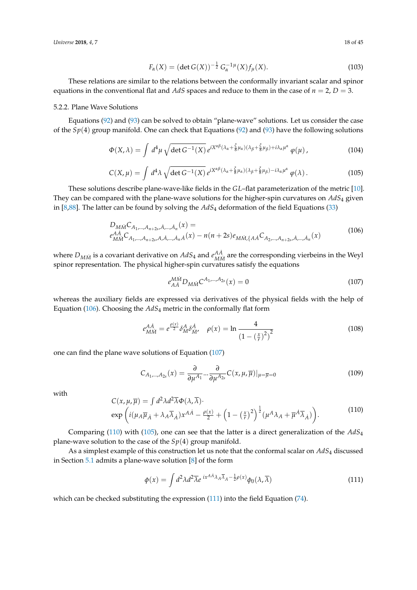*Universe* **2018**, *4*, 7 18 of 45

$$
F_{\alpha}(X) = (\det G(X))^{-\frac{1}{2}} G_{\alpha}^{-1} \mu(X) f_{\mu}(X).
$$
 (103)

These relations are similar to the relations between the conformally invariant scalar and spinor equations in the conventional flat and *AdS* spaces and reduce to them in the case of  $n = 2$ ,  $D = 3$ .

#### 5.2.2. Plane Wave Solutions

Equations [\(92\)](#page-16-0) and [\(93\)](#page-16-4) can be solved to obtain "plane-wave" solutions. Let us consider the case of the *Sp*(4) group manifold. One can check that Equations [\(92\)](#page-16-0) and [\(93\)](#page-16-4) have the following solutions

$$
\Phi(X,\lambda) = \int d^4\mu \sqrt{\det G^{-1}(X)} \, e^{iX^{\alpha\beta}(\lambda_\alpha + \frac{\xi}{8}\mu_\alpha)(\lambda_\beta + \frac{\xi}{8}\mu_\beta) + i\lambda_\alpha\mu^\alpha} \, \varphi(\mu) \,, \tag{104}
$$

<span id="page-17-3"></span>
$$
C(X,\mu) = \int d^4\lambda \sqrt{\det G^{-1}(X)} \, e^{iX^{\alpha\beta}(\lambda_\alpha + \frac{\xi}{8}\mu_\alpha)(\lambda_\beta + \frac{\xi}{8}\mu_\beta) - i\lambda_\alpha\mu^\alpha} \, \varphi(\lambda) \,. \tag{105}
$$

These solutions describe plane-wave-like fields in the *GL*–flat parameterization of the metric [\[10\]](#page-40-4). They can be compared with the plane-wave solutions for the higher-spin curvatures on *AdS*<sup>4</sup> given in [\[8,](#page-40-3)[88\]](#page-43-4). The latter can be found by solving the *AdS*<sup>4</sup> deformation of the field Equations [\(33\)](#page-7-4)

<span id="page-17-0"></span>
$$
D_{MM}C_{A_1,\dots,A_{n+2s},A,\dots,A_n}(x) =
$$
  
\n
$$
e_{MM}^{A\dot{A}}C_{A_1,\dots,A_{n+2s},A,\dot{A},\dots,\dot{A}_n\dot{A}}(x) - n(n+2s)e_{MM,\{A\dot{A}}C_{A_2,\dots,A_{n+2s},\dot{A},\dots,\dot{A}_n}(x)
$$
\n(106)

where  $D_{M\dot{M}}$  is a covariant derivative on  $AdS_4$  and  $e_{M\dot{M}}^{\dot{A}\dot{A}}$  $^{AA}_{MM}$  are the corresponding vierbeins in the Weyl spinor representation. The physical higher-spin curvatures satisfy the equations

<span id="page-17-1"></span>
$$
e^{MM}_{A\dot{A}}D_{M\dot{M}}C^{A_1,...,A_{2s}}(x) = 0
$$
\n(107)

whereas the auxiliary fields are expressed via derivatives of the physical fields with the help of Equation [\(106\)](#page-17-0). Choosing the *AdS*<sup>4</sup> metric in the conformally flat form

$$
e^{AA}_{M\dot{M}} = e^{\frac{\rho(x)}{2}} \delta^A_M \delta^A_{\dot{M}}, \quad \rho(x) = \ln \frac{4}{\left(1 - \left(\frac{x}{r}\right)^2\right)^2} \tag{108}
$$

one can find the plane wave solutions of Equation [\(107\)](#page-17-1)

$$
C_{A_1,\dots,A_{2s}}(x) = \frac{\partial}{\partial \mu^{A_1}} \dots \frac{\partial}{\partial \mu^{A_{2s}}} C(x,\mu,\overline{\mu})|_{\mu=\overline{\mu}=0}
$$
(109)

with

<span id="page-17-2"></span>
$$
C(x, \mu, \overline{\mu}) = \int d^2 \lambda d^2 \overline{\lambda} \Phi(\lambda, \overline{\lambda}) \cdot \exp\left(i(\mu_A \overline{\mu}_A + \lambda_A \overline{\lambda}_A) x^{A\dot{A}} - \frac{\rho(x)}{2} + \left(1 - \left(\frac{x}{r}\right)^2\right)^{\frac{1}{2}} (\mu^A \lambda_A + \overline{\mu}^{\dot{A}} \overline{\lambda}_A)\right). \tag{110}
$$

Comparing [\(110\)](#page-17-2) with [\(105\)](#page-17-3), one can see that the latter is a direct generalization of the *AdS*<sup>4</sup> plane-wave solution to the case of the *Sp*(4) group manifold.

As a simplest example of this construction let us note that the conformal scalar on *AdS*<sup>4</sup> discussed in Section [5.1](#page-14-1) admits a plane-wave solution [\[8\]](#page-40-3) of the form

<span id="page-17-4"></span>
$$
\phi(x) = \int d^2\lambda d^2\overline{\lambda} e^{ix^{AA}\lambda_A\overline{\lambda}_A - \frac{1}{2}\rho(x)} \phi_0(\lambda, \overline{\lambda})
$$
\n(111)

which can be checked substituting the expression [\(111\)](#page-17-4) into the field Equation [\(74\)](#page-14-2).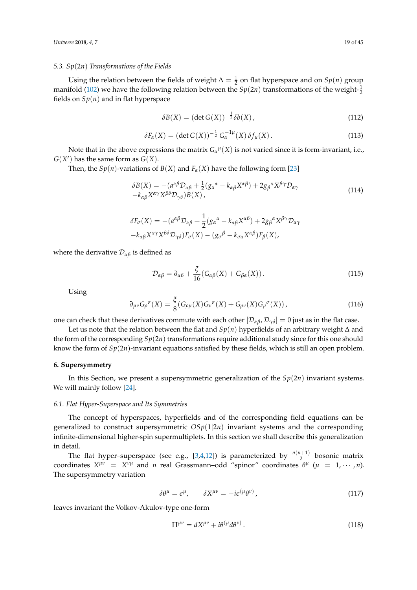#### *5.3. Sp*(2*n*) *Transformations of the Fields*

Using the relation between the fields of weight  $\Delta = \frac{1}{2}$  on flat hyperspace and on  $Sp(n)$  group manifold [\(102\)](#page-16-5) we have the following relation between the  $Sp(2n)$  transformations of the weight- $\frac{1}{2}$ fields on  $Sp(n)$  and in flat hyperspace

$$
\delta B(X) = (\det G(X))^{-\frac{1}{2}} \delta b(X), \qquad (112)
$$

$$
\delta F_{\alpha}(X) = (\det G(X))^{-\frac{1}{2}} G_{\alpha}^{-1\mu}(X) \,\delta f_{\mu}(X). \tag{113}
$$

Note that in the above expressions the matrix  $G_{\alpha}{}^{\mu}(X)$  is not varied since it is form-invariant, i.e.,  $G(X')$  has the same form as  $G(X)$ .

Then, the *Sp*(*n*)-variations of *B*(*X*) and *F*<sub>*a*</sub>(*X*) have the following form [\[23\]](#page-41-7)

$$
\delta B(X) = -(a^{\alpha\beta}D_{\alpha\beta} + \frac{1}{2}(g_{\alpha}{}^{\alpha} - k_{\alpha\beta}X^{\alpha\beta}) + 2g_{\beta}{}^{\alpha}X^{\beta\gamma}D_{\alpha\gamma} -k_{\alpha\beta}X^{\alpha\gamma}X^{\beta\delta}D_{\gamma\delta})B(X),
$$
\n(114)

$$
\delta F_{\sigma}(X) = -(a^{\alpha\beta} \mathcal{D}_{\alpha\beta} + \frac{1}{2} (g_{\alpha}{}^{\alpha} - k_{\alpha\beta} X^{\alpha\beta}) + 2g_{\beta}{}^{\alpha} X^{\beta\gamma} \mathcal{D}_{\alpha\gamma} - k_{\alpha\beta} X^{\alpha\gamma} X^{\beta\delta} \mathcal{D}_{\gamma\delta} F_{\sigma}(X) - (g_{\sigma}{}^{\beta} - k_{\sigma\alpha} X^{\alpha\beta}) F_{\beta}(X),
$$

where the derivative  $\mathcal{D}_{\alpha\beta}$  is defined as

$$
\mathcal{D}_{\alpha\beta} = \partial_{\alpha\beta} + \frac{\xi}{16} (G_{\alpha\beta}(X) + G_{\beta\alpha}(X)). \tag{115}
$$

Using

$$
\partial_{\mu\nu} G_{\rho}^{\ \sigma}(X) = \frac{\xi}{8} (G_{\rho\mu}(X) G_{\nu}^{\ \sigma}(X) + G_{\rho\nu}(X) G_{\mu}^{\ \sigma}(X)), \qquad (116)
$$

one can check that these derivatives commute with each other  $[D_{\alpha\beta}, D_{\gamma\delta}] = 0$  just as in the flat case.

Let us note that the relation between the flat and *Sp*(*n*) hyperfields of an arbitrary weight ∆ and the form of the corresponding  $Sp(2n)$  transformations require additional study since for this one should know the form of *Sp*(2*n*)-invariant equations satisfied by these fields, which is still an open problem.

#### <span id="page-18-0"></span>**6. Supersymmetry**

In this Section, we present a supersymmetric generalization of the *Sp*(2*n*) invariant systems. We will mainly follow [\[24\]](#page-41-8).

#### <span id="page-18-1"></span>*6.1. Flat Hyper-Superspace and Its Symmetries*

The concept of hyperspaces, hyperfields and of the corresponding field equations can be generalized to construct supersymmetric  $OSp(1|2n)$  invariant systems and the corresponding infinite-dimensional higher-spin supermultiplets. In this section we shall describe this generalization in detail.

The flat hyper–superspace (see e.g., [\[3](#page-40-2)[,4](#page-40-5)[,12\]](#page-40-8)) is parameterized by  $\frac{n(n+1)}{2}$  bosonic matrix coordinates  $X^{\mu\nu} = X^{\nu\mu}$  and *n* real Grassmann–odd "spinor" coordinates  $\theta^{\mu}$  ( $\mu = 1, \dots, n$ ). The supersymmetry variation

<span id="page-18-2"></span>
$$
\delta\theta^{\mu} = \epsilon^{\mu}, \qquad \delta X^{\mu\nu} = -i\epsilon^{(\mu}\theta^{\nu)}, \qquad (117)
$$

leaves invariant the Volkov-Akulov-type one-form

$$
\Pi^{\mu\nu} = dX^{\mu\nu} + i\theta^{(\mu}d\theta^{\nu)}.
$$
\n(118)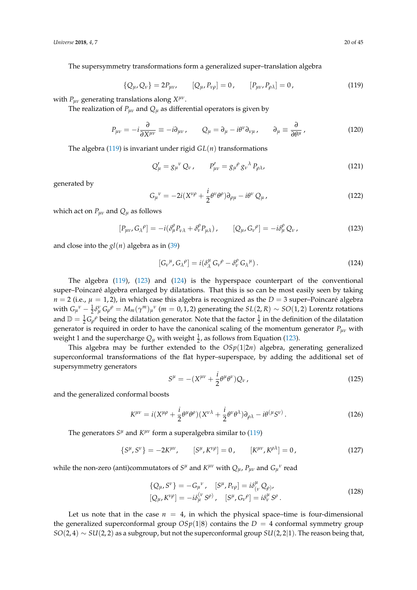The supersymmetry transformations form a generalized super–translation algebra

<span id="page-19-0"></span>
$$
\{Q_{\mu}, Q_{\nu}\} = 2P_{\mu\nu}, \qquad [Q_{\mu}, P_{\nu\rho}] = 0, \qquad [P_{\mu\nu}, P_{\rho\lambda}] = 0,
$$
\n(119)

with  $P_{\mu\nu}$  generating translations along  $X^{\mu\nu}$ .

The realization of  $P_{\mu\nu}$  and  $Q_{\mu}$  as differential operators is given by

<span id="page-19-3"></span>
$$
P_{\mu\nu} = -i\frac{\partial}{\partial X^{\mu\nu}} \equiv -i\partial_{\mu\nu} , \qquad Q_{\mu} = \partial_{\mu} - i\theta^{\nu}\partial_{\nu\mu} , \qquad \partial_{\mu} \equiv \frac{\partial}{\partial \theta^{\mu}} , \qquad (120)
$$

The algebra [\(119\)](#page-19-0) is invariant under rigid *GL*(*n*) transformations

$$
Q'_{\mu} = g_{\mu}{}^{\nu} Q_{\nu}, \qquad P'_{\mu\nu} = g_{\mu}{}^{\rho} g_{\nu}{}^{\lambda} P_{\rho\lambda}, \tag{121}
$$

generated by

$$
G_{\mu}{}^{\nu} = -2i(X^{\nu\rho} + \frac{i}{2}\theta^{\nu}\theta^{\rho})\partial_{\rho\mu} - i\theta^{\nu}Q_{\mu}\,,\tag{122}
$$

which act on  $P_{\mu\nu}$  and  $Q_{\mu}$  as follows

<span id="page-19-1"></span>
$$
[P_{\mu\nu}, G_{\lambda}{}^{\rho}] = -i(\delta^{\rho}_{\mu} P_{\nu\lambda} + \delta^{\rho}_{\nu} P_{\mu\lambda}), \qquad [Q_{\mu}, G_{\nu}{}^{\rho}] = -i\delta^{\rho}_{\mu} Q_{\nu}, \qquad (123)
$$

and close into the  $gl(n)$  algebra as in [\(39\)](#page-8-4)

<span id="page-19-2"></span>
$$
[G_{\nu}{}^{\mu}, G_{\lambda}{}^{\rho}] = i(\delta^{\mu}_{\lambda} G_{\nu}{}^{\rho} - \delta^{\rho}_{\nu} G_{\lambda}{}^{\mu}). \qquad (124)
$$

The algebra [\(119\)](#page-19-0), [\(123\)](#page-19-1) and [\(124\)](#page-19-2) is the hyperspace counterpart of the conventional super–Poincaré algebra enlarged by dilatations. That this is so can be most easily seen by taking  $n = 2$  (i.e.,  $\mu = 1, 2$ ), in which case this algebra is recognized as the  $D = 3$  super–Poincaré algebra with  $G_{\mu}{}^{\nu} - \frac{1}{2} \delta_{\mu}^{\nu} G_{\rho}{}^{\rho} = M_m (\gamma^m)_{\mu}{}^{\nu}$  (*m* = 0, 1, 2) generating the  $SL(2, R) \sim SO(1, 2)$  Lorentz rotations and  $\mathbb{D} = \frac{1}{2}G\rho^{\rho}$  being the dilatation generator. Note that the factor  $\frac{1}{2}$  in the definition of the dilatation generator is required in order to have the canonical scaling of the momentum generator *Pµν* with weight 1 and the supercharge  $Q_\mu$  with weight  $\frac{1}{2}$ , as follows from Equation [\(123\)](#page-19-1).

This algebra may be further extended to the  $OSp(1|2n)$  algebra, generating generalized superconformal transformations of the flat hyper–superspace, by adding the additional set of supersymmetry generators

<span id="page-19-4"></span>
$$
S^{\mu} = -(X^{\mu\nu} + \frac{i}{2}\theta^{\mu}\theta^{\nu})Q_{\nu},\qquad(125)
$$

and the generalized conformal boosts

$$
K^{\mu\nu} = i(X^{\mu\rho} + \frac{i}{2}\theta^{\mu}\theta^{\rho})(X^{\nu\lambda} + \frac{i}{2}\theta^{\nu}\theta^{\lambda})\partial_{\rho\lambda} - i\theta^{(\mu}S^{\nu)}.
$$
 (126)

The generators *S<sup>µ</sup>* and *K<sup>µν</sup>* form a superalgebra similar to [\(119\)](#page-19-0)

$$
\{S^{\mu}, S^{\nu}\} = -2K^{\mu\nu}, \qquad [S^{\mu}, K^{\nu\rho}] = 0, \qquad [K^{\mu\nu}, K^{\rho\lambda}] = 0, \tag{127}
$$

while the non-zero (anti)commutators of  $S^{\mu}$  and  $K^{\mu\nu}$  with  $Q_{\mu}$ ,  $P_{\mu\nu}$  and  $G_{\mu}{}^{\nu}$  read

$$
\{Q_{\mu}, S^{\nu}\} = -G_{\mu}{}^{\nu}, \quad [S^{\mu}, P_{\nu\rho}] = i\delta^{\mu}_{(\nu} Q_{\rho)}, [Q_{\mu}, K^{\nu\rho}] = -i\delta^{\mu}_{\mu} S^{\rho}, \quad [S^{\mu}, G_{\nu}{}^{\rho}] = i\delta^{\mu}_{\nu} S^{\rho}.
$$
 (128)

Let us note that in the case  $n = 4$ , in which the physical space–time is four-dimensional the generalized superconformal group  $OSp(1|8)$  contains the  $D = 4$  conformal symmetry group *SO*(2, 4) ∼ *SU*(2, 2) as a subgroup, but not the superconformal group *SU*(2, 2|1). The reason being that,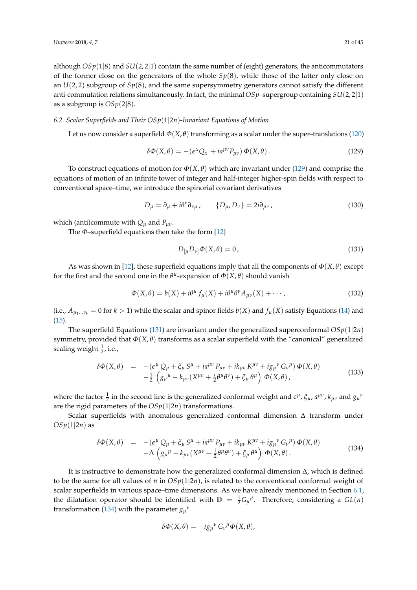although  $OSp(1|8)$  and  $SU(2, 2|1)$  contain the same number of (eight) generators, the anticommutators of the former close on the generators of the whole  $Sp(8)$ , while those of the latter only close on an *U*(2, 2) subgroup of *Sp*(8), and the same supersymmetry generators cannot satisfy the different anti-commutation relations simultaneously. In fact, the minimal *OSp*–supergroup containing *SU*(2, 2|1) as a subgroup is *OSp*(2|8).

# *6.2. Scalar Superfields and Their OSp*(1|2*n*)*-Invariant Equations of Motion*

Let us now consider a superfield  $\Phi(X, \theta)$  transforming as a scalar under the super–translations [\(120\)](#page-19-3)

<span id="page-20-0"></span>
$$
\delta\Phi(X,\theta) = -(\epsilon^{\alpha}Q_{\alpha} + ia^{\mu\nu}P_{\mu\nu})\Phi(X,\theta). \qquad (129)
$$

To construct equations of motion for  $\Phi(X, \theta)$  which are invariant under [\(129\)](#page-20-0) and comprise the equations of motion of an infinite tower of integer and half-integer higher-spin fields with respect to conventional space–time, we introduce the spinorial covariant derivatives

$$
D_{\mu} = \partial_{\mu} + i\theta^{\nu}\partial_{\nu\mu}, \qquad \{D_{\mu}, D_{\nu}\} = 2i\partial_{\mu\nu}, \qquad (130)
$$

which (anti)commute with  $Q_{\mu}$  and  $P_{\mu\nu}$ .

The *Φ*–superfield equations then take the form [\[12\]](#page-40-8)

<span id="page-20-1"></span>
$$
D_{\left[\mu\right.}D_{\nu\right]}\Phi(X,\theta) = 0\,,\tag{131}
$$

As was shown in [\[12\]](#page-40-8), these superfield equations imply that all the components of  $\Phi(X,\theta)$  except for the first and the second one in the  $\theta^{\mu}$ -expansion of  $\Phi(X,\theta)$  should vanish

<span id="page-20-3"></span>
$$
\Phi(X,\theta) = b(X) + i\theta^{\mu} f_{\mu}(X) + i\theta^{\mu} \theta^{\nu} A_{\mu\nu}(X) + \cdots,
$$
\n(132)

(i.e.,  $A_{\mu_1...\nu_k} = 0$  for  $k > 1$ ) while the scalar and spinor fields  $b(X)$  and  $f_\mu(X)$  satisfy Equations [\(14\)](#page-4-2) and [\(15\)](#page-4-2).

The superfield Equations [\(131\)](#page-20-1) are invariant under the generalized superconformal  $OSp(1|2n)$ symmetry, provided that *Φ*(*X*, *θ*) transforms as a scalar superfield with the "canonical" generalized scaling weight  $\frac{1}{2}$ , i.e.,

<span id="page-20-4"></span>
$$
\delta\Phi(X,\theta) = -(\epsilon^{\mu}Q_{\mu} + \xi_{\mu}S^{\mu} + i a^{\mu\nu}P_{\mu\nu} + i k_{\mu\nu}K^{\mu\nu} + i g_{\mu}{}^{\nu}G_{\nu}{}^{\mu})\Phi(X,\theta) \n- \frac{1}{2}\left(g_{\mu}{}^{\mu} - k_{\mu\nu}(X^{\mu\nu} + \frac{i}{2}\theta^{\mu}\theta^{\nu}) + \xi_{\mu}\theta^{\mu}\right)\Phi(X,\theta),
$$
\n(133)

where the factor  $\frac{1}{2}$  in the second line is the generalized conformal weight and  $\epsilon^{\mu}$ ,  $\xi_{\mu}$ ,  $a^{\mu\nu}$ ,  $k_{\mu\nu}$  and  $g_{\mu}{}^{\nu}$ are the rigid parameters of the  $OSp(1|2n)$  transformations.

Scalar superfields with anomalous generalized conformal dimension ∆ transform under  $OSp(1|2n)$  as

<span id="page-20-2"></span>
$$
\delta\Phi(X,\theta) = -(\epsilon^{\mu} Q_{\mu} + \xi_{\mu} S^{\mu} + i a^{\mu\nu} P_{\mu\nu} + i k_{\mu\nu} K^{\mu\nu} + i g_{\mu}{}^{\nu} G_{\nu}{}^{\mu}) \Phi(X,\theta) \n- \Delta \left( g_{\mu}{}^{\mu} - k_{\mu\nu} (X^{\mu\nu} + \frac{i}{2} \theta^{\mu} \theta^{\nu}) + \xi_{\mu} \theta^{\mu} \right) \Phi(X,\theta).
$$
\n(134)

It is instructive to demonstrate how the generalized conformal dimension  $\Delta$ , which is defined to be the same for all values of *n* in  $OSp(1|2n)$ , is related to the conventional conformal weight of scalar superfields in various space–time dimensions. As we have already mentioned in Section [6.1,](#page-18-1) the dilatation operator should be identified with  $\mathbb{D} = \frac{1}{2} G_{\mu}{}^{\mu}$ . Therefore, considering a  $GL(n)$ transformation [\(134\)](#page-20-2) with the parameter  $g_{\mu}{}^{\nu}$ 

$$
\delta\Phi(X,\theta) = -ig_{\mu}{}^{\nu} G_{\nu}{}^{\mu}\Phi(X,\theta),
$$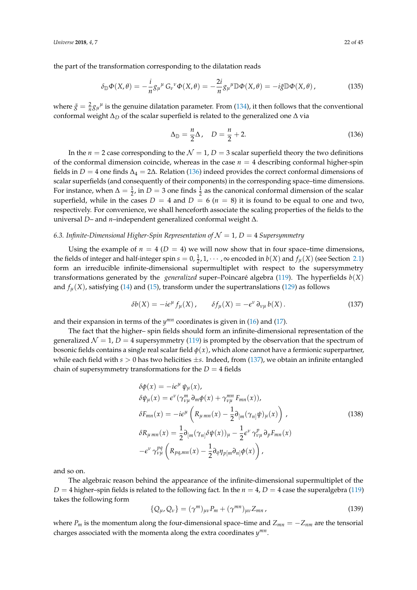the part of the transformation corresponding to the dilatation reads

$$
\delta_{\mathbb{D}}\Phi(X,\theta) = -\frac{i}{n}g_{\mu}{}^{\mu}G_{\nu}{}^{\nu}\Phi(X,\theta) = -\frac{2i}{n}g_{\mu}{}^{\mu}\mathbb{D}\Phi(X,\theta) = -i\tilde{g}\mathbb{D}\Phi(X,\theta),\tag{135}
$$

where  $\tilde{g} = \frac{2}{n} g_{\mu}^{\mu}$  is the genuine dilatation parameter. From [\(134\)](#page-20-2), it then follows that the conventional conformal weight ∆*<sup>D</sup>* of the scalar superfield is related to the generalized one ∆ via

<span id="page-21-0"></span>
$$
\Delta_{\mathbb{D}} = \frac{n}{2} \Delta, \quad D = \frac{n}{2} + 2. \tag{136}
$$

In the  $n = 2$  case corresponding to the  $N = 1$ ,  $D = 3$  scalar superfield theory the two definitions of the conformal dimension coincide, whereas in the case  $n = 4$  describing conformal higher-spin fields in *D* = 4 one finds  $\Delta_4$  = 2 $\Delta$ . Relation [\(136\)](#page-21-0) indeed provides the correct conformal dimensions of scalar superfields (and consequently of their components) in the corresponding space–time dimensions. For instance, when  $\Delta = \frac{1}{2}$ , in  $D = 3$  one finds  $\frac{1}{2}$  as the canonical conformal dimension of the scalar superfield, while in the cases  $D = 4$  and  $D = 6$  ( $n = 8$ ) it is found to be equal to one and two, respectively. For convenience, we shall henceforth associate the scaling properties of the fields to the universal *D*– and *n*–independent generalized conformal weight ∆.

## 6.3. Infinite-Dimensional Higher-Spin Representation of  $\mathcal{N}=1$ , D = 4 *Supersymmetry*

Using the example of  $n = 4$  ( $D = 4$ ) we will now show that in four space–time dimensions, the fields of integer and half-integer spin  $s = 0, \frac{1}{2}, 1, \cdots$ ,  $\infty$  encoded in  $b(X)$  and  $f_{\mu}(X)$  (see Section [2.1\)](#page-4-6) form an irreducible infinite-dimensional supermultiplet with respect to the supersymmetry transformations generated by the *generalized* super–Poincaré algebra [\(119\)](#page-19-0). The hyperfields *b*(*X*) and  $f_\mu(X)$ , satisfying [\(14\)](#page-4-2) and [\(15\)](#page-4-2), transform under the supertranslations [\(129\)](#page-20-0) as follows

<span id="page-21-1"></span>
$$
\delta b(X) = -i\epsilon^{\mu} f_{\mu}(X), \qquad \delta f_{\mu}(X) = -\epsilon^{\nu} \partial_{\nu\mu} b(X). \qquad (137)
$$

and their expansion in terms of the  $y^{mn}$  coordinates is given in [\(16\)](#page-4-4) and [\(17\)](#page-4-5).

The fact that the higher– spin fields should form an infinite-dimensional representation of the generalized  $\mathcal{N} = 1$ ,  $D = 4$  supersymmetry [\(119\)](#page-19-0) is prompted by the observation that the spectrum of bosonic fields contains a single real scalar field *φ*(*x*), which alone cannot have a fermionic superpartner, while each field with *s* > 0 has two helicities ±*s*. Indeed, from [\(137\)](#page-21-1), we obtain an infinite entangled chain of supersymmetry transformations for the  $D = 4$  fields

$$
\delta\phi(x) = -ie^{\mu}\psi_{\mu}(x),
$$
  
\n
$$
\delta\psi_{\mu}(x) = \epsilon^{\nu}(\gamma_{\nu\mu}^{m}\partial_{m}\phi(x) + \gamma_{\nu\mu}^{mn}F_{mn}(x)),
$$
  
\n
$$
\delta F_{mn}(x) = -ie^{\mu}\left(R_{\mu\,mn}(x) - \frac{1}{2}\partial_{[m}(\gamma_{n]}\psi)_{\mu}(x)\right),
$$
  
\n
$$
\delta R_{\mu\,mn}(x) = \frac{1}{2}\partial_{[m}(\gamma_{n]}\delta\psi(x))_{\mu} - \frac{1}{2}\epsilon^{\nu}\gamma_{\nu\mu}^{p}\partial_{p}F_{mn}(x)
$$
  
\n
$$
-\epsilon^{\nu}\gamma_{\nu\mu}^{pq}\left(R_{pq,mn}(x) - \frac{1}{2}\partial_{q}\eta_{p[m}\partial_{n]}\phi(x)\right),
$$
\n(138)

and so on.

The algebraic reason behind the appearance of the infinite-dimensional supermultiplet of the  $D = 4$  higher–spin fields is related to the following fact. In the  $n = 4$ ,  $D = 4$  case the superalgebra [\(119\)](#page-19-0) takes the following form

<span id="page-21-2"></span>
$$
\{Q_{\mu}, Q_{\nu}\} = (\gamma^m)_{\mu\nu} P_m + (\gamma^{mn})_{\mu\nu} Z_{mn}, \qquad (139)
$$

where  $P_m$  is the momentum along the four-dimensional space–time and  $Z_{mn} = -Z_{nm}$  are the tensorial charges associated with the momenta along the extra coordinates *y mn* .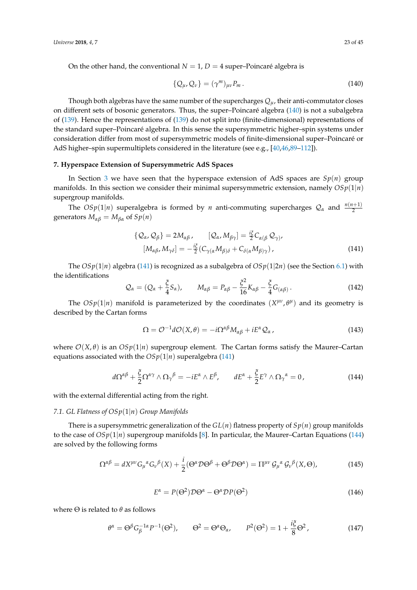On the other hand, the conventional  $N = 1$ ,  $D = 4$  super–Poincaré algebra is

<span id="page-22-1"></span>
$$
\{Q_{\mu}, Q_{\nu}\} = (\gamma^m)_{\mu\nu} P_m. \tag{140}
$$

Though both algebras have the same number of the supercharges  $Q_\mu$ , their anti-commutator closes on different sets of bosonic generators. Thus, the super–Poincaré algebra [\(140\)](#page-22-1) is not a subalgebra of [\(139\)](#page-21-2). Hence the representations of [\(139\)](#page-21-2) do not split into (finite-dimensional) representations of the standard super–Poincaré algebra. In this sense the supersymmetric higher–spin systems under consideration differ from most of supersymmetric models of finite-dimensional super–Poincaré or AdS higher–spin supermultiplets considered in the literature (see e.g., [\[40](#page-41-17)[,46](#page-42-14)[,89](#page-43-5)[–112\]](#page-44-0)).

## <span id="page-22-0"></span>**7. Hyperspace Extension of Supersymmetric AdS Spaces**

In Section [3](#page-9-0) we have seen that the hyperspace extension of AdS spaces are *Sp*(*n*) group manifolds. In this section we consider their minimal supersymmetric extension, namely  $OSp(1|n)$ supergroup manifolds.

The  $OSp(1|n)$  superalgebra is formed by *n* anti-commuting supercharges  $\mathcal{Q}_\alpha$  and  $\frac{n(n+1)}{2}$ generators  $M_{\alpha\beta} = M_{\beta\alpha}$  of  $Sp(n)$ 

<span id="page-22-2"></span>
$$
\{Q_{\alpha}, Q_{\beta}\} = 2M_{\alpha\beta}, \qquad [Q_{\alpha}, M_{\beta\gamma}] = \frac{i\xi}{2} C_{\alpha(\beta} Q_{\gamma)},
$$
  

$$
[M_{\alpha\beta}, M_{\gamma\delta}] = -\frac{i\xi}{2} (C_{\gamma(\alpha} M_{\beta)\delta} + C_{\delta(\alpha} M_{\beta)\gamma}),
$$
 (141)

The  $OSp(1|n)$  algebra [\(141\)](#page-22-2) is recognized as a subalgebra of  $OSp(1|2n)$  (see the Section [6.1\)](#page-18-1) with the identifications

$$
\mathcal{Q}_{\alpha} = (Q_{\alpha} + \frac{\xi}{4} S_{\alpha}), \qquad M_{\alpha\beta} = P_{\alpha\beta} - \frac{\xi^2}{16} K_{\alpha\beta} - \frac{\xi}{4} G_{(\alpha\beta)}.
$$
 (142)

The  $OSp(1|n)$  manifold is parameterized by the coordinates  $(X^{\mu\nu}, \theta^{\mu})$  and its geometry is described by the Cartan forms

$$
\Omega = \mathcal{O}^{-1} d\mathcal{O}(X,\theta) = -i\Omega^{\alpha\beta} M_{\alpha\beta} + iE^{\alpha} \mathcal{Q}_{\alpha}, \qquad (143)
$$

where  $O(X, \theta)$  is an  $OSp(1|n)$  supergroup element. The Cartan forms satisfy the Maurer–Cartan equations associated with the  $OSp(1|n)$  superalgebra [\(141\)](#page-22-2)

<span id="page-22-3"></span>
$$
d\Omega^{\alpha\beta} + \frac{\xi}{2}\Omega^{\alpha\gamma} \wedge \Omega_{\gamma}^{\beta} = -iE^{\alpha} \wedge E^{\beta}, \qquad dE^{\alpha} + \frac{\xi}{2}E^{\gamma} \wedge \Omega_{\gamma}^{\alpha} = 0, \qquad (144)
$$

with the external differential acting from the right.

## *7.1. GL Flatness of OSp*(1|*n*) *Group Manifolds*

There is a supersymmetric generalization of the  $GL(n)$  flatness property of  $Sp(n)$  group manifolds to the case of  $OSp(1|n)$  supergroup manifolds [\[8\]](#page-40-3). In particular, the Maurer–Cartan Equations [\(144\)](#page-22-3) are solved by the following forms

$$
\Omega^{\alpha\beta} = dX^{\mu\nu} G_{\mu}{}^{\alpha} G_{\nu}{}^{\beta}(X) + \frac{i}{2} (\Theta^{\alpha} \mathcal{D} \Theta^{\beta} + \Theta^{\beta} \mathcal{D} \Theta^{\alpha}) = \Pi^{\mu\nu} \mathcal{G}_{\mu}{}^{\alpha} \mathcal{G}_{\nu}{}^{\beta}(X, \Theta), \tag{145}
$$

$$
E^{\alpha} = P(\Theta^2) \mathcal{D} \Theta^{\alpha} - \Theta^{\alpha} \mathcal{D} P(\Theta^2)
$$
\n(146)

*iξ*

where  $\Theta$  is related to  $\theta$  as follows

<span id="page-22-4"></span>
$$
\theta^{\alpha} = \Theta^{\beta} G_{\beta}^{-1\alpha} P^{-1}(\Theta^2), \qquad \Theta^2 = \Theta^{\alpha} \Theta_{\alpha}, \qquad P^2(\Theta^2) = 1 + \frac{\iota \zeta}{8} \Theta^2, \tag{147}
$$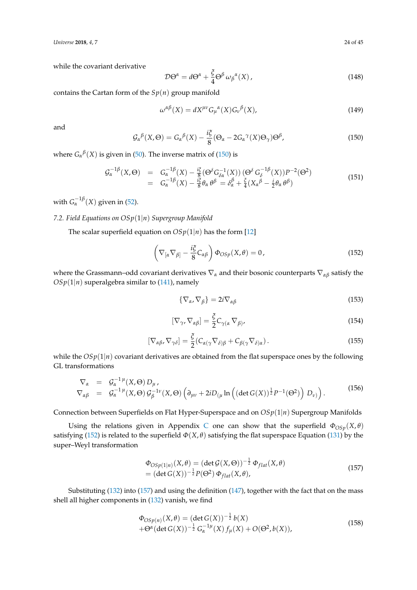*Universe* **2018**, *4*, 7 24 of 45

while the covariant derivative

$$
\mathcal{D}\Theta^{\alpha} = d\Theta^{\alpha} + \frac{\xi}{4} \Theta^{\beta} \omega_{\beta}{}^{\alpha}(X), \qquad (148)
$$

contains the Cartan form of the  $Sp(n)$  group manifold

$$
\omega^{\alpha\beta}(X) = dX^{\mu\nu} G_{\mu}{}^{\alpha}(X) G_{\nu}{}^{\beta}(X), \tag{149}
$$

and

<span id="page-23-0"></span>
$$
\mathcal{G}_{\alpha}{}^{\beta}(X,\Theta) = G_{\alpha}{}^{\beta}(X) - \frac{i\xi}{8}(\Theta_{\alpha} - 2G_{\alpha}{}^{\gamma}(X)\Theta_{\gamma})\Theta^{\beta},\tag{150}
$$

where  $G_{\alpha}{}^{\beta}(X)$  is given in [\(50\)](#page-10-1). The inverse matrix of [\(150\)](#page-23-0) is

$$
\mathcal{G}_{\alpha}^{-1\beta}(X,\Theta) = G_{\alpha}^{-1\beta}(X) - \frac{i\xi}{8}(\Theta^{\delta}G_{\delta\alpha}^{-1}(X))(\Theta^{\delta}G_{\delta}^{-1\beta}(X))P^{-2}(\Theta^2) \n= G_{\alpha}^{-1\beta}(X) - \frac{i\xi}{8}\theta_{\alpha}\,\theta^{\beta} = \delta_{\alpha}^{\beta} + \frac{\xi}{4}(X_{\alpha}^{\beta} - \frac{i}{2}\theta_{\alpha}\,\theta^{\beta})
$$
\n(151)

with  $G_{\alpha}^{-1\beta}(X)$  given in [\(52\)](#page-10-2).

# *7.2. Field Equations on OSp*(1|*n*) *Supergroup Manifold*

The scalar superfield equation on  $OSp(1|n)$  has the form [\[12\]](#page-40-8)

<span id="page-23-1"></span>
$$
\left(\nabla_{[\alpha}\nabla_{\beta]} - \frac{i\xi}{8}C_{\alpha\beta}\right)\Phi_{OSp}(X,\theta) = 0, \qquad (152)
$$

where the Grassmann–odd covariant derivatives ∇*<sup>α</sup>* and their bosonic counterparts ∇*αβ* satisfy the  $OSp(1|n)$  superalgebra similar to [\(141\)](#page-22-2), namely

$$
\{\nabla_{\alpha}, \nabla_{\beta}\} = 2i \nabla_{\alpha\beta} \tag{153}
$$

$$
[\nabla_{\gamma}, \nabla_{\alpha\beta}] = \frac{\xi}{2} C_{\gamma(\alpha} \nabla_{\beta)},
$$
\n(154)

<span id="page-23-3"></span>
$$
[\nabla_{\alpha\beta}, \nabla_{\gamma\delta}] = \frac{\xi}{2} (C_{\alpha(\gamma} \nabla_{\delta)\beta} + C_{\beta(\gamma} \nabla_{\delta)\alpha}).
$$
\n(155)

while the  $OSp(1|n)$  covariant derivatives are obtained from the flat superspace ones by the following GL transformations

$$
\nabla_{\alpha} = \mathcal{G}_{\alpha}^{-1\,\mu}(X,\Theta) D_{\mu},
$$
\n
$$
\nabla_{\alpha\beta} = \mathcal{G}_{\alpha}^{-1\,\mu}(X,\Theta) \mathcal{G}_{\beta}^{-1\nu}(X,\Theta) \left( \partial_{\mu\nu} + 2i D_{(\mu} \ln \left( (\det G(X))^{\frac{1}{2}} P^{-1}(\Theta^2) \right) D_{\nu)} \right).
$$
\n(156)

Connection between Superfields on Flat Hyper-Superspace and on *OSp*(1|*n*) Supergroup Manifolds

Using the relations given in Appendix [C](#page-40-9) one can show that the superfield  $\Phi_{OSp}(X,\theta)$ satisfying [\(152\)](#page-23-1) is related to the superfield  $\Phi(X, \theta)$  satisfying the flat superspace Equation [\(131\)](#page-20-1) by the super–Weyl transformation

<span id="page-23-2"></span>
$$
\begin{aligned} \n\Phi_{OSp(1|n)}(X,\theta) &= (\det \mathcal{G}(X,\Theta))^{-\frac{1}{2}} \Phi_{flat}(X,\theta) \\ \n&= (\det G(X))^{-\frac{1}{2}} P(\Theta^2) \Phi_{flat}(X,\theta), \n\end{aligned} \tag{157}
$$

Substituting [\(132\)](#page-20-3) into [\(157\)](#page-23-2) and using the definition [\(147\)](#page-22-4), together with the fact that on the mass shell all higher components in [\(132\)](#page-20-3) vanish, we find

$$
\Phi_{OSp(n)}(X,\theta) = (\det G(X))^{-\frac{1}{2}} b(X) \n+ \Theta^{\alpha} (\det G(X))^{-\frac{1}{2}} G_{\alpha}^{-1\mu}(X) f_{\mu}(X) + O(\Theta^2, b(X)),
$$
\n(158)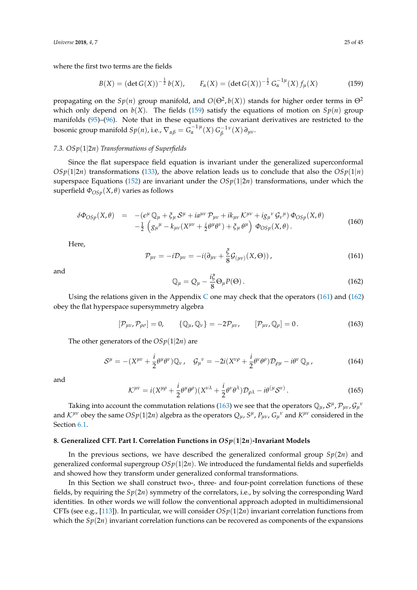where the first two terms are the fields

<span id="page-24-1"></span>
$$
B(X) = (\det G(X))^{-\frac{1}{2}} b(X), \qquad F_{\alpha}(X) = (\det G(X))^{-\frac{1}{2}} G_{\alpha}^{-1\mu}(X) f_{\mu}(X) \tag{159}
$$

propagating on the  $Sp(n)$  group manifold, and  $O(\Theta^2, b(X))$  stands for higher order terms in  $\Theta^2$ which only depend on  $b(X)$ . The fields [\(159\)](#page-24-1) satisfy the equations of motion on  $Sp(n)$  group manifolds [\(95\)](#page-16-1)–[\(96\)](#page-16-2). Note that in these equations the covariant derivatives are restricted to the bosonic group manifold  $Sp(n)$ , i.e.,  $\nabla_{\alpha\beta} = G_{\alpha}^{-1 \, \mu}(X) \, G_{\beta}^{-1 \, \nu}(X) \, \partial_{\mu\nu}$ .

## *7.3. OSp*(1|2*n*) *Transformations of Superfields*

Since the flat superspace field equation is invariant under the generalized superconformal  $OSp(1|2n)$  transformations [\(133\)](#page-20-4), the above relation leads us to conclude that also the  $OSp(1|n)$ superspace Equations [\(152\)](#page-23-1) are invariant under the  $OSp(1|2n)$  transformations, under which the superfield  $Φ<sub>OSp</sub>(X, θ)$  varies as follows

$$
\delta\Phi_{OSp}(X,\theta) = -(\epsilon^{\mu}\mathbb{Q}_{\mu} + \xi_{\mu}\mathcal{S}^{\mu} + i a^{\mu\nu}\mathcal{P}_{\mu\nu} + i k_{\mu\nu}\mathcal{K}^{\mu\nu} + i g_{\mu}{}^{\nu}\mathcal{G}_{\nu}{}^{\mu})\,\Phi_{OSp}(X,\theta) \n- \frac{1}{2}\left(g_{\mu}{}^{\mu} - k_{\mu\nu}(X^{\mu\nu} + \frac{i}{2}\theta^{\mu}\theta^{\nu}) + \xi_{\mu}\theta^{\mu}\right)\,\Phi_{OSp}(X,\theta).
$$
\n(160)

Here,

<span id="page-24-2"></span>
$$
\mathcal{P}_{\mu\nu} = -i\mathcal{D}_{\mu\nu} = -i(\partial_{\mu\nu} + \frac{\xi}{8}\mathcal{G}_{(\mu\nu)}(X,\Theta)),\tag{161}
$$

and

<span id="page-24-3"></span>
$$
\mathbb{Q}_{\mu} = Q_{\mu} - \frac{i\xi}{8} \Theta_{\mu} P(\Theta). \tag{162}
$$

Using the relations given in the Appendix [C](#page-40-9) one may check that the operators [\(161\)](#page-24-2) and [\(162\)](#page-24-3) obey the flat hyperspace supersymmetry algebra

<span id="page-24-4"></span>
$$
[\mathcal{P}_{\mu\nu}, \mathcal{P}_{\rho\sigma}] = 0, \qquad {\mathcal{Q}_{\mu}, \mathbb{Q}_{\nu}} = -2\mathcal{P}_{\mu\nu}, \qquad [\mathcal{P}_{\mu\nu}, \mathbb{Q}_{\rho}] = 0. \tag{163}
$$

The other generators of the *OSp*(1|2*n*) are

$$
S^{\mu} = -(X^{\mu\nu} + \frac{i}{2}\theta^{\mu}\theta^{\nu})\mathbb{Q}_{\nu}, \quad \mathcal{G}_{\mu}{}^{\nu} = -2i(X^{\nu\rho} + \frac{i}{2}\theta^{\nu}\theta^{\rho})\mathcal{D}_{\rho\mu} - i\theta^{\nu}\mathbb{Q}_{\mu}, \tag{164}
$$

and

$$
\mathcal{K}^{\mu\nu} = i(X^{\mu\rho} + \frac{i}{2}\theta^{\mu}\theta^{\rho})(X^{\nu\lambda} + \frac{i}{2}\theta^{\nu}\theta^{\lambda})\mathcal{D}_{\rho\lambda} - i\theta^{(\mu}\mathcal{S}^{\nu)}.
$$
 (165)

Taking into account the commutation relations [\(163\)](#page-24-4) we see that the operators  $\mathbb{Q}_\mu$ ,  $S^\mu$ ,  $\mathcal{P}_{\mu\nu}$ ,  $\mathcal{G}_\mu$ <sup>,</sup> and  $K^{\mu\nu}$  obey the same  $OSp(1|2n)$  algebra as the operators  $Q_\mu$ ,  $S^\mu$ ,  $P_{\mu\nu}$ ,  $G_\mu{}^\nu$  and  $K^{\mu\nu}$  considered in the Section [6.1.](#page-18-1)

## <span id="page-24-0"></span>**8. Generalized CFT. Part I. Correlation Functions in** *OSp*(**1**|**2***n*)**-Invariant Models**

In the previous sections, we have described the generalized conformal group *Sp*(2*n*) and generalized conformal supergroup  $OSp(1|2n)$ . We introduced the fundamental fields and superfields and showed how they transform under generalized conformal transformations.

In this Section we shall construct two-, three- and four-point correlation functions of these fields, by requiring the *Sp*(2*n*) symmetry of the correlators, i.e., by solving the corresponding Ward identities. In other words we will follow the conventional approach adopted in multidimensional CFTs (see e.g., [\[113\]](#page-44-1)). In particular, we will consider  $OSp(1|2n)$  invariant correlation functions from which the  $Sp(2n)$  invariant correlation functions can be recovered as components of the expansions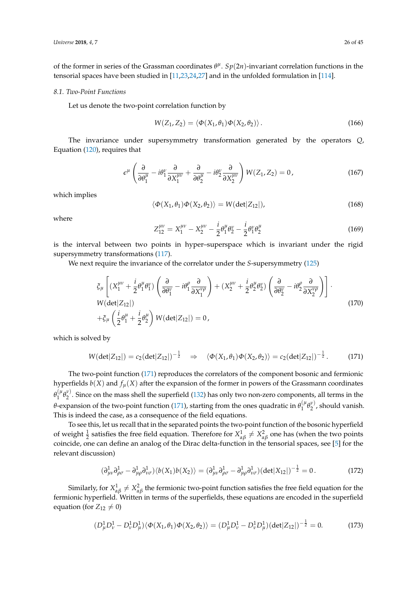of the former in series of the Grassman coordinates  $\theta^{\mu}$ .  $Sp(2n)$ -invariant correlation functions in the tensorial spaces have been studied in [\[11,](#page-40-10)[23,](#page-41-7)[24,](#page-41-8)[27\]](#page-41-9) and in the unfolded formulation in [\[114\]](#page-44-2).

#### *8.1. Two-Point Functions*

Let us denote the two-point correlation function by

$$
W(Z_1, Z_2) = \langle \Phi(X_1, \theta_1) \Phi(X_2, \theta_2) \rangle.
$$
 (166)

The invariance under supersymmetry transformation generated by the operators *Q*, Equation [\(120\)](#page-19-3), requires that

$$
\epsilon^{\mu} \left( \frac{\partial}{\partial \theta_1^{\mu}} - i \theta_1^{\nu} \frac{\partial}{\partial X_1^{\mu \nu}} + \frac{\partial}{\partial \theta_2^{\mu}} - i \theta_2^{\nu} \frac{\partial}{\partial X_2^{\mu \nu}} \right) W(Z_1, Z_2) = 0, \qquad (167)
$$

which implies

$$
\langle \Phi(X_1, \theta_1) \Phi(X_2, \theta_2) \rangle = W(\det |Z_{12}|), \tag{168}
$$

where

$$
Z_{12}^{\mu\nu} = X_1^{\mu\nu} - X_2^{\mu\nu} - \frac{i}{2} \theta_1^{\mu} \theta_2^{\nu} - \frac{i}{2} \theta_1^{\nu} \theta_2^{\mu}
$$
 (169)

is the interval between two points in hyper–superspace which is invariant under the rigid supersymmetry transformations [\(117\)](#page-18-2).

We next require the invariance of the correlator under the *S*-supersymmetry [\(125\)](#page-19-4)

$$
\xi_{\mu}\left[ (X_1^{\mu\nu} + \frac{i}{2}\theta_1^{\mu}\theta_1^{\nu}) \left( \frac{\partial}{\partial \theta_1^{\nu}} - i\theta_1^{\rho} \frac{\partial}{\partial X_1^{\nu\rho}} \right) + (X_2^{\mu\nu} + \frac{i}{2}\theta_2^{\mu}\theta_2^{\nu}) \left( \frac{\partial}{\partial \theta_2^{\nu}} - i\theta_2^{\rho} \frac{\partial}{\partial X_2^{\nu\rho}} \right) \right].
$$
\n
$$
W(\det|Z_{12}|)
$$
\n
$$
+ \xi_{\mu} \left( \frac{i}{2}\theta_1^{\mu} + \frac{i}{2}\theta_2^{\mu} \right) W(\det|Z_{12}|) = 0,
$$
\n(170)

which is solved by

<span id="page-25-0"></span>
$$
W(\det|Z_{12}|) = c_2(\det|Z_{12}|)^{-\frac{1}{2}} \quad \Rightarrow \quad \langle \Phi(X_1, \theta_1) \Phi(X_2, \theta_2) \rangle = c_2(\det|Z_{12}|)^{-\frac{1}{2}}.
$$
 (171)

The two-point function [\(171\)](#page-25-0) reproduces the correlators of the component bosonic and fermionic hyperfields  $b(X)$  and  $f_\mu(X)$  after the expansion of the former in powers of the Grassmann coordinates  $\theta_1^{(\mu)}$  ${}^{(\mu}_{1}\theta_{2}^{\nu)}$  $2^{\nu}$ . Since on the mass shell the superfield [\(132\)](#page-20-3) has only two non-zero components, all terms in the *θ*-expansion of the two-point function [\(171\)](#page-25-0), starting from the ones quadratic in *θ* (*µ*  $\int_1^{(\mu} \theta_2^{\nu)}$  $2^{\nu}$ , should vanish. This is indeed the case, as a consequence of the field equations.

To see this, let us recall that in the separated points the two-point function of the bosonic hyperfield of weight  $\frac{1}{2}$  satisfies the free field equation. Therefore for  $X_{\alpha\beta}^1 \neq X_{\alpha\beta}^2$  one has (when the two points coincide, one can define an analog of the Dirac delta-function in the tensorial spaces, see [\[5\]](#page-40-7) for the relevant discussion)

<span id="page-25-1"></span>
$$
(\partial^1_{\mu\nu}\partial^1_{\rho\sigma} - \partial^1_{\mu\rho}\partial^1_{\nu\sigma})\langle b(X_1)b(X_2)\rangle = (\partial^1_{\mu\nu}\partial^1_{\rho\sigma} - \partial^1_{\mu\rho}\partial^1_{\nu\sigma}) (\det|X_{12}|)^{-\frac{1}{2}} = 0.
$$
 (172)

Similarly, for  $X^1_{\alpha\beta}\neq X^2_{\alpha\beta}$  the fermionic two-point function satisfies the free field equation for the fermionic hyperfield. Written in terms of the superfields, these equations are encoded in the superfield equation (for  $Z_{12} \neq 0$ )

$$
(D^1_{\mu}D^1_{\nu} - D^1_{\nu}D^1_{\mu})\langle \Phi(X_1, \theta_1)\Phi(X_2, \theta_2) \rangle = (D^1_{\mu}D^1_{\nu} - D^1_{\nu}D^1_{\mu}) (\det|Z_{12}|)^{-\frac{1}{2}} = 0.
$$
 (173)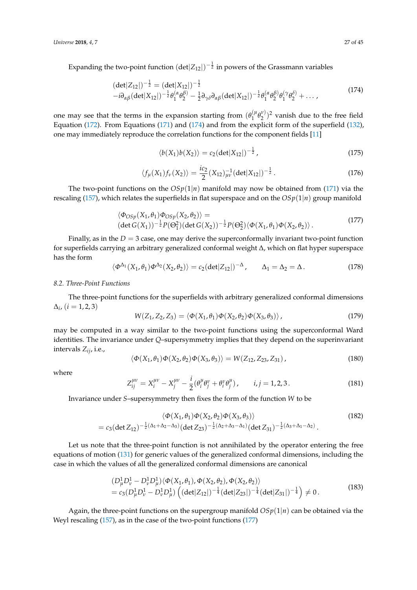Expanding the two-point function  $(\det|Z_{12}|)^{-\frac{1}{2}}$  in powers of the Grassmann variables

<span id="page-26-0"></span>
$$
(\det|Z_{12}|)^{-\frac{1}{2}} = (\det|X_{12}|)^{-\frac{1}{2}}-i\partial_{\alpha\beta}(\det|X_{12}|)^{-\frac{1}{2}}\theta_1^{(\alpha}\theta_2^{\beta)} - \frac{1}{2}\partial_{\gamma\delta}\partial_{\alpha\beta}(\det|X_{12}|)^{-\frac{1}{2}}\theta_1^{(\alpha}\theta_2^{\beta)}\theta_1^{(\gamma}\theta_2^{\delta)} + \dots,
$$
\n(174)

one may see that the terms in the expansion starting from  $(\theta_1^{(\mu)}$  $\int_1^{(\mu} \theta_2^{\nu)}$  $2^{(\nu)}$ )<sup>2</sup> vanish due to the free field Equation [\(172\)](#page-25-1). From Equations [\(171\)](#page-25-0) and [\(174\)](#page-26-0) and from the explicit form of the superfield [\(132\)](#page-20-3), one may immediately reproduce the correlation functions for the component fields [\[11\]](#page-40-10)

$$
\langle b(X_1)b(X_2) \rangle = c_2 (\det |X_{12}|)^{-\frac{1}{2}}, \qquad (175)
$$

$$
\langle f_{\mu}(X_1)f_{\nu}(X_2)\rangle = \frac{ic_2}{2}(X_{12})_{\mu\nu}^{-1}(\det|X_{12}|)^{-\frac{1}{2}}.
$$
 (176)

The two-point functions on the  $OSp(1|n)$  manifold may now be obtained from [\(171\)](#page-25-0) via the rescaling [\(157\)](#page-23-2), which relates the superfields in flat superspace and on the *OSp*(1|*n*) group manifold

<span id="page-26-1"></span>
$$
\langle \Phi_{OSp}(X_1, \theta_1) \Phi_{OSp}(X_2, \theta_2) \rangle =
$$
\n
$$
(\det G(X_1))^{-\frac{1}{2}} P(\Theta_1^2) (\det G(X_2))^{-\frac{1}{2}} P(\Theta_2^2) \langle \Phi(X_1, \theta_1) \Phi(X_2, \theta_2) \rangle.
$$
\n(177)

Finally, as in the  $D = 3$  case, one may derive the superconformally invariant two-point function for superfields carrying an arbitrary generalized conformal weight ∆, which on flat hyper superspace has the form

<span id="page-26-3"></span>
$$
\langle \Phi^{\Delta_1}(X_1,\theta_1)\Phi^{\Delta_2}(X_2,\theta_2)\rangle = c_2(\det|Z_{12}|)^{-\Delta}, \qquad \Delta_1 = \Delta_2 = \Delta. \tag{178}
$$

#### <span id="page-26-5"></span>*8.2. Three-Point Functions*

The three-point functions for the superfields with arbitrary generalized conformal dimensions  $\Delta_i$ ,  $(i = 1, 2, 3)$ 

$$
W(Z_1, Z_2, Z_3) = \langle \Phi(X_1, \theta_1) \Phi(X_2, \theta_2) \Phi(X_3, \theta_3) \rangle, \qquad (179)
$$

may be computed in a way similar to the two-point functions using the superconformal Ward identities. The invariance under *Q*–supersymmetry implies that they depend on the superinvariant intervals *Zij*, i.e.,

$$
\langle \Phi(X_1, \theta_1) \Phi(X_2, \theta_2) \Phi(X_3, \theta_3) \rangle = W(Z_{12}, Z_{23}, Z_{31}), \qquad (180)
$$

where

<span id="page-26-2"></span>
$$
Z_{ij}^{\mu\nu} = X_i^{\mu\nu} - X_j^{\mu\nu} - \frac{i}{2} (\theta_i^{\mu} \theta_j^{\nu} + \theta_i^{\nu} \theta_j^{\mu}), \qquad i, j = 1, 2, 3.
$$
 (181)

Invariance under *S*–supersymmetry then fixes the form of the function *W* to be

<span id="page-26-4"></span>
$$
\langle \Phi(X_1, \theta_1) \Phi(X_2, \theta_2) \Phi(X_3, \theta_3) \rangle
$$
  
= c<sub>3</sub>(det Z<sub>12</sub>)<sup>- $\frac{1}{2}$ ( $\Delta_1 + \Delta_2 - \Delta_3$ ) (det Z<sub>23</sub>)<sup>- $\frac{1}{2}$ ( $\Delta_2 + \Delta_3 - \Delta_1$ ) (det Z<sub>31</sub>)<sup>- $\frac{1}{2}$ ( $\Delta_3 + \Delta_1 - \Delta_2$ ). (182)</sup></sup></sup>

Let us note that the three-point function is not annihilated by the operator entering the free equations of motion [\(131\)](#page-20-1) for generic values of the generalized conformal dimensions, including the case in which the values of all the generalized conformal dimensions are canonical

$$
(D^1_{\mu}D^1_{\nu} - D^1_{\nu}D^1_{\mu})\langle \Phi(X_1, \theta_1), \Phi(X_2, \theta_2), \Phi(X_2, \theta_2) \rangle
$$
  
=  $c_3(D^1_{\mu}D^1_{\nu} - D^1_{\nu}D^1_{\mu}) \left( (\det|Z_{12}|)^{-\frac{1}{4}} (\det|Z_{23}|)^{-\frac{1}{4}} (\det|Z_{31}|)^{-\frac{1}{4}} \right) \neq 0.$  (183)

Again, the three-point functions on the supergroup manifold  $OSp(1|n)$  can be obtained via the Weyl rescaling [\(157\)](#page-23-2), as in the case of the two-point functions [\(177\)](#page-26-1)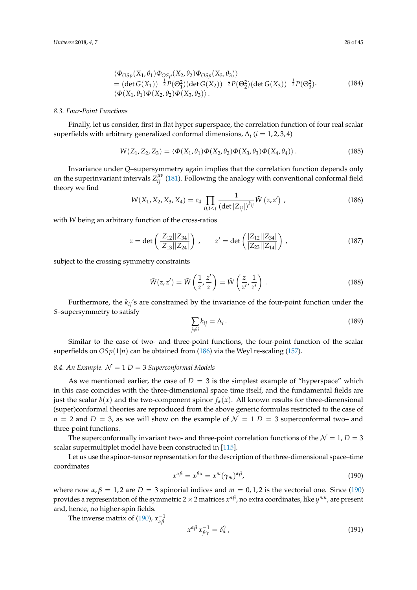$$
\langle \Phi_{OSp}(X_1, \theta_1) \Phi_{OSp}(X_2, \theta_2) \Phi_{OSp}(X_3, \theta_3) \rangle = (\det G(X_1))^{-\frac{1}{2}} P(\Theta_1^2) (\det G(X_2))^{-\frac{1}{2}} P(\Theta_2^2) (\det G(X_3))^{-\frac{1}{2}} P(\Theta_3^2).
$$
 (184)  

$$
\langle \Phi(X_1, \theta_1) \Phi(X_2, \theta_2) \Phi(X_3, \theta_3) \rangle.
$$

## *8.3. Four-Point Functions*

Finally, let us consider, first in flat hyper superspace, the correlation function of four real scalar superfields with arbitrary generalized conformal dimensions,  $\Delta_i$  ( $i = 1, 2, 3, 4$ )

$$
W(Z_1, Z_2, Z_3) = \langle \Phi(X_1, \theta_1) \Phi(X_2, \theta_2) \Phi(X_3, \theta_3) \Phi(X_4, \theta_4) \rangle. \tag{185}
$$

Invariance under *Q*–supersymmetry again implies that the correlation function depends only on the superinvariant intervals  $Z_{ij}^{\mu\nu}$  [\(181\)](#page-26-2). Following the analogy with conventional conformal field theory we find

<span id="page-27-0"></span>
$$
W(X_1, X_2, X_3, X_4) = c_4 \prod_{ij, i < j} \frac{1}{\left(\det |Z_{ij}|\right)^{k_{ij}}} \tilde{W}(z, z') \tag{186}
$$

with *W* being an arbitrary function of the cross-ratios

$$
z = \det\left(\frac{|Z_{12}||Z_{34}|}{|Z_{13}||Z_{24}|}\right), \qquad z' = \det\left(\frac{|Z_{12}||Z_{34}|}{|Z_{23}||Z_{14}|}\right), \tag{187}
$$

subject to the crossing symmetry constraints

$$
\tilde{W}(z, z') = \tilde{W}\left(\frac{1}{z}, \frac{z'}{z}\right) = \tilde{W}\left(\frac{z}{z'}, \frac{1}{z'}\right). \tag{188}
$$

Furthermore, the *kij*'s are constrained by the invariance of the four-point function under the *S*–supersymmetry to satisfy

$$
\sum_{j \neq i} k_{ij} = \Delta_i \,. \tag{189}
$$

Similar to the case of two- and three-point functions, the four-point function of the scalar superfields on  $OSp(1|n)$  can be obtained from [\(186\)](#page-27-0) via the Weyl re-scaling [\(157\)](#page-23-2).

## <span id="page-27-2"></span>8.4. An Example.  $\mathcal{N} = 1$   $D = 3$  *Superconformal Models*

As we mentioned earlier, the case of  $D = 3$  is the simplest example of "hyperspace" which in this case coincides with the three-dimensional space time itself, and the fundamental fields are just the scalar  $b(x)$  and the two-component spinor  $f_\alpha(x)$ . All known results for three-dimensional (super)conformal theories are reproduced from the above generic formulas restricted to the case of  $n = 2$  and  $D = 3$ , as we will show on the example of  $\mathcal{N} = 1$   $D = 3$  superconformal two– and three-point functions.

The superconformally invariant two- and three-point correlation functions of the  $\mathcal{N} = 1$ ,  $D = 3$ scalar supermultiplet model have been constructed in [\[115\]](#page-44-3).

Let us use the spinor–tensor representation for the description of the three-dimensional space–time coordinates

<span id="page-27-1"></span>
$$
x^{\alpha\beta} = x^{\beta\alpha} = x^m (\gamma_m)^{\alpha\beta}, \tag{190}
$$

where now  $\alpha$ ,  $\beta = 1$ , 2 are  $D = 3$  spinorial indices and  $m = 0, 1, 2$  is the vectorial one. Since [\(190\)](#page-27-1) provides a representation of the symmetric 2 ×2 matrices *x αβ*, no extra coordinates, like *y mn*, are present and, hence, no higher-spin fields.

The inverse matrix of [\(190\)](#page-27-1),  $x_{\alpha}^{-1}$ *αβ*

$$
x^{\alpha\beta} x_{\beta\gamma}^{-1} = \delta_\alpha^\gamma \,, \tag{191}
$$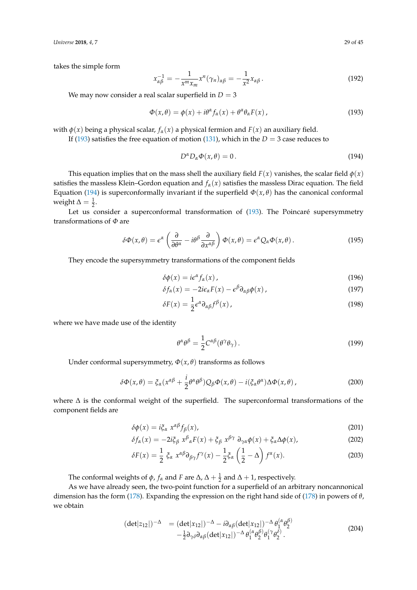*Universe* **2018**, *4*, 7 29 of 45

takes the simple form

$$
x_{\alpha\beta}^{-1} = -\frac{1}{x^m x_m} x^n (\gamma_n)_{\alpha\beta} = -\frac{1}{x^2} x_{\alpha\beta} \,.
$$
 (192)

We may now consider a real scalar superfield in  $D = 3$ 

<span id="page-28-0"></span>
$$
\Phi(x,\theta) = \phi(x) + i\theta^{\alpha} f_{\alpha}(x) + \theta^{\alpha} \theta_{\alpha} F(x), \qquad (193)
$$

with  $\phi(x)$  being a physical scalar,  $f_\alpha(x)$  a physical fermion and  $F(x)$  an auxiliary field.

If [\(193\)](#page-28-0) satisfies the free equation of motion [\(131\)](#page-20-1), which in the  $D = 3$  case reduces to

<span id="page-28-1"></span>
$$
D^{\alpha}D_{\alpha}\Phi(x,\theta) = 0. \tag{194}
$$

This equation implies that on the mass shell the auxiliary field  $F(x)$  vanishes, the scalar field  $\phi(x)$ satisfies the massless Klein–Gordon equation and  $f_\alpha(x)$  satisfies the massless Dirac equation. The field Equation [\(194\)](#page-28-1) is superconformally invariant if the superfield  $\Phi(x,\theta)$  has the canonical conformal weight  $\Delta = \frac{1}{2}$ .

Let us consider a superconformal transformation of [\(193\)](#page-28-0). The Poincaré supersymmetry transformations of *Φ* are

$$
\delta\Phi(x,\theta) = \epsilon^{\alpha} \left(\frac{\partial}{\partial\theta^{\alpha}} - i\theta^{\beta} \frac{\partial}{\partial x^{\alpha\beta}}\right) \Phi(x,\theta) = \epsilon^{\alpha} Q_{\alpha} \Phi(x,\theta). \tag{195}
$$

They encode the supersymmetry transformations of the component fields

$$
\delta\phi(x) = i\epsilon^{\alpha} f_{\alpha}(x) \tag{196}
$$

$$
\delta f_{\alpha}(x) = -2i\epsilon_{\alpha}F(x) - \epsilon^{\beta}\partial_{\alpha\beta}\phi(x), \qquad (197)
$$

$$
\delta F(x) = \frac{1}{2} \epsilon^{\alpha} \partial_{\alpha\beta} f^{\beta}(x) \,, \tag{198}
$$

where we have made use of the identity

$$
\theta^{\alpha}\theta^{\beta} = \frac{1}{2}C^{\alpha\beta}(\theta^{\gamma}\theta_{\gamma}).
$$
\n(199)

Under conformal supersymmetry,  $\Phi(x, \theta)$  transforms as follows

$$
\delta\Phi(x,\theta) = \xi_{\alpha}(x^{\alpha\beta} + \frac{i}{2}\theta^{\alpha}\theta^{\beta})Q_{\beta}\Phi(x,\theta) - i(\xi_{\alpha}\theta^{\alpha})\Delta\Phi(x,\theta), \qquad (200)
$$

where ∆ is the conformal weight of the superfield. The superconformal transformations of the component fields are

$$
\delta\phi(x) = i\xi_\alpha \; x^{\alpha\beta} f_\beta(x),\tag{201}
$$

$$
\delta f_{\alpha}(x) = -2i\xi_{\beta} x^{\beta}{}_{\alpha}F(x) + \xi_{\beta} x^{\beta\gamma} \partial_{\gamma\alpha}\phi(x) + \xi_{\alpha}\Delta\phi(x), \tag{202}
$$

$$
\delta F(x) = \frac{1}{2} \xi_{\alpha} x^{\alpha \beta} \partial_{\beta \gamma} f^{\gamma}(x) - \frac{1}{2} \xi_{\alpha} \left( \frac{1}{2} - \Delta \right) f^{\alpha}(x). \tag{203}
$$

The conformal weights of  $\phi$ ,  $f_{\alpha}$  and  $F$  are  $\Delta$ ,  $\Delta + \frac{1}{2}$  and  $\Delta + 1$ , respectively.

As we have already seen, the two-point function for a superfield of an arbitrary noncannonical dimension has the form [\(178\)](#page-26-3). Expanding the expression on the right hand side of [\(178\)](#page-26-3) in powers of *θ*, we obtain

<span id="page-28-2"></span>
$$
(\det|z_{12}|)^{-\Delta} = (\det|x_{12}|)^{-\Delta} - i\partial_{\alpha\beta}(\det|x_{12}|)^{-\Delta}\theta_1^{(\alpha}\theta_2^{\beta)} -\frac{1}{2}\partial_{\gamma\delta}\partial_{\alpha\beta}(\det|x_{12}|)^{-\Delta}\theta_1^{(\alpha}\theta_2^{\beta)}\theta_1^{(\gamma}\theta_2^{\delta)}.
$$
\n(204)

(*α*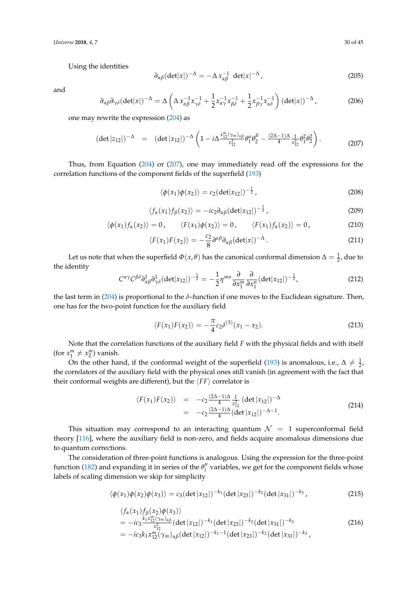*Universe* **2018**, *4*, 7 30 of 45

Using the identities

$$
\partial_{\alpha\beta} (\det |x|)^{-\Delta} = -\Delta x_{\alpha\beta}^{-1} \det |x|^{-\Delta}, \qquad (205)
$$

and

$$
\partial_{\alpha\beta}\partial_{\gamma\delta}(\det|x|)^{-\Delta} = \Delta \left( \Delta x_{\alpha\beta}^{-1} x_{\gamma\delta}^{-1} + \frac{1}{2} x_{\alpha\gamma}^{-1} x_{\beta\delta}^{-1} + \frac{1}{2} x_{\beta\gamma}^{-1} x_{\alpha\delta}^{-1} \right) (\det|x|)^{-\Delta},\tag{206}
$$

one may rewrite the expression [\(204\)](#page-28-2) as

<span id="page-29-0"></span>
$$
(\det|z_{12}|)^{-\Delta} = (\det|x_{12}|)^{-\Delta} \left(1 - i\Delta \frac{x_{12}^m(\gamma_m)_{\alpha\beta}}{x_{12}^2} \theta_1^{\alpha} \theta_2^{\beta} - \frac{(2\Delta - 1)\Delta}{4} \frac{1}{x_{12}^2} \theta_1^2 \theta_2^2\right).
$$
 (207)

Thus, from Equation [\(204\)](#page-28-2) or [\(207\)](#page-29-0), one may immediately read off the expressions for the correlation functions of the component fields of the superfield [\(193\)](#page-28-0)

$$
\langle \phi(x_1)\phi(x_2)\rangle = c_2(\det|x_{12}|)^{-\frac{1}{2}},\tag{208}
$$

$$
\langle f_{\alpha}(x_1)f_{\beta}(x_2)\rangle = -ic_2\partial_{\alpha\beta}(\det|x_{12}|)^{-\frac{1}{2}},\tag{209}
$$

$$
\langle \phi(x_1) f_\alpha(x_2) \rangle = 0, \qquad \langle F(x_1) \phi(x_2) \rangle = 0, \qquad \langle F(x_1) f_\alpha(x_2) \rangle = 0, \tag{210}
$$

$$
\langle F(x_1)F(x_2)\rangle = -\frac{c_2}{8}\partial^{\alpha\beta}\partial_{\alpha\beta}(\det|x|)^{-\Delta}.
$$
 (211)

Let us note that when the superfield  $\Phi(x,\theta)$  has the canonical conformal dimension  $\Delta = \frac{1}{2}$ , due to the identity

$$
C^{\alpha\gamma}C^{\beta\delta}\partial_{\alpha\beta}^{1}\partial_{\gamma\delta}^{1}(det|x_{12}|)^{-\frac{1}{2}}=-\frac{1}{2}\eta^{mn}\frac{\partial}{\partial x_{1}^{m}}\frac{\partial}{\partial x_{1}^{n}}(det|x_{12}|)^{-\frac{1}{2}},\qquad (212)
$$

the last term in [\(204\)](#page-28-2) is proportional to the *δ*–function if one moves to the Euclidean signature. Then, one has for the two-point function for the auxiliary field

$$
\langle F(x_1)F(x_2) \rangle = -\frac{\pi}{4}c_2\delta^{(3)}(x_1 - x_2). \tag{213}
$$

Note that the correlation functions of the auxiliary field *F* with the physical fields and with itself (for  $x_1^m \neq x_2^m$ ) vanish.

On the other hand, if the conformal weight of the superfield [\(193\)](#page-28-0) is anomalous, i.e.,  $\Delta \neq \frac{1}{2}$ , the correlators of the auxiliary field with the physical ones still vanish (in agreement with the fact that their conformal weights are different), but the  $\langle FF \rangle$  correlator is

$$
\langle F(x_1)F(x_2) \rangle = -c_2 \frac{(2\Delta - 1)\Delta}{4} \frac{1}{x_{12}^2} (\det |x_{12}|)^{-\Delta}
$$
  
= -c\_2 \frac{(2\Delta - 1)\Delta}{4} (\det |x\_{12}|)^{-\Delta - 1}. (214)

This situation may correspond to an interacting quantum  $\mathcal{N} = 1$  superconformal field theory [\[116\]](#page-44-4), where the auxiliary field is non-zero, and fields acquire anomalous dimensions due to quantum corrections.

The consideration of three-point functions is analogous. Using the expression for the three-point function [\(182\)](#page-26-4) and expanding it in series of the  $\theta_i^{\mu}$  $\int_{i}^{\mu}$  variables, we get for the component fields whose labels of scaling dimension we skip for simplicity

$$
\langle \phi(x_1)\phi(x_2)\phi(x_3)\rangle = c_3(\det|x_{12}|)^{-k_1}(\det|x_{23}|)^{-k_2}(\det|x_{31}|)^{-k_3},\tag{215}
$$

$$
\langle f_{\alpha}(x_1) f_{\beta}(x_2) \phi(x_3) \rangle \n= -ic_3 \frac{k_1 x_{12}^m(\gamma_m)_{\alpha\beta}}{x_{12}^2} (\det |x_{12}|)^{-k_1} (\det |x_{23}|)^{-k_2} (\det |x_{31}|)^{-k_3} \n= -ic_3 k_1 x_{12}^m(\gamma_m)_{\alpha\beta} (\det |x_{12}|)^{-k_1-1} (\det |x_{23}|)^{-k_2} (\det |x_{31}|)^{-k_3},
$$
\n(216)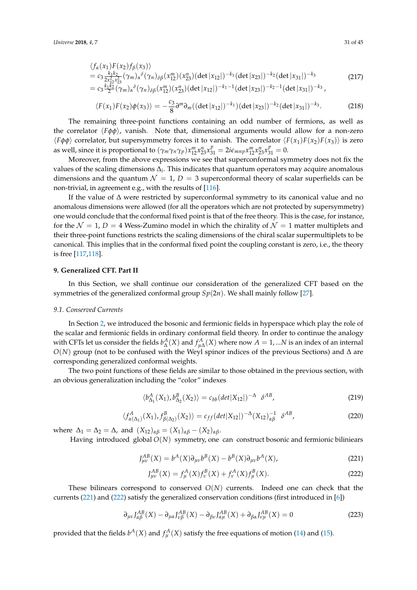$$
\langle f_{\alpha}(x_1) F(x_2) f_{\beta}(x_3) \rangle
$$
  
=  $c_3 \frac{k_1 k_2}{2 x_{12}^2 x_{23}^2} (\gamma_m)_{\alpha}^{\delta} (\gamma_n)_{\delta \beta} (x_{12}^m) (x_{23}^n) (\det |x_{12}|)^{-k_1} (\det |x_{23}|)^{-k_2} (\det |x_{31}|)^{-k_3}$  (217)  
=  $c_3 \frac{k_1 k_2}{2} (\gamma_m)_{\alpha}^{\delta} (\gamma_n)_{\delta \beta} (x_{12}^m) (x_{23}^n) (\det |x_{12}|)^{-k_1-1} (\det |x_{23}|)^{-k_2-1} (\det |x_{31}|)^{-k_3},$ 

$$
\langle F(x_1)F(x_2)\phi(x_3)\rangle = -\frac{c_3}{8}\partial^m\partial_m((\det|x_{12}|)^{-k_1})(\det|x_{23}|)^{-k_2}(\det|x_{31}|)^{-k_3}.
$$
 (218)

The remaining three-point functions containing an odd number of fermions, as well as the correlator  $\langle F\phi\phi\rangle$ , vanish. Note that, dimensional arguments would allow for a non-zero  $\langle F\phi\phi\rangle$  correlator, but supersymmetry forces it to vanish. The correlator  $\langle F(x_1)F(x_2)F(x_3)\rangle$  is zero as well, since it is proportional to  $(\gamma_m \gamma_n \gamma_p) x_{12}^m x_{23}^n x_{31}^p = 2i\epsilon_{mnp} x_{12}^m x_{23}^n x_{31}^p = 0$ .

Moreover, from the above expressions we see that superconformal symmetry does not fix the values of the scaling dimensions ∆*<sup>i</sup>* . This indicates that quantum operators may acquire anomalous dimensions and the quantum  $\mathcal{N} = 1$ ,  $D = 3$  superconformal theory of scalar superfields can be non-trivial, in agreement e.g., with the results of [\[116\]](#page-44-4).

If the value of ∆ were restricted by superconformal symmetry to its canonical value and no anomalous dimensions were allowed (for all the operators which are not protected by supersymmetry) one would conclude that the conformal fixed point is that of the free theory. This is the case, for instance, for the  $\mathcal{N} = 1$ ,  $D = 4$  Wess-Zumino model in which the chirality of  $\mathcal{N} = 1$  matter multiplets and their three-point functions restricts the scaling dimensions of the chiral scalar supermultiplets to be canonical. This implies that in the conformal fixed point the coupling constant is zero, i.e., the theory is free [\[117,](#page-44-5)[118\]](#page-44-6).

#### <span id="page-30-0"></span>**9. Generalized CFT. Part II**

In this Section, we shall continue our consideration of the generalized CFT based on the symmetries of the generalized conformal group *Sp*(2*n*). We shall mainly follow [\[27\]](#page-41-9).

## *9.1. Conserved Currents*

In Section [2,](#page-2-0) we introduced the bosonic and fermionic fields in hyperspace which play the role of the scalar and fermionic fields in ordinary conformal field theory. In order to continue the analogy with CFTs let us consider the fields  $b^A_\Delta(X)$  and  $f^A_{\mu\Delta}(X)$  where now  $A=1,...N$  is an index of an internal  $O(N)$  group (not to be confused with the Weyl spinor indices of the previous Sections) and  $\Delta$  are corresponding generalized conformal weights.

The two point functions of these fields are similar to those obtained in the previous section, with an obvious generalization including the "color" indexes

<span id="page-30-3"></span>
$$
\langle b_{\Delta_1}^A(X_1), b_{\Delta_2}^B(X_2) \rangle = c_{bb} (det|X_{12}|)^{-\Delta} \delta^{AB}, \qquad (219)
$$

<span id="page-30-4"></span>
$$
\langle f_{\alpha(\Delta_1)}^A(X_1), f_{\beta(\Delta_2)}^B(X_2) \rangle = c_{ff} (det|X_{12}|)^{-\Delta} (X_{12})_{\alpha\beta}^{-1} \delta^{AB}, \qquad (220)
$$

where  $\Delta_1 = \Delta_2 = \Delta$ , and  $(X_{12})_{\alpha\beta} = (X_1)_{\alpha\beta} - (X_2)_{\alpha\beta}$ .

Having introduced global *O*(*N*) symmetry, one can construct bosonic and fermionic biliniears

<span id="page-30-1"></span>
$$
J_{\mu\nu}^{AB}(X) = b^A(X)\partial_{\mu\nu}b^B(X) - b^B(X)\partial_{\mu\nu}b^A(X),
$$
\n(221)

<span id="page-30-2"></span>
$$
J_{\mu\nu}^{AB}(X) = f_{\mu}^{A}(X)f_{\nu}^{B}(X) + f_{\nu}^{A}(X)f_{\mu}^{B}(X).
$$
 (222)

These bilinears correspond to conserved  $O(N)$  currents. Indeed one can check that the currents [\(221\)](#page-30-1) and [\(222\)](#page-30-2) satisfy the generalized conservation conditions (first introduced in [\[6\]](#page-40-11))

<span id="page-30-5"></span>
$$
\partial_{\mu\nu} J_{\alpha\beta}^{AB}(X) - \partial_{\mu\alpha} J_{\nu\beta}^{AB}(X) - \partial_{\beta\nu} J_{\alpha\mu}^{AB}(X) + \partial_{\beta\alpha} J_{\nu\mu}^{AB}(X) = 0
$$
\n(223)

provided that the fields  $b^A$ (*X*) and  $f^A_\mu$ (*X*) satisfy the free equations of motion [\(14\)](#page-4-2) and [\(15\)](#page-4-2).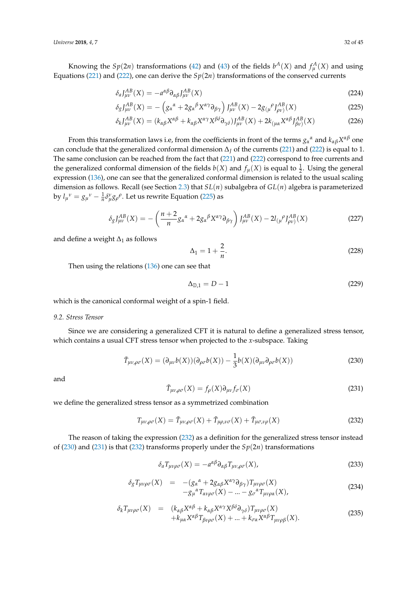Knowing the  $Sp(2n)$  transformations [\(42\)](#page-9-1) and [\(43\)](#page-9-2) of the fields  $b^A(X)$  and  $f^A_\mu(X)$  and using Equations [\(221\)](#page-30-1) and [\(222\)](#page-30-2), one can derive the  $Sp(2n)$  transformations of the conserved currents

<span id="page-31-0"></span>
$$
\delta_a J_{\mu\nu}^{AB}(X) = -a^{\alpha\beta} \partial_{\alpha\beta} J_{\mu\nu}^{AB}(X) \tag{224}
$$

$$
\delta_g J_{\mu\nu}^{AB}(X) = -\left(g_\alpha{}^\alpha + 2g_\alpha{}^\beta X^{\alpha\gamma}\partial_{\beta\gamma}\right)J_{\mu\nu}^{AB}(X) - 2g_{(\mu}{}^\rho J_{\rho\nu)}^{AB}(X) \tag{225}
$$

$$
\delta_k J_{\mu\nu}^{AB}(X) = (k_{\alpha\beta}X^{\alpha\beta} + k_{\alpha\beta}X^{\alpha\gamma}X^{\beta\delta}\partial_{\gamma\delta})J_{\mu\nu}^{AB}(X) + 2k_{(\mu\alpha}X^{\alpha\beta}J_{\beta\nu)}^{AB}(X)
$$
(226)

From this transformation laws i.e, from the coefficients in front of the terms  $g_\alpha{}^\alpha$  and  $k_{\alpha\beta}X^{\alpha\beta}$  one can conclude that the generalized conformal dimension ∆*<sup>J</sup>* of the currents [\(221\)](#page-30-1) and [\(222\)](#page-30-2) is equal to 1. The same conclusion can be reached from the fact that [\(221\)](#page-30-1) and [\(222\)](#page-30-2) correspond to free currents and the generalized conformal dimension of the fields  $b(X)$  and  $f_{\mu}(X)$  is equal to  $\frac{1}{2}$ . Using the general expression [\(136\)](#page-21-0), one can see that the generalized conformal dimension is related to the usual scaling dimension as follows. Recall (see Section [2.3\)](#page-8-5) that *SL*(*n*) subalgebra of *GL*(*n*) algebra is parameterized by  $l_{\mu}^{\ \nu} = g_{\mu}^{\ \nu} - \frac{1}{n} \delta_{\mu}^{\nu} g_{\rho}^{\ \rho}$ . Let us rewrite Equation [\(225\)](#page-31-0) as

$$
\delta_g J_{\mu\nu}^{AB}(X) = -\left(\frac{n+2}{n}g_\alpha{}^\alpha + 2g_\alpha{}^\beta X^{\alpha\gamma}\partial_{\beta\gamma}\right)J_{\mu\nu}^{AB}(X) - 2l_{(\mu}{}^\rho J_{\rho\nu)}^{AB}(X) \tag{227}
$$

and define a weight  $\Delta_1$  as follows

<span id="page-31-4"></span>
$$
\Delta_1 = 1 + \frac{2}{n}.\tag{228}
$$

Then using the relations [\(136\)](#page-21-0) one can see that

$$
\Delta_{\mathbb{D},1} = D - 1 \tag{229}
$$

which is the canonical conformal weight of a spin-1 field.

## *9.2. Stress Tensor*

Since we are considering a generalized CFT it is natural to define a generalized stress tensor, which contains a usual CFT stress tensor when projected to the *x*-subspace. Taking

<span id="page-31-2"></span>
$$
\tilde{T}_{\mu\nu,\rho\sigma}(X) = (\partial_{\mu\nu}b(X))(\partial_{\rho\sigma}b(X)) - \frac{1}{3}b(X)(\partial_{\mu\nu}\partial_{\rho\sigma}b(X))
$$
\n(230)

and

<span id="page-31-3"></span>
$$
\tilde{T}_{\mu\nu,\rho\sigma}(X) = f_{\rho}(X)\partial_{\mu\nu}f_{\sigma}(X)
$$
\n(231)

we define the generalized stress tensor as a symmetrized combination

<span id="page-31-1"></span>
$$
T_{\mu\nu,\rho\sigma}(X) = \tilde{T}_{\mu\nu,\rho\sigma}(X) + \tilde{T}_{\mu\rho,\nu\sigma}(X) + \tilde{T}_{\mu\sigma,\nu\rho}(X)
$$
\n(232)

The reason of taking the expression [\(232\)](#page-31-1) as a definition for the generalized stress tensor instead of [\(230\)](#page-31-2) and [\(231\)](#page-31-3) is that [\(232\)](#page-31-1) transforms properly under the *Sp*(2*n*) transformations

$$
\delta_a T_{\mu\nu\rho\sigma}(X) = -a^{\alpha\beta} \partial_{\alpha\beta} T_{\mu\nu,\rho\sigma}(X),\tag{233}
$$

$$
\delta_{g} T_{\mu\nu\rho\sigma}(X) = -(g_{\alpha}{}^{\alpha} + 2g_{\alpha\beta}X^{\alpha\gamma}\partial_{\beta\gamma})T_{\mu\nu\rho\sigma}(X) -g_{\mu}{}^{\alpha}T_{\alpha\nu\rho\sigma}(X) - ... - g_{\sigma}{}^{\alpha}T_{\mu\nu\rho\alpha}(X),
$$
\n(234)

$$
\delta_k T_{\mu\nu\rho\sigma}(X) = (k_{\alpha\beta}X^{\alpha\beta} + k_{\alpha\beta}X^{\alpha\gamma}X^{\beta\delta}\partial_{\gamma\delta})T_{\mu\nu\rho\sigma}(X) \n+ k_{\mu\alpha}X^{\alpha\beta}T_{\beta\nu\rho\sigma}(X) + ... + k_{\sigma\alpha}X^{\alpha\beta}T_{\mu\nu\rho\beta}(X).
$$
\n(235)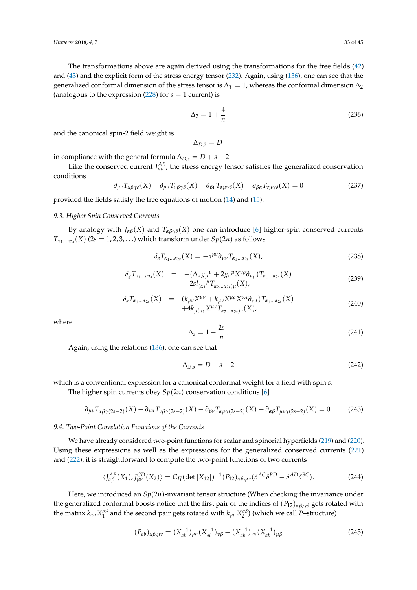The transformations above are again derived using the transformations for the free fields [\(42\)](#page-9-1) and [\(43\)](#page-9-2) and the explicit form of the stress energy tensor [\(232\)](#page-31-1). Again, using [\(136\)](#page-21-0), one can see that the generalized conformal dimension of the stress tensor is  $\Delta_T = 1$ , whereas the conformal dimension  $\Delta_2$ (analogous to the expression  $(228)$  for  $s = 1$  current) is

$$
\Delta_2 = 1 + \frac{4}{n} \tag{236}
$$

and the canonical spin-2 field weight is

$$
\Delta_{D,2}=D
$$

in compliance with the general formula  $\Delta_{D,s} = D + s - 2$ .

Like the conserved current  $J_{\mu\nu}^{AB}$ , the stress energy tensor satisfies the generalized conservation conditions

<span id="page-32-1"></span>
$$
\partial_{\mu\nu} T_{\alpha\beta\gamma\delta}(X) - \partial_{\mu\alpha} T_{\nu\beta\gamma\delta}(X) - \partial_{\beta\nu} T_{\alpha\mu\gamma\delta}(X) + \partial_{\beta\alpha} T_{\nu\mu\gamma\delta}(X) = 0 \tag{237}
$$

provided the fields satisfy the free equations of motion [\(14\)](#page-4-2) and [\(15\)](#page-4-2).

## *9.3. Higher Spin Conserved Currents*

By analogy with  $J_{\alpha\beta}(X)$  and  $T_{\alpha\beta\gamma\delta}(X)$  one can introduce [\[6\]](#page-40-11) higher-spin conserved currents  $T_{\alpha_1...\alpha_{2s}}(X)$  (2*s* = 1, 2, 3, . . .) which transform under  $Sp(2n)$  as follows

$$
\delta_a T_{\alpha_1 \dots \alpha_{2s}}(X) = -a^{\mu \nu} \partial_{\mu \nu} T_{\alpha_1 \dots \alpha_{2s}}(X), \tag{238}
$$

$$
\delta_{g} T_{\alpha_{1}...\alpha_{2s}}(X) = -(\Delta_{s} g_{\mu}^{\ \mu} + 2g_{\nu}^{\ \mu} X^{\nu\rho} \partial_{\mu\rho}) T_{\alpha_{1}...\alpha_{2s}}(X) -2sl_{(\alpha_{1}}^{\ \mu} T_{\alpha_{2}...\alpha_{2s})\mu}(X), \qquad (239)
$$

$$
\delta_k T_{\alpha_1...\alpha_{2s}}(X) = (k_{\mu\nu}X^{\mu\nu} + k_{\mu\nu}X^{\mu\rho}X^{\nu\lambda}\partial_{\rho\lambda})T_{\alpha_1...\alpha_{2s}}(X) \n+4k_{\mu(\alpha_1}X^{\mu\nu}T_{\alpha_2...\alpha_{2s})\nu}(X),
$$
\n(240)

where

$$
\Delta_s = 1 + \frac{2s}{n} \,. \tag{241}
$$

Again, using the relations [\(136\)](#page-21-0), one can see that

$$
\Delta_{\mathbb{D},s} = D + s - 2 \tag{242}
$$

which is a conventional expression for a canonical conformal weight for a field with spin *s*.

The higher spin currents obey  $Sp(2n)$  conservation conditions [\[6\]](#page-40-11)

<span id="page-32-3"></span>
$$
\partial_{\mu\nu} T_{\alpha\beta\gamma(2s-2)}(X) - \partial_{\mu\alpha} T_{\nu\beta\gamma(2s-2)}(X) - \partial_{\beta\nu} T_{\alpha\mu\gamma(2s-2)}(X) + \partial_{\alpha\beta} T_{\mu\nu\gamma(2s-2)}(X) = 0. \tag{243}
$$

#### *9.4. Two-Point Correlation Functions of the Currents*

We have already considered two-point functions for scalar and spinorial hyperfields [\(219\)](#page-30-3) and [\(220\)](#page-30-4). Using these expressions as well as the expressions for the generalized conserved currents [\(221\)](#page-30-1) and [\(222\)](#page-30-2), it is straightforward to compute the two-point functions of two currents

<span id="page-32-0"></span>
$$
\langle J_{\alpha\beta}^{AB}(X_1), J_{\mu\nu}^{CD}(X_2) \rangle = C_{JJ} (\det |X_{12}|)^{-1} (P_{12})_{\alpha\beta,\mu\nu} (\delta^{AC} \delta^{BD} - \delta^{AD} \delta^{BC}). \tag{244}
$$

Here, we introduced an *Sp*(2*n*)-invariant tensor structure (When checking the invariance under the generalized conformal boosts notice that the first pair of the indices of (*P*12)*αβ*,*γδ* gets rotated with the matrix  $k_{\alpha\sigma}X_1^{\sigma\delta}$  and the second pair gets rotated with  $k_{\mu\sigma}X_2^{\sigma\delta}$ ) (which we call *P*–structure)

<span id="page-32-2"></span>
$$
(P_{ab})_{\alpha\beta,\mu\nu} = (X_{ab}^{-1})_{\mu\alpha} (X_{ab}^{-1})_{\nu\beta} + (X_{ab}^{-1})_{\nu\alpha} (X_{ab}^{-1})_{\mu\beta} \tag{245}
$$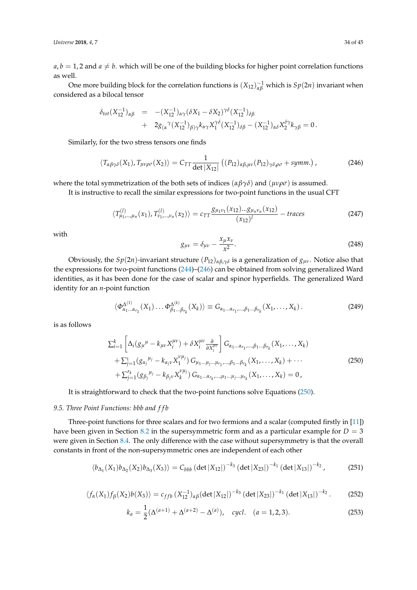$a, b = 1, 2$  and  $a \neq b$ . which will be one of the building blocks for higher point correlation functions as well.

One more building block for the correlation functions is  $(X_{12})_{\alpha\beta}^{-1}$  which is  $Sp(2n)$  invariant when considered as a bilocal tensor

<span id="page-33-0"></span>
$$
\delta_{tot}(X_{12}^{-1})_{\alpha\beta} = -(X_{12}^{-1})_{\alpha\gamma}(\delta X_1 - \delta X_2)^{\gamma\delta}(X_{12}^{-1})_{\delta\beta} + 2g_{(\alpha}^{\gamma}(X_{12}^{-1})_{\beta)\gamma}k_{\alpha\gamma}X_1^{\gamma\delta}(X_{12}^{-1})_{\delta\beta} - (X_{12}^{-1})_{\alpha\delta}X_2^{\delta\gamma}k_{\gamma\beta} = 0.
$$

Similarly, for the two stress tensors one finds

$$
\langle T_{\alpha\beta\gamma\delta}(X_1), T_{\mu\nu\rho\sigma}(X_2) \rangle = C_{TT} \frac{1}{\det|X_{12}|} \left( (P_{12})_{\alpha\beta,\mu\nu} (P_{12})_{\gamma\delta,\rho\sigma} + symm. \right), \tag{246}
$$

where the total symmetrization of the both sets of indices ( $\alpha\beta\gamma\delta$ ) and ( $\mu\nu\rho\sigma$ ) is assumed.

It is instructive to recall the similar expressions for two-point functions in the usual CFT

$$
\langle T_{\mu_1,\dots,\mu_n}^{(1)}(x_1), T_{\nu_1,\dots,\nu_n}^{(1)}(x_2) \rangle = c_{TT} \frac{g_{\mu_1\nu_1}(x_{12})...g_{\mu_n\nu_n}(x_{12})}{(x_{12})^l} - \text{traces}
$$
\n(247)

with

$$
g_{\mu\nu} = \delta_{\mu\nu} - \frac{x_{\mu}x_{\nu}}{x^2}.
$$
\n(248)

Obviously, the  $Sp(2n)$ -invariant structure  $(P_{12})_{\alpha\beta,\gamma\delta}$  is a generalization of  $g_{\mu\nu}$ . Notice also that the expressions for two-point functions [\(244\)](#page-32-0)–[\(246\)](#page-33-0) can be obtained from solving generalized Ward identities, as it has been done for the case of scalar and spinor hyperfields. The generalized Ward identity for an *n*-point function

$$
\langle \Phi_{\alpha_1...\alpha_{r_1}}^{\Delta^{(1)}}(X_1)\dots \Phi_{\beta_1...\beta_{r_k}}^{\Delta^{(k)}}(X_k)\rangle \equiv G_{\alpha_1...\alpha_{r_1},...\beta_1...\beta_{r_k}}(X_1,\dots,X_k)\,. \tag{249}
$$

is as follows

<span id="page-33-1"></span>
$$
\sum_{i=1}^{k} \left[ \Delta_{i} (g_{\mu}^{\mu} - k_{\mu\nu} X_{i}^{\mu\nu}) + \delta X_{i}^{\mu\nu} \frac{\partial}{\partial X_{i}^{\mu\nu}} \right] G_{\alpha_{1}...\alpha_{r_{1}},...,\beta_{1}...\beta_{r_{k}}} (X_{1},...,X_{k}) \n+ \sum_{j=1}^{1} (g_{\alpha_{j}}^{\mu_{j}} - k_{\alpha_{j}\nu} X_{1}^{\nu\mu_{j}}) G_{\mu_{1}...\mu_{j}...\mu_{r_{1}},...,\beta_{1}...\beta_{r_{k}}} (X_{1},...,X_{k}) + \cdots \n+ \sum_{j=1}^{r_{k}} (g_{\beta_{j}}^{\mu_{j}} - k_{\beta_{j}\nu} X_{k}^{\nu\mu_{j}}) G_{\alpha_{1}...\alpha_{r_{k}},...,\mu_{1}...\mu_{j}...\mu_{r_{k}}} (X_{1},...,X_{k}) = 0,
$$
\n(250)

It is straightforward to check that the two-point functions solve Equations [\(250\)](#page-33-1).

## *9.5. Three Point Functions: bbb and f f b*

Three-point functions for three scalars and for two fermions and a scalar (computed firstly in [\[11\]](#page-40-10)) have been given in Section [8.2](#page-26-5) in the supersymmetric form and as a particular example for  $D = 3$ were given in Section [8.4.](#page-27-2) The only difference with the case without supersymmetry is that the overall constants in front of the non-supersymmetric ones are independent of each other

$$
\langle b_{\Delta_1}(X_1)b_{\Delta_2}(X_2)b_{\Delta_3}(X_3)\rangle = C_{bbb} (\det |X_{12}|)^{-k_3} (\det |X_{23}|)^{-k_1} (\det |X_{13}|)^{-k_2}, \qquad (251)
$$

$$
\langle f_{\alpha}(X_1)f_{\beta}(X_2)b(X_3)\rangle = c_{ffb}(X_{12}^{-1})_{\alpha\beta}(\det|X_{12}|)^{-k_3}(\det|X_{23}|)^{-k_1}(\det|X_{13}|)^{-k_2}.
$$
 (252)

<span id="page-33-2"></span>
$$
k_a = \frac{1}{2} (\Delta^{(a+1)} + \Delta^{(a+2)} - \Delta^{(a)}), \quad cycl. \quad (a = 1, 2, 3).
$$
 (253)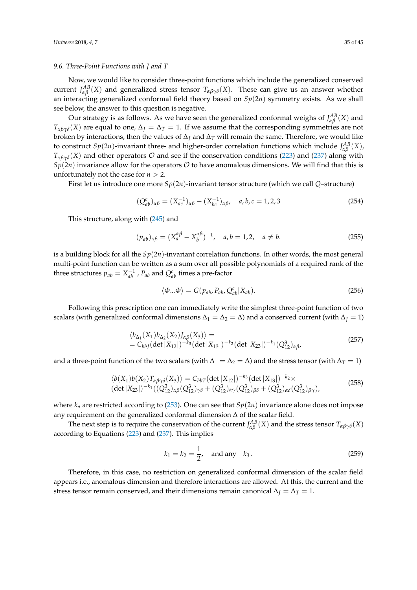#### *9.6. Three-Point Functions with J and T*

Now, we would like to consider three-point functions which include the generalized conserved current  $J_{\alpha\beta}^{AB}(X)$  and generalized stress tensor  $T_{\alpha\beta\gamma\delta}(X)$ . These can give us an answer whether an interacting generalized conformal field theory based on *Sp*(2*n*) symmetry exists. As we shall see below, the answer to this question is negative.

Our strategy is as follows. As we have seen the generalized conformal weighs of  $J_{\alpha\beta}^{AB}(X)$  and  $T_{\alpha\beta\gamma\delta}(X)$  are equal to one,  $\Delta_I = \Delta_T = 1$ . If we assume that the corresponding symmetries are not broken by interactions, then the values of  $\Delta_I$  and  $\Delta_T$  will remain the same. Therefore, we would like to construct  $Sp(2n)$ -invariant three- and higher-order correlation functions which include  $J_{\alpha\beta}^{AB}(X)$ ,  $T_{\alpha\beta\gamma\delta}(X)$  and other operators  $\mathcal O$  and see if the conservation conditions [\(223\)](#page-30-5) and [\(237\)](#page-32-1) along with  $Sp(2n)$  invariance allow for the operators  $O$  to have anomalous dimensions. We will find that this is unfortunately not the case for  $n > 2$ .

First let us introduce one more  $Sp(2n)$ -invariant tensor structure (which we call *Q*–structure)

$$
(Q_{ab}^c)_{\alpha\beta} = (X_{ac}^{-1})_{\alpha\beta} - (X_{bc}^{-1})_{\alpha\beta}, \quad a, b, c = 1, 2, 3
$$
 (254)

This structure, along with [\(245\)](#page-32-2) and

$$
(p_{ab})_{\alpha\beta} = (X_a^{\alpha\beta} - X_b^{\alpha\beta})^{-1}, \quad a, b = 1, 2, \quad a \neq b. \tag{255}
$$

is a building block for all the  $Sp(2n)$ -invariant correlation functions. In other words, the most general multi-point function can be written as a sum over all possible polynomials of a required rank of the three structures  $p_{ab} = X_{ab}^{-1}$  ,  $P_{ab}$  and  $Q_{ab}^c$  times a pre-factor

$$
\langle \Phi \dots \Phi \rangle = G(p_{ab}, P_{ab}, Q_{ab}^c | X_{ab}). \tag{256}
$$

Following this prescription one can immediately write the simplest three-point function of two scalars (with generalized conformal dimensions  $\Delta_1 = \Delta_2 = \Delta$ ) and a conserved current (with  $\Delta_l = 1$ )

$$
\langle b_{\Delta_1}(X_1)b_{\Delta_2}(X_2)J_{\alpha\beta}(X_3)\rangle =
$$
  
=  $C_{bbJ}(\det|X_{12}|)^{-k_3}(\det|X_{13}|)^{-k_2}(\det|X_{23}|)^{-k_1}(Q_{12}^3)_{\alpha\beta}$ , (257)

and a three-point function of the two scalars (with  $\Delta_1 = \Delta_2 = \Delta$ ) and the stress tensor (with  $\Delta_T = 1$ )

$$
\langle b(X_1)b(X_2)T_{\alpha\beta\gamma\delta}(X_3)\rangle = C_{b b T} (\det|X_{12}|)^{-k_3} (\det|X_{13}|)^{-k_2} \times
$$
  
\n
$$
(\det|X_{23}|)^{-k_1} ((Q_{12}^3)_{\alpha\beta}(Q_{12}^3)_{\gamma\delta} + (Q_{12}^3)_{\alpha\gamma}(Q_{12}^3)_{\beta\delta} + (Q_{12}^3)_{\alpha\delta}(Q_{12}^3)_{\beta\gamma}),
$$
\n(258)

where  $k_a$  are restricted according to [\(253\)](#page-33-2). One can see that  $Sp(2n)$  invariance alone does not impose any requirement on the generalized conformal dimension ∆ of the scalar field.

The next step is to require the conservation of the current  $J^{AB}_{\alpha\beta}(X)$  and the stress tensor  $T_{\alpha\beta\gamma\delta}(X)$ according to Equations [\(223\)](#page-30-5) and [\(237\)](#page-32-1). This implies

$$
k_1 = k_2 = \frac{1}{2}
$$
, and any  $k_3$ . (259)

Therefore, in this case, no restriction on generalized conformal dimension of the scalar field appears i.e., anomalous dimension and therefore interactions are allowed. At this, the current and the stress tensor remain conserved, and their dimensions remain canonical  $\Delta$ *J* =  $\Delta$ *T* = 1.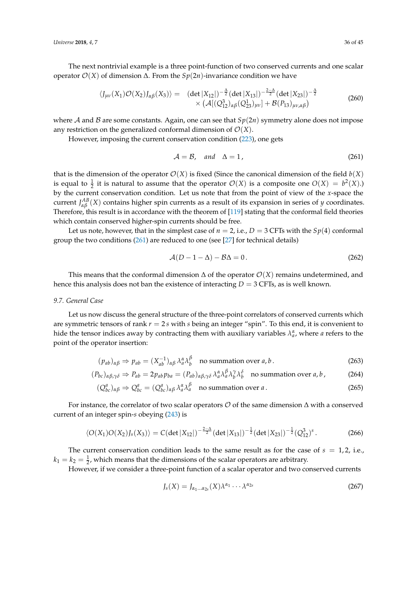The next nontrivial example is a three point-function of two conserved currents and one scalar operator O(*X*) of dimension ∆. From the *Sp*(2*n*)-invariance condition we have

$$
\langle J_{\mu\nu}(X_1)\mathcal{O}(X_2)J_{\alpha\beta}(X_3)\rangle = (det|X_{12}|)^{-\frac{\Delta}{2}}(det|X_{13}|)^{-\frac{2-\Delta}{2}}(det|X_{23}|)^{-\frac{\Delta}{2}}\times (\mathcal{A}[(Q_{12}^2)_{\alpha\beta}(Q_{23}^1)_{\mu\nu}]+\mathcal{B}(P_{13})_{\mu\nu,\alpha\beta})
$$
(260)

where A and B are some constants. Again, one can see that  $Sp(2n)$  symmetry alone does not impose any restriction on the generalized conformal dimension of  $\mathcal{O}(X)$ .

However, imposing the current conservation condition [\(223\)](#page-30-5), one gets

<span id="page-35-0"></span>
$$
\mathcal{A} = \mathcal{B}, \quad \text{and} \quad \Delta = 1, \tag{261}
$$

that is the dimension of the operator  $\mathcal{O}(X)$  is fixed (Since the canonical dimension of the field  $b(X)$ ) is equal to  $\frac{1}{2}$  it is natural to assume that the operator  $\mathcal{O}(X)$  is a composite one  $O(X) = b^2(X)$ . by the current conservation condition. Let us note that from the point of view of the *x*-space the current *J AB αβ* (*X*) contains higher spin currents as a result of its expansion in series of *<sup>y</sup>* coordinates. Therefore, this result is in accordance with the theorem of [\[119\]](#page-44-7) stating that the conformal field theories which contain conserved higher-spin currents should be free.

Let us note, however, that in the simplest case of  $n = 2$ , i.e.,  $D = 3$  CFTs with the  $Sp(4)$  conformal group the two conditions [\(261\)](#page-35-0) are reduced to one (see [\[27\]](#page-41-9) for technical details)

$$
\mathcal{A}(D - 1 - \Delta) - \mathcal{B}\Delta = 0. \tag{262}
$$

This means that the conformal dimension  $\Delta$  of the operator  $\mathcal{O}(X)$  remains undetermined, and hence this analysis does not ban the existence of interacting *D* = 3 CFTs, as is well known.

#### *9.7. General Case*

Let us now discuss the general structure of the three-point correlators of conserved currents which are symmetric tensors of rank *r* = 2 *s* with *s* being an integer "spin". To this end, it is convenient to hide the tensor indices away by contracting them with auxiliary variables  $\lambda_a^{\alpha}$ , where *a* refers to the point of the operator insertion:

$$
(p_{ab})_{\alpha\beta} \Rightarrow p_{ab} = (X_{ab}^{-1})_{\alpha\beta} \lambda_a^{\alpha} \lambda_b^{\beta} \quad \text{no summation over } a, b \,. \tag{263}
$$

$$
(P_{bc})_{\alpha\beta,\gamma\delta} \Rightarrow P_{ab} = 2p_{ab}p_{ba} = (P_{ab})_{\alpha\beta,\gamma\delta} \lambda_a^{\alpha} \lambda_b^{\beta} \lambda_b^{\gamma} \lambda_b^{\delta} \quad \text{no summation over } a, b \,, \tag{264}
$$

$$
(Q_{bc}^a)_{\alpha\beta} \Rightarrow Q_{bc}^a = (Q_{bc}^a)_{\alpha\beta} \lambda_a^{\alpha} \lambda_a^{\beta} \quad \text{no summation over } a \,. \tag{265}
$$

For instance, the correlator of two scalar operators  $\mathcal O$  of the same dimension  $\Delta$  with a conserved current of an integer spin-*s* obeying [\(243\)](#page-32-3) is

$$
\langle O(X_1)O(X_2)J_s(X_3)\rangle = C(\det|X_{12}|)^{-\frac{2-\Delta}{2}}(\det|X_{13}|)^{-\frac{1}{2}}(\det|X_{23}|)^{-\frac{1}{2}}(Q_{12}^3)^s.
$$
 (266)

The current conservation condition leads to the same result as for the case of  $s = 1, 2$ , i.e.,  $k_1 = k_2 = \frac{1}{2}$ , which means that the dimensions of the scalar operators are arbitrary.

However, if we consider a three-point function of a scalar operator and two conserved currents

$$
J_s(X) = J_{\alpha_1 \dots \alpha_{2s}}(X) \lambda^{\alpha_1} \cdots \lambda^{\alpha_{2s}} \tag{267}
$$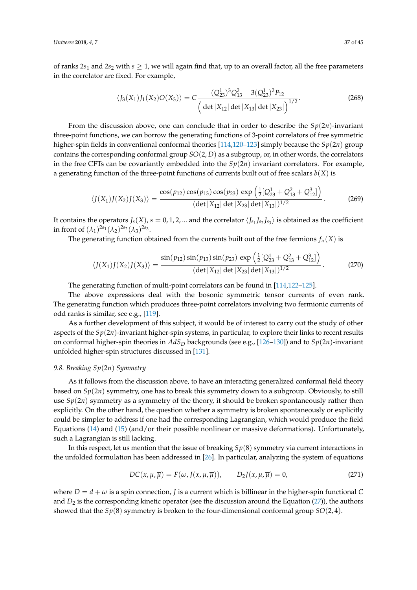of ranks  $2s_1$  and  $2s_2$  with  $s \geq 1$ , we will again find that, up to an overall factor, all the free parameters in the correlator are fixed. For example,

$$
\langle J_3(X_1)J_1(X_2)O(X_3)\rangle = C\frac{(Q_{23}^1)^3Q_{13}^2 - 3(Q_{23}^1)^2P_{12}}{\left(\det|X_{12}|\det|X_{13}|\det|X_{23}|\right)^{1/2}}.
$$
\n(268)

From the discussion above, one can conclude that in order to describe the  $Sp(2n)$ -invariant three-point functions, we can borrow the generating functions of 3-point correlators of free symmetric higher-spin fields in conventional conformal theories [\[114](#page-44-2)[,120](#page-44-8)[–123\]](#page-44-9) simply because the *Sp*(2*n*) group contains the corresponding conformal group *SO*(2, *D*) as a subgroup, or, in other words, the correlators in the free CFTs can be covariantly embedded into the  $Sp(2n)$  invariant correlators. For example, a generating function of the three-point functions of currents built out of free scalars *b*(*X*) is

$$
\langle J(X_1)J(X_2)J(X_3)\rangle = \frac{\cos(p_{12})\cos(p_{13})\cos(p_{23})\exp\left(\frac{1}{2}[Q_{23}^1 + Q_{13}^2 + Q_{12}^3]\right)}{(\det|X_{12}|\det|X_{23}|\det|X_{13}|)^{1/2}}.
$$
 (269)

It contains the operators  $J_s(X)$ ,  $s = 0, 1, 2, ...$  and the correlator  $\langle J_{s_1} J_{s_2} J_{s_3} \rangle$  is obtained as the coefficient in front of  $(\lambda_1)^{2s_1}(\lambda_2)^{2s_2}(\lambda_3)^{2s_3}$ .

The generating function obtained from the currents built out of the free fermions  $f_\alpha(X)$  is

$$
\langle J(X_1)J(X_2)J(X_3)\rangle = \frac{\sin(p_{12})\sin(p_{13})\sin(p_{23})\exp\left(\frac{1}{2}[Q_{23}^1 + Q_{13}^2 + Q_{12}^3]\right)}{(\det|X_{12}|\det|X_{23}|\det|X_{13}|)^{1/2}}.
$$
 (270)

The generating function of multi-point correlators can be found in [\[114,](#page-44-2)[122](#page-44-10)[–125\]](#page-44-11).

The above expressions deal with the bosonic symmetric tensor currents of even rank. The generating function which produces three-point correlators involving two fermionic currents of odd ranks is similar, see e.g., [\[119\]](#page-44-7).

As a further development of this subject, it would be of interest to carry out the study of other aspects of the *Sp*(2*n*)-invariant higher-spin systems, in particular, to explore their links to recent results on conformal higher-spin theories in *AdS<sup>D</sup>* backgrounds (see e.g., [\[126](#page-44-12)[–130\]](#page-44-13)) and to *Sp*(2*n*)-invariant unfolded higher-spin structures discussed in [\[131\]](#page-44-14).

## *9.8. Breaking Sp*(2*n*) *Symmetry*

As it follows from the discussion above, to have an interacting generalized conformal field theory based on *Sp*(2*n*) symmetry, one has to break this symmetry down to a subgroup. Obviously, to still use  $Sp(2n)$  symmetry as a symmetry of the theory, it should be broken spontaneously rather then explicitly. On the other hand, the question whether a symmetry is broken spontaneously or explicitly could be simpler to address if one had the corresponding Lagrangian, which would produce the field Equations [\(14\)](#page-4-2) and [\(15\)](#page-4-2) (and/or their possible nonlinear or massive deformations). Unfortunately, such a Lagrangian is still lacking.

In this respect, let us mention that the issue of breaking *Sp*(8) symmetry via current interactions in the unfolded formulation has been addressed in [\[26\]](#page-41-18). In particular, analyzing the system of equations

$$
DC(x, \mu, \overline{\mu}) = F(\omega, J(x, \mu, \overline{\mu})), \qquad D_2J(x, \mu, \overline{\mu}) = 0,
$$
 (271)

where  $D = d + \omega$  is a spin connection, *J* is a current which is billinear in the higher-spin functional *C* and  $D_2$  is the corresponding kinetic operator (see the discussion around the Equation  $(27)$ ), the authors showed that the *Sp*(8) symmetry is broken to the four-dimensional conformal group *SO*(2, 4).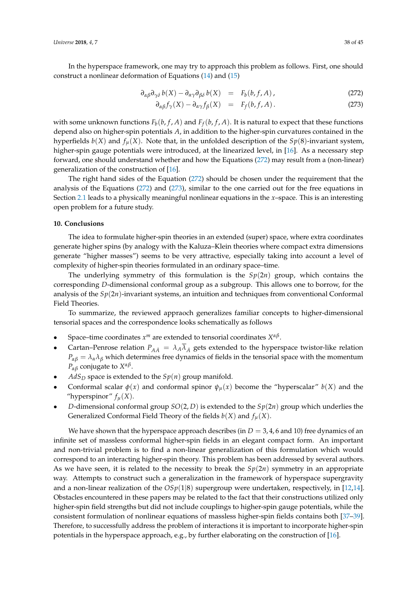In the hyperspace framework, one may try to approach this problem as follows. First, one should construct a nonlinear deformation of Equations [\(14\)](#page-4-2) and [\(15\)](#page-4-2)

<span id="page-37-0"></span>
$$
\partial_{\alpha\beta}\partial_{\gamma\delta}b(X) - \partial_{\alpha\gamma}\partial_{\beta\delta}b(X) = F_b(b, f, A), \qquad (272)
$$

$$
\partial_{\alpha\beta} f_{\gamma}(X) - \partial_{\alpha\gamma} f_{\beta}(X) = F_f(b, f, A). \tag{273}
$$

with some unknown functions  $F_b(b, f, A)$  and  $F_f(b, f, A)$ . It is natural to expect that these functions depend also on higher-spin potentials *A*, in addition to the higher-spin curvatures contained in the hyperfields  $b(X)$  and  $f_\mu(X)$ . Note that, in the unfolded description of the  $Sp(8)$ -invariant system, higher-spin gauge potentials were introduced, at the linearized level, in [\[16\]](#page-41-13). As a necessary step forward, one should understand whether and how the Equations [\(272\)](#page-37-0) may result from a (non-linear) generalization of the construction of [\[16\]](#page-41-13).

The right hand sides of the Equation [\(272\)](#page-37-0) should be chosen under the requirement that the analysis of the Equations [\(272\)](#page-37-0) and [\(273\)](#page-37-0), similar to the one carried out for the free equations in Section [2.1](#page-4-6) leads to a physically meaningful nonlinear equations in the *x*–space. This is an interesting open problem for a future study.

#### **10. Conclusions**

The idea to formulate higher-spin theories in an extended (super) space, where extra coordinates generate higher spins (by analogy with the Kaluza–Klein theories where compact extra dimensions generate "higher masses") seems to be very attractive, especially taking into account a level of complexity of higher-spin theories formulated in an ordinary space–time.

The underlying symmetry of this formulation is the  $Sp(2n)$  group, which contains the corresponding *D*-dimensional conformal group as a subgroup. This allows one to borrow, for the analysis of the  $Sp(2n)$ -invariant systems, an intuition and techniques from conventional Conformal Field Theories.

To summarize, the reviewed appraoch generalizes familiar concepts to higher-dimensional tensorial spaces and the correspondence looks schematically as follows

- Space–time coordinates  $x^m$  are extended to tensorial coordinates  $X^{\alpha\beta}$ .
- Cartan–Penrose relation  $P_{AA} = \lambda_A \overline{\lambda}_A$  gets extended to the hyperspace twistor-like relation  $P_{\alpha\beta} = \lambda_{\alpha}\lambda_{\beta}$  which determines free dynamics of fields in the tensorial space with the momentum *Pαβ* conjugate to *X αβ* .
- $AdS_D$  space is extended to the  $Sp(n)$  group manifold.
- Conformal scalar  $\phi(x)$  and conformal spinor  $\psi_u(x)$  become the "hyperscalar"  $b(X)$  and the "hyperspinor"  $f_\mu(X)$ .
- *D*-dimensional conformal group *SO*(2, *D*) is extended to the  $Sp(2n)$  group which underlies the Generalized Conformal Field Theory of the fields  $b(X)$  and  $f_{\mu}(X)$ .

We have shown that the hyperspace approach describes (in  $D = 3, 4, 6$  and 10) free dynamics of an infinite set of massless conformal higher-spin fields in an elegant compact form. An important and non-trivial problem is to find a non-linear generalization of this formulation which would correspond to an interacting higher-spin theory. This problem has been addressed by several authors. As we have seen, it is related to the necessity to break the  $Sp(2n)$  symmetry in an appropriate way. Attempts to construct such a generalization in the framework of hyperspace supergravity and a non-linear realization of the *OSp*(1|8) supergroup were undertaken, respectively, in [\[12,](#page-40-8)[14\]](#page-41-19). Obstacles encountered in these papers may be related to the fact that their constructions utilized only higher-spin field strengths but did not include couplings to higher-spin gauge potentials, while the consistent formulation of nonlinear equations of massless higher-spin fields contains both [\[37–](#page-41-10)[39\]](#page-41-20). Therefore, to successfully address the problem of interactions it is important to incorporate higher-spin potentials in the hyperspace approach, e.g., by further elaborating on the construction of [\[16\]](#page-41-13).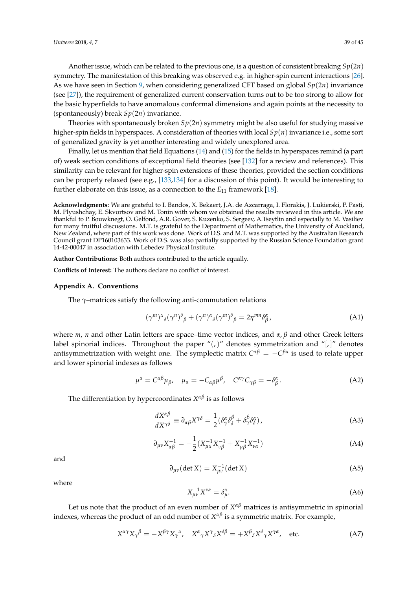Another issue, which can be related to the previous one, is a question of consistent breaking *Sp*(2*n*) symmetry. The manifestation of this breaking was observed e.g. in higher-spin current interactions [\[26\]](#page-41-18). As we have seen in Section [9,](#page-30-0) when considering generalized CFT based on global *Sp*(2*n*) invariance (see [\[27\]](#page-41-9)), the requirement of generalized current conservation turns out to be too strong to allow for the basic hyperfields to have anomalous conformal dimensions and again points at the necessity to (spontaneously) break  $Sp(2n)$  invariance.

Theories with spontaneously broken  $Sp(2n)$  symmetry might be also useful for studying massive higher-spin fields in hyperspaces. A consideration of theories with local *Sp*(*n*) invariance i.e., some sort of generalized gravity is yet another interesting and widely unexplored area.

Finally, let us mention that field Equations [\(14\)](#page-4-2) and [\(15\)](#page-4-2) for the fields in hyperspaces remind (a part of) weak section conditions of exceptional field theories (see [\[132\]](#page-44-15) for a review and references). This similarity can be relevant for higher-spin extensions of these theories, provided the section conditions can be properly relaxed (see e.g., [\[133](#page-44-16)[,134\]](#page-44-17) for a discussion of this point). It would be interesting to further elaborate on this issue, as a connection to the *E*<sup>11</sup> framework [\[18\]](#page-41-21).

**Acknowledgments:** We are grateful to I. Bandos, X. Bekaert, J.A. de Azcarraga, I. Florakis, J. Lukierski, P. Pasti, M. Plyushchay, E. Skvortsov and M. Tonin with whom we obtained the results reviewed in this article. We are thankful to P. Bouwknegt, O. Gelfond, A.R. Gover, S. Kuzenko, S. Sergeev, A.Tseytlin and especially to M. Vasiliev for many fruitful discussions. M.T. is grateful to the Department of Mathematics, the University of Auckland, New Zealand, where part of this work was done. Work of D.S. and M.T. was supported by the Australian Research Council grant DP160103633. Work of D.S. was also partially supported by the Russian Science Foundation grant 14-42-00047 in association with Lebedev Physical Institute.

**Author Contributions:** Both authors contributed to the article equally.

**Conflicts of Interest:** The authors declare no conflict of interest.

## <span id="page-38-0"></span>**Appendix A. Conventions**

The *γ*–matrices satisfy the following anti-commutation relations

$$
(\gamma^m)^{\alpha}{}_{\delta}(\gamma^n)^{\delta}{}_{\beta} + (\gamma^n)^{\alpha}{}_{\delta}(\gamma^m)^{\delta}{}_{\beta} = 2\eta^{mn}\delta^{\alpha}_{\beta},\tag{A1}
$$

where *m*, *n* and other Latin letters are space–time vector indices, and *α*, *β* and other Greek letters label spinorial indices. Throughout the paper " $($ , " denotes symmetrization and " $|$ , " denotes antisymmetrization with weight one. The symplectic matrix *C αβ* = −*C βα* is used to relate upper and lower spinorial indexes as follows

$$
\mu^{\alpha} = C^{\alpha\beta} \mu_{\beta}, \quad \mu_{\alpha} = -C_{\alpha\beta} \mu^{\beta}, \quad C^{\alpha\gamma} C_{\gamma\beta} = -\delta^{\alpha}_{\beta}.
$$
 (A2)

The differentiation by hypercoordinates *X αβ* is as follows

$$
\frac{dX^{\alpha\beta}}{dX^{\gamma\delta}} \equiv \partial_{\alpha\beta}X^{\gamma\delta} = \frac{1}{2} (\delta^{\alpha}_{\gamma}\delta^{\beta}_{\delta} + \delta^{\beta}_{\gamma}\delta^{\alpha}_{\delta}), \tag{A3}
$$

$$
\partial_{\mu\nu} X_{\alpha\beta}^{-1} = -\frac{1}{2} (X_{\mu\alpha}^{-1} X_{\nu\beta}^{-1} + X_{\mu\beta}^{-1} X_{\nu\alpha}^{-1})
$$
(A4)

and

$$
\partial_{\mu\nu}(\det X) = X_{\mu\nu}^{-1}(\det X)
$$
 (A5)

where

$$
X_{\mu\nu}^{-1}X^{\nu\alpha} = \delta_{\mu}^{\alpha}.\tag{A6}
$$

Let us note that the product of an even number of  $X^{\alpha\beta}$  matrices is antisymmetric in spinorial indexes, whereas the product of an odd number of *X αβ* is a symmetric matrix. For example,

$$
X^{\alpha\gamma}X_{\gamma}{}^{\beta} = -X^{\beta\gamma}X_{\gamma}{}^{\alpha}, \quad X^{\alpha}{}_{\gamma}X^{\gamma}{}_{\delta}X^{\delta}{}^{\beta} = +X^{\beta}{}_{\delta}X^{\delta}{}_{\gamma}X^{\gamma\alpha}, \quad \text{etc.}
$$
 (A7)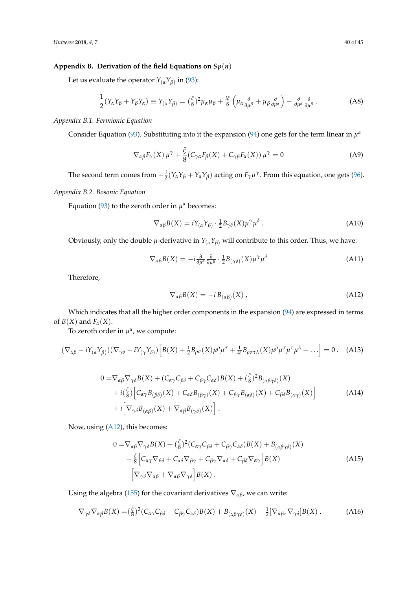## <span id="page-39-0"></span>Appendix B. Derivation of the field Equations on  $Sp(n)$

Let us evaluate the operator *Y*(*αYβ*) in [\(93\)](#page-16-4):

$$
\frac{1}{2}(Y_{\alpha}Y_{\beta} + Y_{\beta}Y_{\alpha}) \equiv Y_{(\alpha}Y_{\beta)} = (\frac{\xi}{8})^2 \mu_{\alpha}\mu_{\beta} + \frac{i\xi}{8} \left(\mu_{\alpha}\frac{\partial}{\partial\mu^{\beta}} + \mu_{\beta}\frac{\partial}{\partial\mu^{\alpha}}\right) - \frac{\partial}{\partial\mu^{\alpha}}\frac{\partial}{\partial\mu^{\beta}}.
$$
 (A8)

*Appendix B.1. Fermionic Equation*

Consider Equation [\(93\)](#page-16-4). Substituting into it the expansion [\(94\)](#page-16-6) one gets for the term linear in  $\mu^{\alpha}$ 

$$
\nabla_{\alpha\beta} F_{\gamma}(X) \mu^{\gamma} + \frac{\xi}{8} (C_{\gamma\alpha} F_{\beta}(X) + C_{\gamma\beta} F_{\alpha}(X)) \mu^{\gamma} = 0
$$
 (A9)

The second term comes from  $-\frac{i}{2}(Y_\alpha Y_\beta + Y_\alpha Y_\beta)$  acting on  $F_\gamma \mu^\gamma$ . From this equation, one gets [\(96\)](#page-16-2).

## *Appendix B.2. Bosonic Equation*

Equation [\(93\)](#page-16-4) to the zeroth order in  $\mu^{\alpha}$  becomes:

$$
\nabla_{\alpha\beta}B(X) = iY_{(\alpha}Y_{\beta)} \cdot \frac{1}{2}B_{\gamma\delta}(X)\mu^{\gamma}\mu^{\delta}.
$$
 (A10)

Obviously, only the double  $\mu$ -derivative in  $Y_{(\alpha}Y_{\beta)}$  will contribute to this order. Thus, we have:

$$
\nabla_{\alpha\beta}B(X) = -i\frac{\partial}{\partial\mu^{\alpha}}\frac{\partial}{\partial\mu^{\beta}} \cdot \frac{1}{2}B_{(\gamma\delta)}(X)\mu^{\gamma}\mu^{\delta}
$$
(A11)

Therefore,

<span id="page-39-1"></span>
$$
\nabla_{\alpha\beta}B(X) = -i B_{(\alpha\beta)}(X) \tag{A12}
$$

Which indicates that all the higher order components in the expansion [\(94\)](#page-16-6) are expressed in terms of *B*(*X*) and *F*<sub>*α*</sub>(*X*).

To zeroth order in  $\mu^{\alpha}$ , we compute:

$$
(\nabla_{\alpha\beta} - i\Upsilon_{(\alpha}\Upsilon_{\beta}))(\nabla_{\gamma\delta} - i\Upsilon_{(\gamma}\Upsilon_{\delta)}) \Big[ B(X) + \frac{1}{2}B_{\rho\sigma}(X)\mu^{\rho}\mu^{\sigma} + \frac{1}{4!}B_{\rho\sigma\tau\lambda}(X)\mu^{\rho}\mu^{\sigma}\mu^{\tau}\mu^{\lambda} + \ldots \Big] = 0 \ . \tag{A13}
$$

$$
0 = \nabla_{\alpha\beta} \nabla_{\gamma\delta} B(X) + (C_{\alpha\gamma} C_{\beta\delta} + C_{\beta\gamma} C_{\alpha\delta}) B(X) + (\frac{\xi}{8})^2 B_{(\alpha\beta\gamma\delta)}(X) + i(\frac{\xi}{8}) \Big[ C_{\alpha\gamma} B_{(\beta\delta)}(X) + C_{\alpha\delta} B_{(\beta\gamma)}(X) + C_{\beta\gamma} B_{(\alpha\delta)}(X) + C_{\beta\delta} B_{(\alpha\gamma)}(X) \Big] + i \Big[ \nabla_{\gamma\delta} B_{(\alpha\beta)}(X) + \nabla_{\alpha\beta} B_{(\gamma\delta)}(X) \Big].
$$
 (A14)

Now, using [\(A12\)](#page-39-1), this becomes:

<span id="page-39-2"></span>
$$
0 = \nabla_{\alpha\beta} \nabla_{\gamma\delta} B(X) + (\frac{\xi}{8})^2 (C_{\alpha\gamma} C_{\beta\delta} + C_{\beta\gamma} C_{\alpha\delta}) B(X) + B_{(\alpha\beta\gamma\delta)} (X)
$$
  
 
$$
- \frac{\xi}{8} \Big[ C_{\alpha\gamma} \nabla_{\beta\delta} + C_{\alpha\delta} \nabla_{\beta\gamma} + C_{\beta\gamma} \nabla_{\alpha\delta} + C_{\beta\delta} \nabla_{\alpha\gamma} \Big] B(X)
$$
  
 
$$
- \Big[ \nabla_{\gamma\delta} \nabla_{\alpha\beta} + \nabla_{\alpha\beta} \nabla_{\gamma\delta} \Big] B(X) .
$$
 (A15)

Using the algebra [\(155\)](#page-23-3) for the covariant derivatives  $\nabla_{\alpha\beta}$ , we can write:

$$
\nabla_{\gamma\delta}\nabla_{\alpha\beta}B(X) = \left(\frac{\xi}{8}\right)^2 \left(C_{\alpha\gamma}C_{\beta\delta} + C_{\beta\gamma}C_{\alpha\delta}\right)B(X) + B_{\left(\alpha\beta\gamma\delta\right)}(X) - \frac{1}{2}\left[\nabla_{\alpha\beta}, \nabla_{\gamma\delta}\right]B(X) \,. \tag{A16}
$$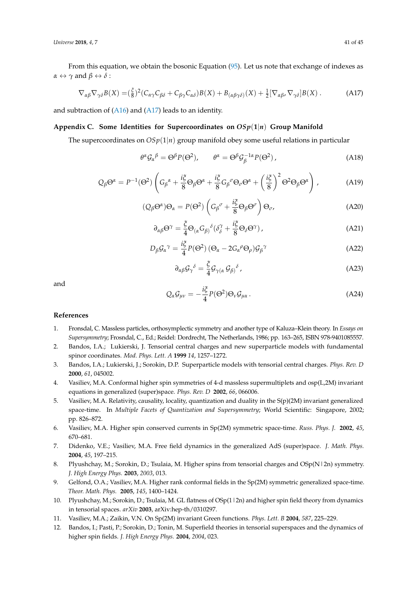From this equation, we obtain the bosonic Equation [\(95\)](#page-16-1). Let us note that exchange of indexes as  $\alpha \leftrightarrow \gamma$  and  $\beta \leftrightarrow \delta$  :

$$
\nabla_{\alpha\beta}\nabla_{\gamma\delta}B(X) = \left(\frac{\xi}{8}\right)^2 \left(C_{\alpha\gamma}C_{\beta\delta} + C_{\beta\gamma}C_{\alpha\delta}\right)B(X) + B_{\left(\alpha\beta\gamma\delta\right)}(X) + \frac{1}{2}\left[\nabla_{\alpha\beta}, \nabla_{\gamma\delta}\right]B(X) \,. \tag{A17}
$$

and subtraction of [\(A16\)](#page-39-2) and [\(A17\)](#page-40-12) leads to an identity.

## <span id="page-40-9"></span>**Appendix C. Some Identities for Supercoordinates on** *OSp*(**1**|*n*) **Group Manifold**

The supercoordinates on *OSp*(1|*n*) group manifold obey some useful relations in particular

<span id="page-40-12"></span>
$$
\theta^{\alpha} \mathcal{G}_{\alpha}{}^{\beta} = \Theta^{\beta} P(\Theta^2), \qquad \theta^{\alpha} = \Theta^{\beta} \mathcal{G}_{\beta}^{-1\alpha} P(\Theta^2) \,, \tag{A18}
$$

$$
Q_{\beta} \Theta^{\alpha} = P^{-1} (\Theta^2) \left( G_{\beta}{}^{\alpha} + \frac{i\xi}{8} \Theta_{\beta} \Theta^{\alpha} + \frac{i\xi}{8} G_{\beta}{}^{\sigma} \Theta_{\sigma} \Theta^{\alpha} + \left( \frac{i\xi}{8} \right)^2 \Theta^2 \Theta_{\beta} \Theta^{\alpha} \right), \tag{A19}
$$

$$
(Q_{\beta}\Theta^{\alpha})\Theta_{\alpha} = P(\Theta^2) \left(G_{\beta}{}^{\sigma} + \frac{i\xi}{8}\Theta_{\beta}\Theta^{\sigma}\right)\Theta_{\sigma},\tag{A20}
$$

$$
\partial_{\alpha\beta}\Theta^{\gamma} = \frac{\xi}{4}\Theta_{(\alpha}G_{\beta)}{}^{\delta}(\delta_{\delta}^{\gamma} + \frac{i\xi}{8}\Theta_{\delta}\Theta^{\gamma}), \qquad (A21)
$$

$$
D_{\beta} \mathcal{G}_{\alpha}{}^{\gamma} = \frac{i\xi}{4} P(\Theta^2) \left( \Theta_{\alpha} - 2G_{\alpha}{}^{\rho} \Theta_{\rho} \right) \mathcal{G}_{\beta}{}^{\gamma} \tag{A22}
$$

$$
\partial_{\alpha\beta}\mathcal{G}_{\gamma}{}^{\delta} = \frac{\xi}{4}\mathcal{G}_{\gamma(\alpha}\mathcal{G}_{\beta)}{}^{\delta},\tag{A23}
$$

and

$$
Q_{\alpha}G_{\mu\nu} = -\frac{i\xi}{4}P(\Theta^2)\Theta_{\nu}G_{\mu\alpha}.
$$
 (A24)

#### **References**

- <span id="page-40-0"></span>1. Fronsdal, C. Massless particles, orthosymplectic symmetry and another type of Kaluza–Klein theory. In *Essays on Supersymmetry*; Frosndal, C., Ed.; Reidel: Dordrecht, The Netherlands, 1986; pp. 163–265, ISBN 978-9401085557.
- <span id="page-40-1"></span>2. Bandos, I.A.; Lukierski, J. Tensorial central charges and new superparticle models with fundamental spinor coordinates. *Mod. Phys. Lett. A* **1999** *14*, 1257–1272.
- <span id="page-40-2"></span>3. Bandos, I.A.; Lukierski, J.; Sorokin, D.P. Superparticle models with tensorial central charges. *Phys. Rev. D* **2000**, *61*, 045002.
- <span id="page-40-5"></span>4. Vasiliev, M.A. Conformal higher spin symmetries of 4-d massless supermultiplets and osp(L,2M) invariant equations in generalized (super)space. *Phys. Rev. D* **2002**, *66*, 066006.
- <span id="page-40-7"></span>5. Vasiliev, M.A. Relativity, causality, locality, quantization and duality in the S(p)(2M) invariant generalized space-time. In *Multiple Facets of Quantization and Supersymmetry*; World Scientific: Singapore, 2002; pp. 826–872.
- <span id="page-40-11"></span>6. Vasiliev, M.A. Higher spin conserved currents in Sp(2M) symmetric space-time. *Russ. Phys. J.* **2002**, *45*, 670–681.
- 7. Didenko, V.E.; Vasiliev, M.A. Free field dynamics in the generalized AdS (super)space. *J. Math. Phys.* **2004**, *45*, 197–215.
- <span id="page-40-3"></span>8. Plyushchay, M.; Sorokin, D.; Tsulaia, M. Higher spins from tensorial charges and OSp(N|2n) symmetry. *J. High Energy Phys.* **2003**, *2003*, 013.
- <span id="page-40-6"></span>9. Gelfond, O.A.; Vasiliev, M.A. Higher rank conformal fields in the Sp(2M) symmetric generalized space-time. *Theor. Math. Phys.* **2005**, *145*, 1400–1424.
- <span id="page-40-4"></span>10. Plyushchay, M.; Sorokin, D.; Tsulaia, M. GL flatness of OSp(1|2n) and higher spin field theory from dynamics in tensorial spaces. *arXiv* **2003**, arXiv:hep-th/0310297.
- <span id="page-40-10"></span>11. Vasiliev, M.A.; Zaikin, V.N. On Sp(2M) invariant Green functions. *Phys. Lett. B* **2004**, *587*, 225–229.
- <span id="page-40-8"></span>12. Bandos, I.; Pasti, P.; Sorokin, D.; Tonin, M. Superfield theories in tensorial superspaces and the dynamics of higher spin fields. *J. High Energy Phys.* **2004**, *2004*, 023.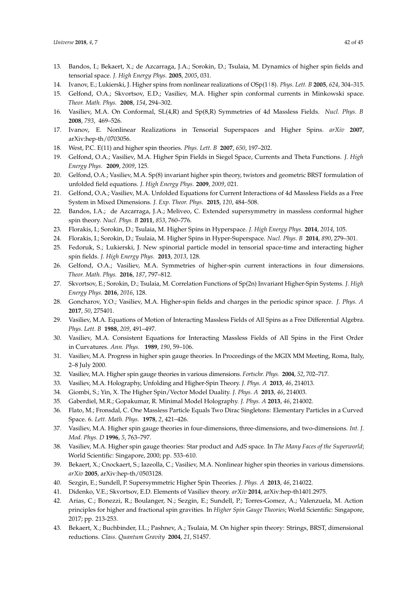- <span id="page-41-6"></span>13. Bandos, I.; Bekaert, X.; de Azcarraga, J.A.; Sorokin, D.; Tsulaia, M. Dynamics of higher spin fields and tensorial space. *J. High Energy Phys.* **2005**, *2005*, 031.
- <span id="page-41-19"></span>14. Ivanov, E.; Lukierski, J. Higher spins from nonlinear realizations of OSp(1|8). *Phys. Lett. B* **2005**, *624*, 304–315.
- 15. Gelfond, O.A.; Skvortsov, E.D.; Vasiliev, M.A. Higher spin conformal currents in Minkowski space. *Theor. Math. Phys.* **2008**, *154*, 294–302.
- <span id="page-41-13"></span>16. Vasiliev, M.A. On Conformal, SL(4,R) and Sp(8,R) Symmetries of 4d Massless Fields. *Nucl. Phys. B* **2008**, *793*, 469–526.
- 17. Ivanov, E. Nonlinear Realizations in Tensorial Superspaces and Higher Spins. *arXiv* **2007**, arXiv:hep-th/0703056.
- <span id="page-41-21"></span>18. West, P.C. E(11) and higher spin theories. *Phys. Lett. B* **2007**, *650*, 197–202.
- <span id="page-41-15"></span>19. Gelfond, O.A.; Vasiliev, M.A. Higher Spin Fields in Siegel Space, Currents and Theta Functions. *J. High Energy Phys.* **2009**, *2009*, 125.
- 20. Gelfond, O.A.; Vasiliev, M.A. Sp(8) invariant higher spin theory, twistors and geometric BRST formulation of unfolded field equations. *J. High Energy Phys.* **2009**, *2009*, 021.
- <span id="page-41-14"></span>21. Gelfond, O.A.; Vasiliev, M.A. Unfolded Equations for Current Interactions of 4d Massless Fields as a Free System in Mixed Dimensions. *J. Exp. Theor. Phys.* **2015**, *120*, 484–508.
- 22. Bandos, I.A.; de Azcarraga, J.A.; Meliveo, C. Extended supersymmetry in massless conformal higher spin theory. *Nucl. Phys. B* **2011**, *853*, 760–776.
- <span id="page-41-8"></span><span id="page-41-7"></span>23. Florakis, I.; Sorokin, D.; Tsulaia, M. Higher Spins in Hyperspace. *J. High Energy Phys.* **2014**, *2014*, 105.
- 24. Florakis, I.; Sorokin, D.; Tsulaia, M. Higher Spins in Hyper-Superspace. *Nucl. Phys. B* **2014**, *890*, 279–301.
- 25. Fedoruk, S.; Lukierski, J. New spinorial particle model in tensorial space-time and interacting higher spin fields. *J. High Energy Phys.* **2013**, *2013*, 128.
- <span id="page-41-18"></span>26. Gelfond, O.A.; Vasiliev, M.A. Symmetries of higher-spin current interactions in four dimensions. *Theor. Math. Phys.* **2016**, *187*, 797–812.
- <span id="page-41-9"></span>27. Skvortsov, E.; Sorokin, D.; Tsulaia, M. Correlation Functions of Sp(2n) Invariant Higher-Spin Systems. *J. High Energy Phys.* **2016**, *2016*, 128.
- <span id="page-41-0"></span>28. Goncharov, Y.O.; Vasiliev, M.A. Higher-spin fields and charges in the periodic spinor space. *J. Phys. A* **2017**, *50*, 275401.
- <span id="page-41-1"></span>29. Vasiliev, M.A. Equations of Motion of Interacting Massless Fields of All Spins as a Free Differential Algebra. *Phys. Lett. B* **1988**, *209*, 491–497.
- 30. Vasiliev, M.A. Consistent Equations for Interacting Massless Fields of All Spins in the First Order in Curvatures. *Ann. Phys.* **1989**, *190*, 59–106.
- 31. Vasiliev, M.A. Progress in higher spin gauge theories. In Proceedings of the MGIX MM Meeting, Roma, Italy, 2–8 July 2000.
- 32. Vasiliev, M.A. Higher spin gauge theories in various dimensions. *Fortschr. Phys.* **2004**, *52*, 702–717.
- <span id="page-41-2"></span>33. Vasiliev, M.A. Holography, Unfolding and Higher-Spin Theory. *J. Phys. A* **2013**, *46*, 214013.
- <span id="page-41-3"></span>34. Giombi, S.; Yin, X. The Higher Spin/Vector Model Duality. *J. Phys. A* **2013**, *46*, 214003.
- <span id="page-41-4"></span>35. Gaberdiel, M.R.; Gopakumar, R. Minimal Model Holography. *J. Phys. A* **2013**, *46*, 214002.
- <span id="page-41-5"></span>36. Flato, M.; Fronsdal, C. One Massless Particle Equals Two Dirac Singletons: Elementary Particles in a Curved Space. 6. *Lett. Math. Phys.* **1978**, *2*, 421–426.
- <span id="page-41-10"></span>37. Vasiliev, M.A. Higher spin gauge theories in four-dimensions, three-dimensions, and two-dimensions. *Int. J. Mod. Phys. D* **1996**, *5*, 763–797.
- <span id="page-41-16"></span>38. Vasiliev, M.A. Higher spin gauge theories: Star product and AdS space. In *The Many Faces of the Superworld*; World Scientific: Singapore, 2000; pp. 533–610.
- <span id="page-41-20"></span>39. Bekaert, X.; Cnockaert, S.; Iazeolla, C.; Vasiliev, M.A. Nonlinear higher spin theories in various dimensions. *arXiv* **2005**, arXiv:hep-th/0503128.
- <span id="page-41-17"></span>40. Sezgin, E.; Sundell, P. Supersymmetric Higher Spin Theories. *J. Phys. A* **2013**, *46*, 214022.
- 41. Didenko, V.E.; Skvortsov, E.D. Elements of Vasiliev theory. *arXiv* **2014**, arXiv:hep-th1401.2975.
- <span id="page-41-11"></span>42. Arias, C.; Bonezzi, R.; Boulanger, N.; Sezgin, E.; Sundell, P.; Torres-Gomez, A.; Valenzuela, M. Action principles for higher and fractional spin gravities. In *Higher Spin Gauge Theories*; World Scientific: Singapore, 2017; pp. 213-253.
- <span id="page-41-12"></span>43. Bekaert, X.; Buchbinder, I.L.; Pashnev, A.; Tsulaia, M. On higher spin theory: Strings, BRST, dimensional reductions. *Class. Quantum Gravity* **2004**, *21*, S1457.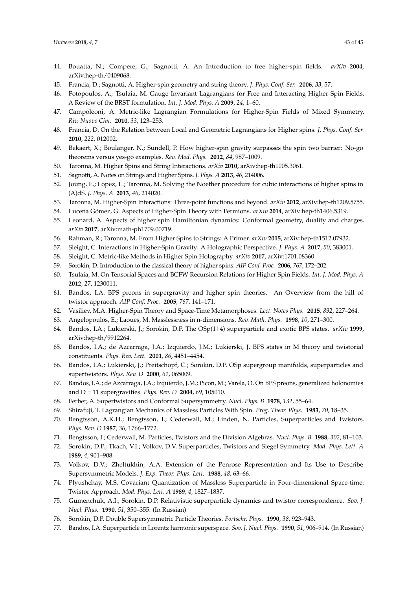- 44. Bouatta, N.; Compere, G.; Sagnotti, A. An Introduction to free higher-spin fields. *arXiv* **2004**, arXiv:hep-th/0409068.
- 45. Francia, D.; Sagnotti, A. Higher-spin geometry and string theory. *J. Phys. Conf. Ser.* **2006**, *33*, 57.
- <span id="page-42-14"></span>46. Fotopoulos, A.; Tsulaia, M. Gauge Invariant Lagrangians for Free and Interacting Higher Spin Fields. A Review of the BRST formulation. *Int. J. Mod. Phys. A* **2009**, *24*, 1–60.
- 47. Campoleoni, A. Metric-like Lagrangian Formulations for Higher-Spin Fields of Mixed Symmetry. *Riv. Nuovo Cim.* **2010**, *33*, 123–253.
- 48. Francia, D. On the Relation between Local and Geometric Lagrangians for Higher spins. *J. Phys. Conf. Ser.* **2010**, *222*, 012002.
- 49. Bekaert, X.; Boulanger, N.; Sundell, P. How higher-spin gravity surpasses the spin two barrier: No-go theorems versus yes-go examples. *Rev. Mod. Phys.* **2012**, *84*, 987–1009.
- 50. Taronna, M. Higher Spins and String Interactions. *arXiv* **2010**, arXiv:hep-th1005.3061.
- 51. Sagnotti, A. Notes on Strings and Higher Spins. *J. Phys. A* **2013**, *46*, 214006.
- 52. Joung, E.; Lopez, L.; Taronna, M. Solving the Noether procedure for cubic interactions of higher spins in (A)dS. *J. Phys. A* **2013**, *46*, 214020.
- 53. Taronna, M. Higher-Spin Interactions: Three-point functions and beyond. *arXiv* **2012**, arXiv:hep-th1209.5755.
- 54. Lucena Gómez, G. Aspects of Higher-Spin Theory with Fermions. *arXiv* **2014**, arXiv:hep-th1406.5319.
- <span id="page-42-0"></span>55. Leonard, A. Aspects of higher spin Hamiltonian dynamics: Conformal geometry, duality and charges. *arXiv* **2017**, arXiv:math-ph1709.00719.
- <span id="page-42-1"></span>56. Rahman, R.; Taronna, M. From Higher Spins to Strings: A Primer. *arXiv* **2015**, arXiv:hep-th1512.07932.
- <span id="page-42-2"></span>57. Sleight, C. Interactions in Higher-Spin Gravity: A Holographic Perspective. *J. Phys. A* **2017**, *50*, 383001.
- <span id="page-42-3"></span>58. Sleight, C. Metric-like Methods in Higher Spin Holography. *arXiv* **2017**, arXiv:1701.08360.
- <span id="page-42-4"></span>59. Sorokin, D. Introduction to the classical theory of higher spins. *AIP Conf. Proc.* **2006**, *767*, 172–202.
- <span id="page-42-5"></span>60. Tsulaia, M. On Tensorial Spaces and BCFW Recursion Relations for Higher Spin Fields. *Int. J. Mod. Phys. A* **2012**, *27*, 1230011.
- <span id="page-42-6"></span>61. Bandos, I.A. BPS preons in supergravity and higher spin theories. An Overview from the hill of twistor appraoch. *AIP Conf. Proc.* **2005**, *767,* 141–171.
- <span id="page-42-7"></span>62. Vasiliev, M.A. Higher-Spin Theory and Space-Time Metamorphoses. *Lect. Notes Phys.* **2015**, *892*, 227–264.
- <span id="page-42-9"></span><span id="page-42-8"></span>63. Angelopoulos, E.; Laoues, M. Masslessness in n-dimensions. *Rev. Math. Phys.* **1998**, *10*, 271–300.
- 64. Bandos, I.A.; Lukierski, J.; Sorokin, D.P. The OSp(1|4) superparticle and exotic BPS states. *arXiv* **1999**, arXiv:hep-th/9912264.
- <span id="page-42-10"></span>65. Bandos, I.A.; de Azcarraga, J.A.; Izquierdo, J.M.; Lukierski, J. BPS states in M theory and twistorial constituents. *Phys. Rev. Lett.* **2001**, *86*, 4451–4454.
- <span id="page-42-11"></span>66. Bandos, I.A.; Lukierski, J.; Preitschopf, C.; Sorokin, D.P. OSp supergroup manifolds, superparticles and supertwistors. *Phys. Rev. D* **2000**, *61*, 065009.
- <span id="page-42-12"></span>67. Bandos, I.A.; de Azcarraga, J.A.; Izquierdo, J.M.; Picon, M.; Varela, O. On BPS preons, generalized holonomies and D = 11 supergravities. *Phys. Rev. D* **2004**, *69*, 105010.
- <span id="page-42-13"></span>68. Ferber, A. Supertwistors and Conformal Supersymmetry. *Nucl. Phys. B* **1978**, *132*, 55–64.
- 69. Shirafuji, T. Lagrangian Mechanics of Massless Particles With Spin. *Prog. Theor. Phys.* **1983**, *70*, 18–35.
- 70. Bengtsson, A.K.H.; Bengtsson, I.; Cederwall, M.; Linden, N. Particles, Superparticles and Twistors. *Phys. Rev. D* **1987**, *36*, 1766–1772.
- 71. Bengtsson, I.; Cederwall, M. Particles, Twistors and the Division Algebras. *Nucl. Phys. B* **1988**, *302*, 81–103.
- 72. Sorokin, D.P.; Tkach, V.I.; Volkov, D.V. Superparticles, Twistors and Siegel Symmetry. *Mod. Phys. Lett. A* **1989**, *4*, 901–908.
- 73. Volkov, D.V.; Zheltukhin, A.A. Extension of the Penrose Representation and Its Use to Describe Supersymmetric Models. *J. Exp. Theor. Phys. Lett.* **1988**, *48*, 63–66.
- 74. Plyushchay, M.S. Covariant Quantization of Massless Superparticle in Four-dimensional Space-time: Twistor Approach. *Mod. Phys. Lett. A* **1989**, *4*, 1827–1837.
- 75. Gumenchuk, A.I.; Sorokin, D.P. Relativistic superparticle dynamics and twistor correspondence. *Sov. J. Nucl. Phys.* **1990**, *51*, 350–355. (In Russian)
- 76. Sorokin, D.P. Double Supersymmetric Particle Theories. *Fortschr. Phys.* **1990**, *38*, 923–943.
- 77. Bandos, I.A. Superparticle in Lorentz harmonic superspace. *Sov. J. Nucl. Phys.* **1990**, *51*, 906–914. (In Russian)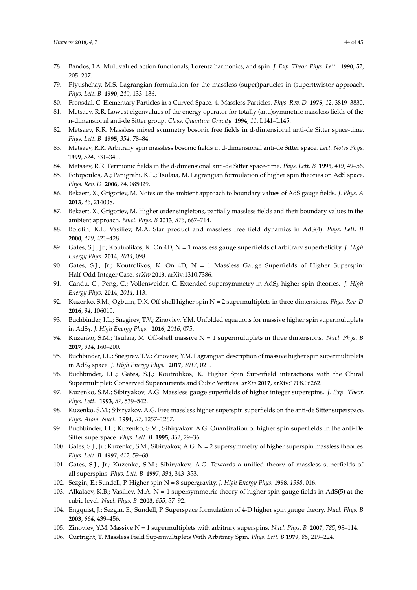- 78. Bandos, I.A. Multivalued action functionals, Lorentz harmonics, and spin. *J. Exp. Theor. Phys. Lett.* **1990**, *52*, 205–207.
- <span id="page-43-0"></span>79. Plyushchay, M.S. Lagrangian formulation for the massless (super)particles in (super)twistor approach. *Phys. Lett. B* **1990**, *240*, 133–136.
- <span id="page-43-1"></span>80. Fronsdal, C. Elementary Particles in a Curved Space. 4. Massless Particles. *Phys. Rev. D* **1975**, *12*, 3819–3830.
- <span id="page-43-2"></span>81. Metsaev, R.R. Lowest eigenvalues of the energy operator for totally (anti)symmetric massless fields of the n-dimensional anti-de Sitter group. *Class. Quantum Gravity* **1994**, *11*, L141–L145.
- 82. Metsaev, R.R. Massless mixed symmetry bosonic free fields in d-dimensional anti-de Sitter space-time. *Phys. Lett. B* **1995**, *354*, 78–84.
- 83. Metsaev, R.R. Arbitrary spin massless bosonic fields in d-dimensional anti-de Sitter space. *Lect. Notes Phys.* **1999**, *524*, 331–340.
- 84. Metsaev, R.R. Fermionic fields in the d-dimensional anti-de Sitter space-time. *Phys. Lett. B* **1995**, *419*, 49–56.
- 85. Fotopoulos, A.; Panigrahi, K.L.; Tsulaia, M. Lagrangian formulation of higher spin theories on AdS space. *Phys. Rev. D* **2006**, *74*, 085029.
- 86. Bekaert, X.; Grigoriev, M. Notes on the ambient approach to boundary values of AdS gauge fields. *J. Phys. A* **2013**, *46*, 214008.
- <span id="page-43-3"></span>87. Bekaert, X.; Grigoriev, M. Higher order singletons, partially massless fields and their boundary values in the ambient approach. *Nucl. Phys. B* **2013**, *876*, 667–714.
- <span id="page-43-4"></span>88. Bolotin, K.I.; Vasiliev, M.A. Star product and massless free field dynamics in AdS(4). *Phys. Lett. B* **2000**, *479*, 421–428.
- <span id="page-43-5"></span>89. Gates, S.J., Jr.; Koutrolikos, K. On 4D, N = 1 massless gauge superfields of arbitrary superhelicity. *J. High Energy Phys.* **2014**, *2014*, 098.
- 90. Gates, S.J., Jr.; Koutrolikos, K. On 4D, N = 1 Massless Gauge Superfields of Higher Superspin: Half-Odd-Integer Case. *arXiv* **2013**, arXiv:1310.7386.
- 91. Candu, C.; Peng, C.; Vollenweider, C. Extended supersymmetry in AdS<sub>3</sub> higher spin theories. *J. High Energy Phys.* **2014**, *2014*, 113.
- 92. Kuzenko, S.M.; Ogburn, D.X. Off-shell higher spin N = 2 supermultiplets in three dimensions. *Phys. Rev. D* **2016**, *94*, 106010.
- 93. Buchbinder, I.L.; Snegirev, T.V.; Zinoviev, Y.M. Unfolded equations for massive higher spin supermultiplets in AdS3. *J. High Energy Phys.* **2016**, *2016*, 075.
- 94. Kuzenko, S.M.; Tsulaia, M. Off-shell massive N = 1 supermultiplets in three dimensions. *Nucl. Phys. B* **2017**, *914*, 160–200.
- 95. Buchbinder, I.L.; Snegirev, T.V.; Zinoviev, Y.M. Lagrangian description of massive higher spin supermultiplets in AdS<sup>3</sup> space. *J. High Energy Phys.* **2017**, *2017*, 021.
- 96. Buchbinder, I.L.; Gates, S.J.; Koutrolikos, K. Higher Spin Superfield interactions with the Chiral Supermultiplet: Conserved Supercurrents and Cubic Vertices. *arXiv* **2017**, arXiv:1708.06262.
- 97. Kuzenko, S.M.; Sibiryakov, A.G. Massless gauge superfields of higher integer superspins. *J. Exp. Theor. Phys. Lett.* **1993**, *57*, 539–542.
- 98. Kuzenko, S.M.; Sibiryakov, A.G. Free massless higher superspin superfields on the anti-de Sitter superspace. *Phys. Atom. Nucl.* **1994**, *57*, 1257–1267.
- 99. Buchbinder, I.L.; Kuzenko, S.M.; Sibiryakov, A.G. Quantization of higher spin superfields in the anti-De Sitter superspace. *Phys. Lett. B* **1995**, *352*, 29–36.
- 100. Gates, S.J., Jr.; Kuzenko, S.M.; Sibiryakov, A.G. N = 2 supersymmetry of higher superspin massless theories. *Phys. Lett. B* **1997**, *412*, 59–68.
- 101. Gates, S.J., Jr.; Kuzenko, S.M.; Sibiryakov, A.G. Towards a unified theory of massless superfields of all superspins. *Phys. Lett. B* **1997**, *394*, 343–353.
- 102. Sezgin, E.; Sundell, P. Higher spin N = 8 supergravity. *J. High Energy Phys.* **1998**, *1998*, 016.
- 103. Alkalaev, K.B.; Vasiliev, M.A.  $N = 1$  supersymmetric theory of higher spin gauge fields in AdS(5) at the cubic level. *Nucl. Phys. B* **2003**, *655*, 57–92.
- 104. Engquist, J.; Sezgin, E.; Sundell, P. Superspace formulation of 4-D higher spin gauge theory. *Nucl. Phys. B* **2003**, *664*, 439–456.
- 105. Zinoviev, Y.M. Massive N = 1 supermultiplets with arbitrary superspins. *Nucl. Phys. B* **2007**, *785*, 98–114.
- 106. Curtright, T. Massless Field Supermultiplets With Arbitrary Spin. *Phys. Lett. B* **1979**, *85*, 219–224.